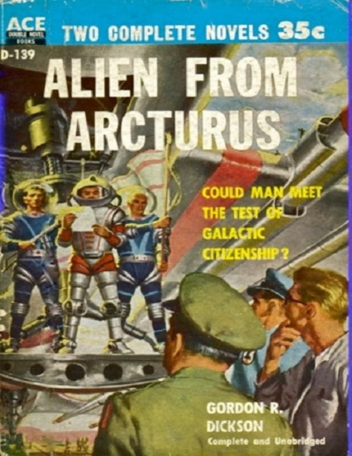# **TWO COMPLETE NOVELS 35c**

ALIEN FROM

ARCTURUS

D-139

**COULD MA** THE TEST GALACTIC CITIZENSHIP

**GORDON R DICKSON Complete and Unabridged**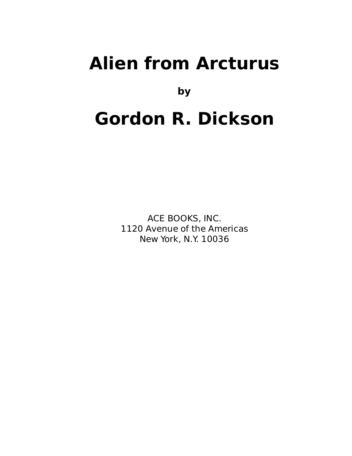# **Alien from Arcturus**

**by Gordon R. Dickson**

> ACE BOOKS, INC. 1120 Avenue of the Americas New York, N.Y. 10036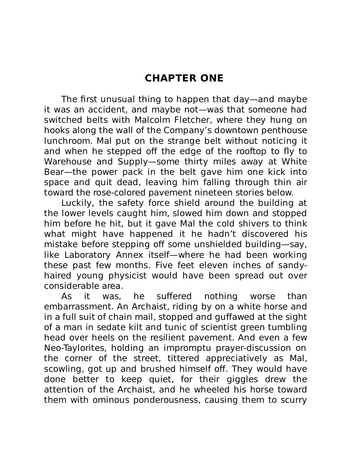#### **CHAPTER ONE**

The first unusual thing to happen that day—and maybe it was an accident, and maybe not—was that someone had switched belts with Malcolm Fletcher, where they hung on hooks along the wall of the Company's downtown penthouse lunchroom. Mal put on the strange belt without noticing it and when he stepped off the edge of the rooftop to fly to Warehouse and Supply—some thirty miles away at White Bear—the power pack in the belt gave him one kick into space and quit dead, leaving him falling through thin air toward the rose-colored pavement nineteen stories below.

Luckily, the safety force shield around the building at the lower levels caught him, slowed him down and stopped him before he hit, but it gave Mal the cold shivers to think what might have happened it he hadn't discovered his mistake before stepping off some unshielded building—say, like Laboratory Annex itself—where he had been working these past few months. Five feet eleven inches of sandyhaired young physicist would have been spread out over considerable area.

As it was, he suffered nothing worse than embarrassment. An Archaist, riding by on a white horse and in a full suit of chain mail, stopped and guffawed at the sight of a man in sedate kilt and tunic of scientist green tumbling head over heels on the resilient pavement. And even a few Neo-Taylorites, holding an impromptu prayer-discussion on the corner of the street, tittered appreciatively as Mal, scowling, got up and brushed himself off. They would have done better to keep quiet, for their giggles drew the attention of the Archaist, and he wheeled his horse toward them with ominous ponderousness, causing them to scurry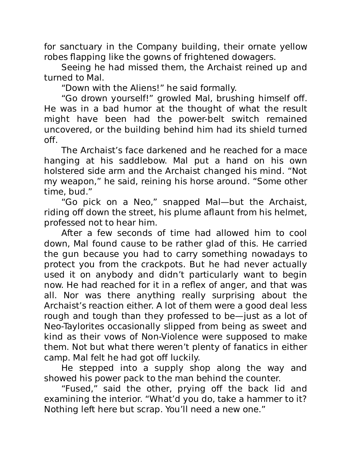for sanctuary in the Company building, their ornate yellow robes flapping like the gowns of frightened dowagers.

Seeing he had missed them, the Archaist reined up and turned to Mal.

"Down with the Aliens!" he said formally.

"Go drown yourself!" growled Mal, brushing himself off. He was in a bad humor at the thought of what the result might have been had the power-belt switch remained uncovered, or the building behind him had its shield turned off.

The Archaist's face darkened and he reached for a mace hanging at his saddlebow. Mal put a hand on his own holstered side arm and the Archaist changed his mind. "Not my weapon," he said, reining his horse around. "Some other time, bud."

"Go pick on a Neo," snapped Mal—but the Archaist, riding off down the street, his plume aflaunt from his helmet, professed not to hear him.

After a few seconds of time had allowed him to cool down, Mal found cause to be rather glad of this. He carried the gun because you had to carry something nowadays to protect you from the crackpots. But he had never actually used it on anybody and didn't particularly want to begin now. He had reached for it in a reflex of anger, and that was all. Nor was there anything really surprising about the Archaist's reaction either. A lot of them were a good deal less rough and tough than they professed to be—just as a lot of Neo-Taylorites occasionally slipped from being as sweet and kind as their vows of Non-Violence were supposed to make them. Not but what there weren't plenty of fanatics in either camp. Mal felt he had got off luckily.

He stepped into a supply shop along the way and showed his power pack to the man behind the counter.

"Fused," said the other, prying off the back lid and examining the interior. "What'd you do, take a hammer to it? Nothing left here but scrap. You'll need a new one."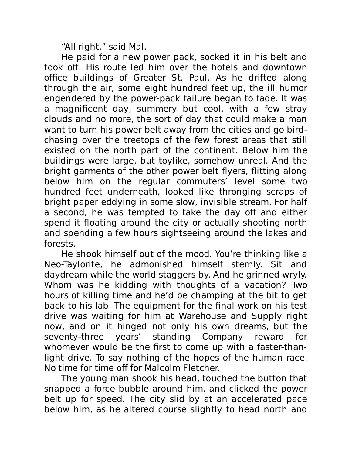"All right," said Mal.

He paid for a new power pack, socked it in his belt and took off. His route led him over the hotels and downtown office buildings of Greater St. Paul. As he drifted along through the air, some eight hundred feet up, the ill humor engendered by the power-pack failure began to fade. It was a magnificent day, summery but cool, with a few stray clouds and no more, the sort of day that could make a man want to turn his power belt away from the cities and go birdchasing over the treetops of the few forest areas that still existed on the north part of the continent. Below him the buildings were large, but toylike, somehow unreal. And the bright garments of the other power belt flyers, flitting along below him on the regular commuters' level some two hundred feet underneath, looked like thronging scraps of bright paper eddying in some slow, invisible stream. For half a second, he was tempted to take the day off and either spend it floating around the city or actually shooting north and spending a few hours sightseeing around the lakes and forests.

He shook himself out of the mood. You're thinking like a Neo-Taylorite, he admonished himself sternly. Sit and daydream while the world staggers by. And he grinned wryly. Whom was he kidding with thoughts of a vacation? Two hours of killing time and he'd be champing at the bit to get back to his lab. The equipment for the final work on his test drive was waiting for him at Warehouse and Supply right now, and on it hinged not only his own dreams, but the seventy-three years' standing Company reward for whomever would be the first to come up with a faster-thanlight drive. To say nothing of the hopes of the human race. No time for time off for Malcolm Fletcher.

The young man shook his head, touched the button that snapped a force bubble around him, and clicked the power belt up for speed. The city slid by at an accelerated pace below him, as he altered course slightly to head north and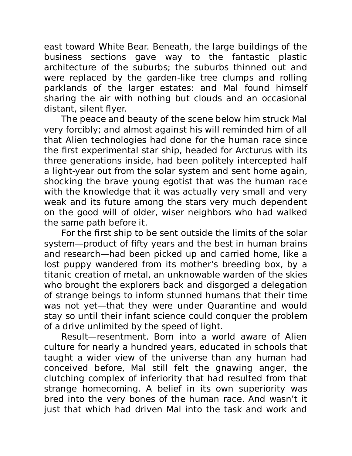east toward White Bear. Beneath, the large buildings of the business sections gave way to the fantastic plastic architecture of the suburbs; the suburbs thinned out and were replaced by the garden-like tree clumps and rolling parklands of the larger estates: and Mal found himself sharing the air with nothing but clouds and an occasional distant, silent flyer.

The peace and beauty of the scene below him struck Mal very forcibly; and almost against his will reminded him of all that Alien technologies had done for the human race since the first experimental star ship, headed for Arcturus with its three generations inside, had been politely intercepted half a light-year out from the solar system and sent home again, shocking the brave young egotist that was the human race with the knowledge that it was actually very small and very weak and its future among the stars very much dependent on the good will of older, wiser neighbors who had walked the same path before it.

For the first ship to be sent outside the limits of the solar system—product of fifty years and the best in human brains and research—had been picked up and carried home, like a lost puppy wandered from its mother's breeding box, by a titanic creation of metal, an unknowable warden of the skies who brought the explorers back and disgorged a delegation of strange beings to inform stunned humans that their time was not yet—that they were under Quarantine and would stay so until their infant science could conquer the problem of a drive unlimited by the speed of light.

Result—resentment. Born into a world aware of Alien culture for nearly a hundred years, educated in schools that taught a wider view of the universe than any human had conceived before, Mal still felt the gnawing anger, the clutching complex of inferiority that had resulted from that strange homecoming. A belief in its own superiority was bred into the very bones of the human race. And wasn't it just that which had driven Mal into the task and work and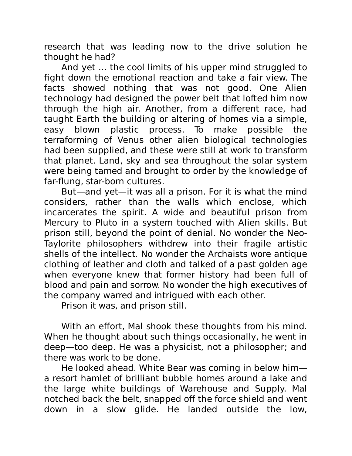research that was leading now to the drive solution he thought he had?

And yet … the cool limits of his upper mind struggled to fight down the emotional reaction and take a fair view. The facts showed nothing that was not good. One Alien technology had designed the power belt that lofted him now through the high air. Another, from a different race, had taught Earth the building or altering of homes via a simple, easy blown plastic process. To make possible the terraforming of Venus other alien biological technologies had been supplied, and these were still at work to transform that planet. Land, sky and sea throughout the solar system were being tamed and brought to order by the knowledge of far-flung, star-born cultures.

But—and yet—it was all a prison. For it is what the mind considers, rather than the walls which enclose, which incarcerates the spirit. A wide and beautiful prison from Mercury to Pluto in a system touched with Alien skills. But prison still, beyond the point of denial. No wonder the Neo-Taylorite philosophers withdrew into their fragile artistic shells of the intellect. No wonder the Archaists wore antique clothing of leather and cloth and talked of a past golden age when everyone knew that former history had been full of blood and pain and sorrow. No wonder the high executives of the company warred and intrigued with each other.

Prison it was, and prison still.

With an effort, Mal shook these thoughts from his mind. When he thought about such things occasionally, he went in deep—too deep. He was a physicist, not a philosopher; and there was work to be done.

He looked ahead. White Bear was coming in below him a resort hamlet of brilliant bubble homes around a lake and the large white buildings of Warehouse and Supply. Mal notched back the belt, snapped off the force shield and went down in a slow glide. He landed outside the low,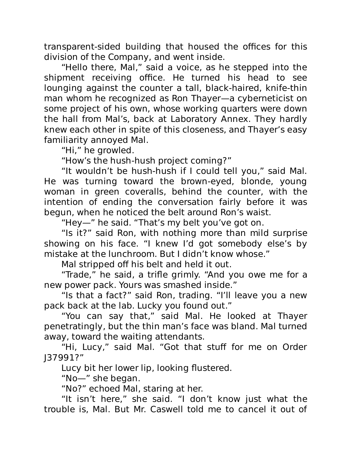transparent-sided building that housed the offices for this division of the Company, and went inside.

"Hello there, Mal," said a voice, as he stepped into the shipment receiving office. He turned his head to see lounging against the counter a tall, black-haired, knife-thin man whom he recognized as Ron Thayer—a cyberneticist on some project of his own, whose working quarters were down the hall from Mal's, back at Laboratory Annex. They hardly knew each other in spite of this closeness, and Thayer's easy familiarity annoyed Mal.

"Hi," he growled.

"How's the hush-hush project coming?"

"It wouldn't be hush-hush if I could tell you," said Mal. He was turning toward the brown-eyed, blonde, young woman in green coveralls, behind the counter, with the intention of ending the conversation fairly before it was begun, when he noticed the belt around Ron's waist.

"Hey—" he said. "That's my belt you've got on.

"Is it?" said Ron, with nothing more than mild surprise showing on his face. "I knew I'd got somebody else's by mistake at the lunchroom. But I didn't know whose."

Mal stripped off his belt and held it out.

"Trade," he said, a trifle grimly. "And you owe me for a new power pack. Yours was smashed inside."

"Is that a fact?" said Ron, trading. "I'll leave you a new pack back at the lab. Lucky you found out."

"You can say that," said Mal. He looked at Thayer penetratingly, but the thin man's face was bland. Mal turned away, toward the waiting attendants.

"Hi, Lucy," said Mal. "Got that stuff for me on Order J37991?"

Lucy bit her lower lip, looking flustered.

"No—" she began.

"No?" echoed Mal, staring at her.

"It isn't here," she said. "I don't know just what the trouble is, Mal. But Mr. Caswell told me to cancel it out of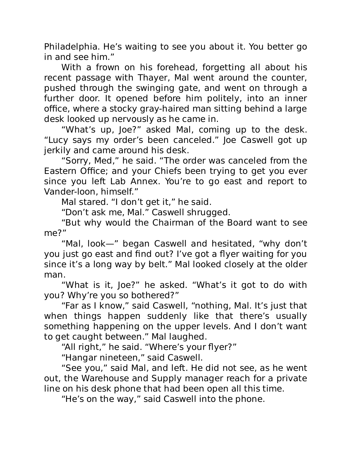Philadelphia. He's waiting to see you about it. You better go in and see him."

With a frown on his forehead, forgetting all about his recent passage with Thayer, Mal went around the counter, pushed through the swinging gate, and went on through a further door. It opened before him politely, into an inner office, where a stocky gray-haired man sitting behind a large desk looked up nervously as he came in.

"What's up, Joe?" asked Mal, coming up to the desk. "Lucy says my order's been canceled." Joe Caswell got up jerkily and came around his desk.

"Sorry, Med," he said. "The order was canceled from the Eastern Office; and your Chiefs been trying to get you ever since you left Lab Annex. You're to go east and report to Vander-loon, himself."

Mal stared. "I don't get it," he said.

"Don't ask me, Mal." Caswell shrugged.

"But why would the Chairman of the Board want to see me?"

"Mal, look—" began Caswell and hesitated, "why don't you just go east and find out? I've got a flyer waiting for you since it's a long way by belt." Mal looked closely at the older man.

"What is it, Joe?" he asked. "What's it got to do with you? Why're you so bothered?"

"Far as I know," said Caswell, "nothing, Mal. It's just that when things happen suddenly like that there's usually something happening on the upper levels. And I don't want to get caught between." Mal laughed.

"All right," he said. "Where's your flyer?"

"Hangar nineteen," said Caswell.

"See you," said Mal, and left. He did not see, as he went out, the Warehouse and Supply manager reach for a private line on his desk phone that had been open all this time.

"He's on the way," said Caswell into the phone.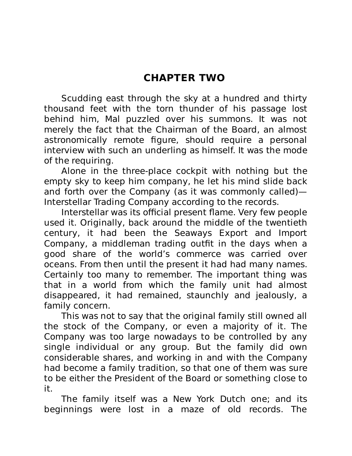## **CHAPTER TWO**

Scudding east through the sky at a hundred and thirty thousand feet with the torn thunder of his passage lost behind him, Mal puzzled over his summons. It was not merely the fact that the Chairman of the Board, an almost astronomically remote figure, should require a personal interview with such an underling as himself. It was the mode of the requiring.

Alone in the three-place cockpit with nothing but the empty sky to keep him company, he let his mind slide back and forth over the Company (as it was commonly called)— Interstellar Trading Company according to the records.

Interstellar was its official present flame. Very few people used it. Originally, back around the middle of the twentieth century, it had been the Seaways Export and Import Company, a middleman trading outfit in the days when a good share of the world's commerce was carried over oceans. From then until the present it had had many names. Certainly too many to remember. The important thing was that in a world from which the family unit had almost disappeared, it had remained, staunchly and jealously, a family concern.

This was not to say that the original family still owned all the stock of the Company, or even a majority of it. The Company was too large nowadays to be controlled by any single individual or any group. But the family did own considerable shares, and working in and with the Company had become a family tradition, so that one of them was sure to be either the President of the Board or something close to it.

The family itself was a New York Dutch one; and its beginnings were lost in a maze of old records. The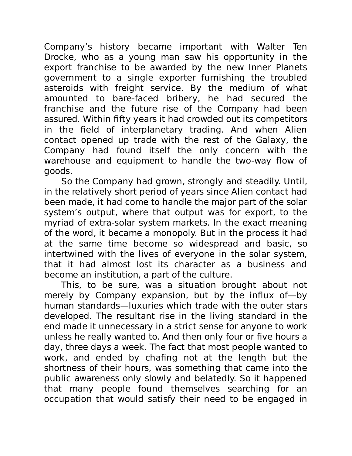Company's history became important with Walter Ten Drocke, who as a young man saw his opportunity in the export franchise to be awarded by the new Inner Planets government to a single exporter furnishing the troubled asteroids with freight service. By the medium of what amounted to bare-faced bribery, he had secured the franchise and the future rise of the Company had been assured. Within fifty years it had crowded out its competitors in the field of interplanetary trading. And when Alien contact opened up trade with the rest of the Galaxy, the Company had found itself the only concern with the warehouse and equipment to handle the two-way flow of goods.

So the Company had grown, strongly and steadily. Until, in the relatively short period of years since Alien contact had been made, it had come to handle the major part of the solar system's output, where that output was for export, to the myriad of extra-solar system markets. In the exact meaning of the word, it became a monopoly. But in the process it had at the same time become so widespread and basic, so intertwined with the lives of everyone in the solar system, that it had almost lost its character as a business and become an institution, a part of the culture.

This, to be sure, was a situation brought about not merely by Company expansion, but by the influx of—by human standards—luxuries which trade with the outer stars developed. The resultant rise in the living standard in the end made it unnecessary in a strict sense for anyone to work unless he really wanted to. And then only four or five hours a day, three days a week. The fact that most people wanted to work, and ended by chafing not at the length but the shortness of their hours, was something that came into the public awareness only slowly and belatedly. So it happened that many people found themselves searching for an occupation that would satisfy their need to be engaged in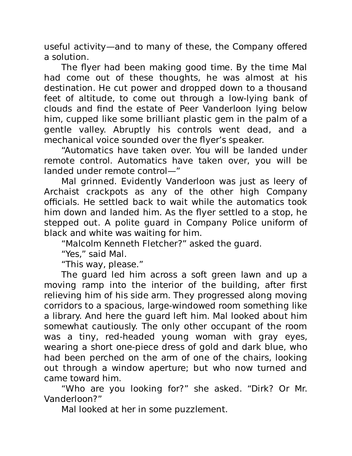useful activity—and to many of these, the Company offered a solution.

The flyer had been making good time. By the time Mal had come out of these thoughts, he was almost at his destination. He cut power and dropped down to a thousand feet of altitude, to come out through a low-lying bank of clouds and find the estate of Peer Vanderloon lying below him, cupped like some brilliant plastic gem in the palm of a gentle valley. Abruptly his controls went dead, and a mechanical voice sounded over the flyer's speaker.

"Automatics have taken over. You will be landed under remote control. Automatics have taken over, you will be landed under remote control—"

Mal grinned. Evidently Vanderloon was just as leery of Archaist crackpots as any of the other high Company officials. He settled back to wait while the automatics took him down and landed him. As the flyer settled to a stop, he stepped out. A polite guard in Company Police uniform of black and white was waiting for him.

"Malcolm Kenneth Fletcher?" asked the guard.

"Yes," said Mal.

"This way, please."

The guard led him across a soft green lawn and up a moving ramp into the interior of the building, after first relieving him of his side arm. They progressed along moving corridors to a spacious, large-windowed room something like a library. And here the guard left him. Mal looked about him somewhat cautiously. The only other occupant of the room was a tiny, red-headed young woman with gray eyes, wearing a short one-piece dress of gold and dark blue, who had been perched on the arm of one of the chairs, looking out through a window aperture; but who now turned and came toward him.

"Who are you looking for?" she asked. "Dirk? Or Mr. Vanderloon?"

Mal looked at her in some puzzlement.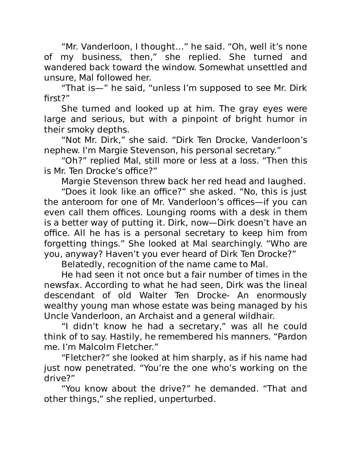"Mr. Vanderloon, I thought…" he said. "Oh, well it's none of my business, then," she replied. She turned and wandered back toward the window. Somewhat unsettled and unsure, Mal followed her.

"That is—" he said, "unless I'm supposed to see Mr. Dirk first?"

She turned and looked up at him. The gray eyes were large and serious, but with a pinpoint of bright humor in their smoky depths.

"Not Mr. Dirk," she said. "Dirk Ten Drocke, Vanderloon's nephew. I'm Margie Stevenson, his personal secretary."

"Oh?" replied Mal, still more or less at a loss. "Then this is Mr. Ten Drocke's office?"

Margie Stevenson threw back her red head and laughed.

"Does it look like an office?" she asked. "No, this is just the anteroom for one of Mr. Vanderloon's offices—if you can even call them offices. Lounging rooms with a desk in them is a better way of putting it. Dirk, now—Dirk doesn't have an office. All he has is a personal secretary to keep him from forgetting things." She looked at Mal searchingly. "Who are you, anyway? Haven't you ever heard of Dirk Ten Drocke?"

Belatedly, recognition of the name came to Mal.

He had seen it not once but a fair number of times in the newsfax. According to what he had seen, Dirk was the lineal descendant of old Walter Ten Drocke- An enormously wealthy young man whose estate was being managed by his Uncle Vanderloon, an Archaist and a general wildhair.

"I didn't know he had a secretary," was all he could think of to say. Hastily, he remembered his manners. "Pardon me. I'm Malcolm Fletcher."

"Fletcher?" she looked at him sharply, as if his name had just now penetrated. "You're the one who's working on the drive?"

"You know about the drive?" he demanded. "That and other things," she replied, unperturbed.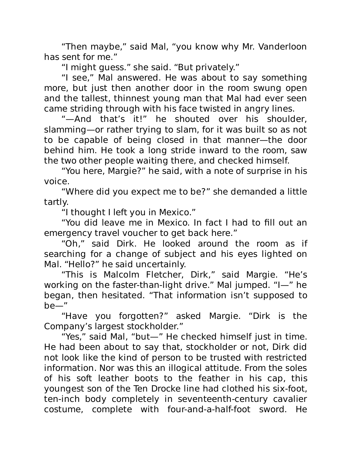"Then maybe," said Mal, "you know why Mr. Vanderloon has sent for me."

"I might guess." she said. "But privately."

"I see," Mal answered. He was about to say something more, but just then another door in the room swung open and the tallest, thinnest young man that Mal had ever seen came striding through with his face twisted in angry lines.

"—And that's it!" he shouted over his shoulder, slamming—or rather trying to slam, for it was built so as not to be capable of being closed in that manner—the door behind him. He took a long stride inward to the room, saw the two other people waiting there, and checked himself.

"You here, Margie?" he said, with a note of surprise in his voice.

"Where did you expect me to be?" she demanded a little tartly.

"I thought I left you in Mexico."

"You did leave me in Mexico. In fact I had to fill out an emergency travel voucher to get back here."

"Oh," said Dirk. He looked around the room as if searching for a change of subject and his eyes lighted on Mal. "Hello?" he said uncertainly.

"This is Malcolm Fletcher, Dirk," said Margie. "He's working on the faster-than-light drive." Mal jumped. "I—" he began, then hesitated. "That information isn't supposed to be—"

"Have you forgotten?" asked Margie. "Dirk is the Company's largest stockholder."

"Yes," said Mal, "but—" He checked himself just in time. He had been about to say that, stockholder or not, Dirk did not look like the kind of person to be trusted with restricted information. Nor was this an illogical attitude. From the soles of his soft leather boots to the feather in his cap, this youngest son of the Ten Drocke line had clothed his six-foot, ten-inch body completely in seventeenth-century cavalier costume, complete with four-and-a-half-foot sword. He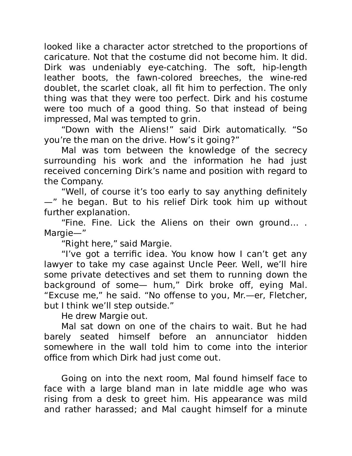looked like a character actor stretched to the proportions of caricature. Not that the costume did not become him. It did. Dirk was undeniably eye-catching. The soft, hip-length leather boots, the fawn-colored breeches, the wine-red doublet, the scarlet cloak, all fit him to perfection. The only thing was that they were too perfect. Dirk and his costume were too much of a good thing. So that instead of being impressed, Mal was tempted to grin.

"Down with the Aliens!" said Dirk automatically. "So you're the man on the drive. How's it going?"

Mal was tom between the knowledge of the secrecy surrounding his work and the information he had just received concerning Dirk's name and position with regard to the Company.

"Well, of course it's too early to say anything definitely —" he began. But to his relief Dirk took him up without further explanation.

"Fine. Fine. Lick the Aliens on their own ground… . Margie—"

"Right here," said Margie.

"I've got a terrific idea. You know how I can't get any lawyer to take my case against Uncle Peer. Well, we'll hire some private detectives and set them to running down the background of some— hum," Dirk broke off, eying Mal. "Excuse me," he said. "No offense to you, Mr.—er, Fletcher, but I think we'll step outside."

He drew Margie out.

Mal sat down on one of the chairs to wait. But he had barely seated himself before an annunciator hidden somewhere in the wall told him to come into the interior office from which Dirk had just come out.

Going on into the next room, Mal found himself face to face with a large bland man in late middle age who was rising from a desk to greet him. His appearance was mild and rather harassed; and Mal caught himself for a minute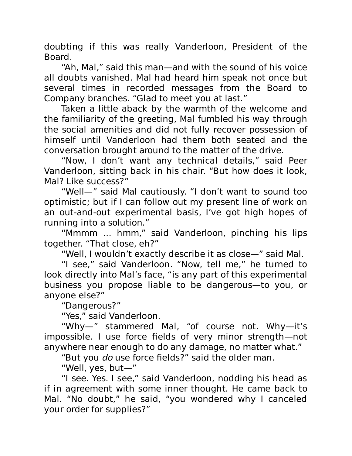doubting if this was really Vanderloon, President of the Board.

"Ah, Mal," said this man—and with the sound of his voice all doubts vanished. Mal had heard him speak not once but several times in recorded messages from the Board to Company branches. "Glad to meet you at last."

Taken a little aback by the warmth of the welcome and the familiarity of the greeting, Mal fumbled his way through the social amenities and did not fully recover possession of himself until Vanderloon had them both seated and the conversation brought around to the matter of the drive.

"Now, I don't want any technical details," said Peer Vanderloon, sitting back in his chair. "But how does it look, Mal? Like success?"

"Well—" said Mal cautiously. "I don't want to sound too optimistic; but if I can follow out my present line of work on an out-and-out experimental basis, I've got high hopes of running into a solution."

"Mmmm … hmm," said Vanderloon, pinching his lips together. "That close, eh?"

"Well, I wouldn't exactly describe it as close—" said Mal.

"I see," said Vanderloon. "Now, tell me," he turned to look directly into Mal's face, "is any part of this experimental business you propose liable to be dangerous—to you, or anyone else?"

"Dangerous?"

"Yes," said Vanderloon.

"Why—" stammered Mal, "of course not. Why—it's impossible. I use force fields of very minor strength—not anywhere near enough to do any damage, no matter what."

"But you *do* use force fields?" said the older man.

"Well, yes, but—"

"I see. Yes. I see," said Vanderloon, nodding his head as if in agreement with some inner thought. He came back to Mal. "No doubt," he said, "you wondered why I canceled your order for supplies?"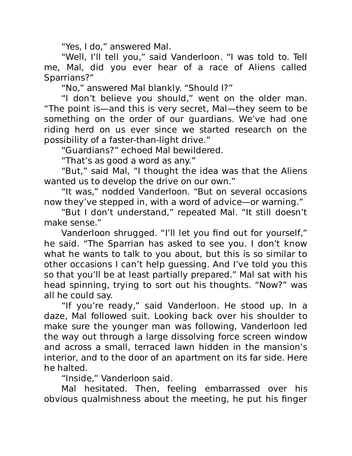"Yes, I do," answered Mal.

"Well, I'll tell you," said Vanderloon. "I was told to. Tell me, Mal, did you ever hear of a race of Aliens called Sparrians?"

"No," answered Mal blankly. "Should I?"

"I don't believe you should," went on the older man. "The point is—and this is very secret, Mal—they seem to be something on the order of our guardians. We've had one riding herd on us ever since we started research on the possibility of a faster-than-light drive."

"Guardians?" echoed Mal bewildered.

"That's as good a word as any."

"But," said Mal, "I thought the idea was that the Aliens wanted us to develop the drive on our own."

"It was," nodded Vanderloon. "But on several occasions now they've stepped in, with a word of advice—or warning."

"But I don't understand," repeated Mal. "It still doesn't make sense."

Vanderloon shrugged. "I'll let you find out for yourself," he said. "The Sparrian has asked to see you. I don't know what he wants to talk to you about, but this is so similar to other occasions I can't help guessing. And I've told you this so that you'll be at least partially prepared." Mal sat with his head spinning, trying to sort out his thoughts. "Now?" was all he could say.

"If you're ready," said Vanderloon. He stood up. In a daze, Mal followed suit. Looking back over his shoulder to make sure the younger man was following, Vanderloon led the way out through a large dissolving force screen window and across a small, terraced lawn hidden in the mansion's interior, and to the door of an apartment on its far side. Here he halted.

"Inside," Vanderloon said.

Mal hesitated. Then, feeling embarrassed over his obvious qualmishness about the meeting, he put his finger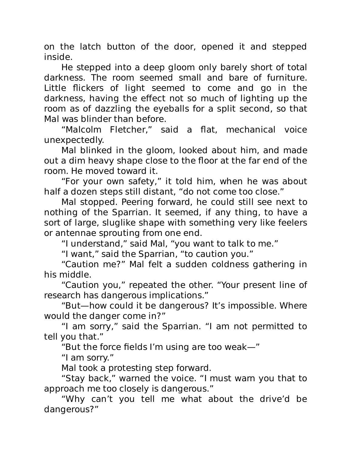on the latch button of the door, opened it and stepped inside.

He stepped into a deep gloom only barely short of total darkness. The room seemed small and bare of furniture. Little flickers of light seemed to come and go in the darkness, having the effect not so much of lighting up the room as of dazzling the eyeballs for a split second, so that Mal was blinder than before.

"Malcolm Fletcher," said a flat, mechanical voice unexpectedly.

Mal blinked in the gloom, looked about him, and made out a dim heavy shape close to the floor at the far end of the room. He moved toward it.

"For your own safety," it told him, when he was about half a dozen steps still distant, "do not come too close."

Mal stopped. Peering forward, he could still see next to nothing of the Sparrian. It seemed, if any thing, to have a sort of large, sluglike shape with something very like feelers or antennae sprouting from one end.

"I understand," said Mal, "you want to talk to me."

"I want," said the Sparrian, "to caution you."

"Caution me?" Mal felt a sudden coldness gathering in his middle.

"Caution you," repeated the other. "Your present line of research has dangerous implications."

"But—how could it be dangerous? It's impossible. Where would the danger come in?"

"I am sorry," said the Sparrian. "I am not permitted to tell you that."

"But the force fields I'm using are too weak—"

"I am sorry."

Mal took a protesting step forward.

"Stay back," warned the voice. "I must warn you that to approach me too closely is dangerous."

"Why can't you tell me what about the drive'd be dangerous?"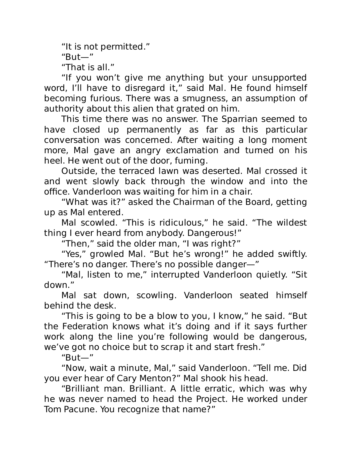"It is not permitted."

"But—"

"That is all."

"If you won't give me anything but your unsupported word, I'll have to disregard it," said Mal. He found himself becoming furious. There was a smugness, an assumption of authority about this alien that grated on him.

This time there was no answer. The Sparrian seemed to have closed up permanently as far as this particular conversation was concerned. After waiting a long moment more, Mal gave an angry exclamation and turned on his heel. He went out of the door, fuming.

Outside, the terraced lawn was deserted. Mal crossed it and went slowly back through the window and into the office. Vanderloon was waiting for him in a chair.

"What was it?" asked the Chairman of the Board, getting up as Mal entered.

Mal scowled. "This is ridiculous," he said. "The wildest thing I ever heard from anybody. Dangerous!"

"Then," said the older man, "I was right?"

"Yes," growled Mal. "But he's wrong!" he added swiftly. "There's no danger. There's no possible danger—"

"Mal, listen to me," interrupted Vanderloon quietly. "Sit down."

Mal sat down, scowling. Vanderloon seated himself behind the desk.

"This is going to be a blow to you, I know," he said. "But the Federation knows what it's doing and if it says further work along the line you're following would be dangerous, we've got no choice but to scrap it and start fresh."

"But—"

"Now, wait a minute, Mal," said Vanderloon. "Tell me. Did you ever hear of Cary Menton?" Mal shook his head.

"Brilliant man. Brilliant. A little erratic, which was why he was never named to head the Project. He worked under Tom Pacune. You recognize that name?"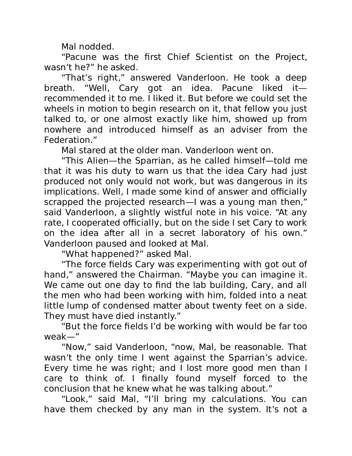Mal nodded.

"Pacune was the first Chief Scientist on the Project, wasn't he?" he asked.

"That's right," answered Vanderloon. He took a deep breath. "Well, Cary got an idea. Pacune liked it recommended it to me. I liked it. But before we could set the wheels in motion to begin research on it, that fellow you just talked to, or one almost exactly like him, showed up from nowhere and introduced himself as an adviser from the Federation."

Mal stared at the older man. Vanderloon went on.

"This Alien—the Sparrian, as he called himself—told me that it was his duty to warn us that the idea Cary had just produced not only would not work, but was dangerous in its implications. Well, I made some kind of answer and officially scrapped the projected research—I was a young man then," said Vanderloon, a slightly wistful note in his voice. "At any rate, I cooperated officially, but on the side I set Cary to work on the idea after all in a secret laboratory of his own." Vanderloon paused and looked at Mal.

"What happened?" asked Mal.

"The force fields Cary was experimenting with got out of hand," answered the Chairman. "Maybe you can imagine it. We came out one day to find the lab building, Cary, and all the men who had been working with him, folded into a neat little lump of condensed matter about twenty feet on a side. They must have died instantly."

"But the force fields I'd be working with would be far too weak—"

"Now," said Vanderloon, "now, Mal, be reasonable. That wasn't the only time I went against the Sparrian's advice. Every time he was right; and I lost more good men than I care to think of. I finally found myself forced to the conclusion that he knew what he was talking about."

"Look," said Mal, "I'll bring my calculations. You can have them checked by any man in the system. It's not a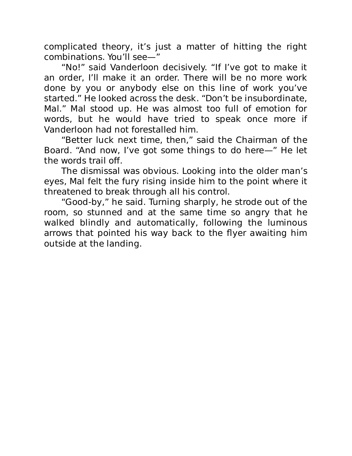complicated theory, it's just a matter of hitting the right combinations. You'll see—"

"No!" said Vanderloon decisively. "If I've got to make it an order, I'll make it an order. There will be no more work done by you or anybody else on this line of work you've started." He looked across the desk. "Don't be insubordinate, Mal." Mal stood up. He was almost too full of emotion for words, but he would have tried to speak once more if Vanderloon had not forestalled him.

"Better luck next time, then," said the Chairman of the Board. "And now, I've got some things to do here—" He let the words trail off.

The dismissal was obvious. Looking into the older man's eyes, Mal felt the fury rising inside him to the point where it threatened to break through all his control.

"Good-by," he said. Turning sharply, he strode out of the room, so stunned and at the same time so angry that he walked blindly and automatically, following the luminous arrows that pointed his way back to the flyer awaiting him outside at the landing.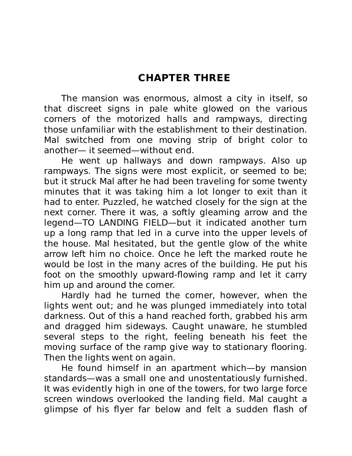#### **CHAPTER THREE**

The mansion was enormous, almost a city in itself, so that discreet signs in pale white glowed on the various corners of the motorized halls and rampways, directing those unfamiliar with the establishment to their destination. Mal switched from one moving strip of bright color to another— it seemed—without end.

He went up hallways and down rampways. Also up rampways. The signs were most explicit, or seemed to be; but it struck Mal after he had been traveling for some twenty minutes that it was taking him a lot longer to exit than it had to enter. Puzzled, he watched closely for the sign at the next corner. There it was, a softly gleaming arrow and the legend—TO LANDING FIELD—but it indicated another turn up a long ramp that led in a curve into the upper levels of the house. Mal hesitated, but the gentle glow of the white arrow left him no choice. Once he left the marked route he would be lost in the many acres of the building. He put his foot on the smoothly upward-flowing ramp and let it carry him up and around the corner.

Hardly had he turned the corner, however, when the lights went out; and he was plunged immediately into total darkness. Out of this a hand reached forth, grabbed his arm and dragged him sideways. Caught unaware, he stumbled several steps to the right, feeling beneath his feet the moving surface of the ramp give way to stationary flooring. Then the lights went on again.

He found himself in an apartment which—by mansion standards—was a small one and unostentatiously furnished. It was evidently high in one of the towers, for two large force screen windows overlooked the landing field. Mal caught a glimpse of his flyer far below and felt a sudden flash of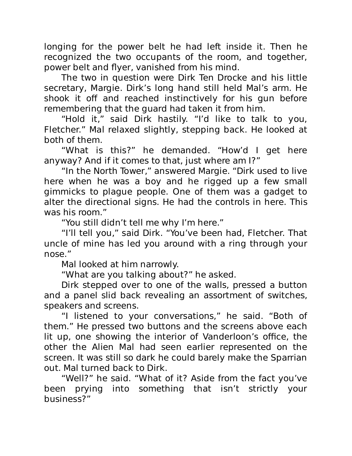longing for the power belt he had left inside it. Then he recognized the two occupants of the room, and together, power belt and flyer, vanished from his mind.

The two in question were Dirk Ten Drocke and his little secretary, Margie. Dirk's long hand still held Mal's arm. He shook it off and reached instinctively for his gun before remembering that the guard had taken it from him.

"Hold it," said Dirk hastily. "I'd like to talk to you, Fletcher." Mal relaxed slightly, stepping back. He looked at both of them.

"What is this?" he demanded. "How'd I get here anyway? And if it comes to that, just where am I?"

"In the North Tower," answered Margie. "Dirk used to live here when he was a boy and he rigged up a few small gimmicks to plague people. One of them was a gadget to alter the directional signs. He had the controls in here. This was his room."

"You still didn't tell me why I'm here."

"I'll tell you," said Dirk. "You've been had, Fletcher. That uncle of mine has led you around with a ring through your nose."

Mal looked at him narrowly.

"What are you talking about?" he asked.

Dirk stepped over to one of the walls, pressed a button and a panel slid back revealing an assortment of switches, speakers and screens.

"I listened to your conversations," he said. "Both of them." He pressed two buttons and the screens above each lit up, one showing the interior of Vanderloon's office, the other the Alien Mal had seen earlier represented on the screen. It was still so dark he could barely make the Sparrian out. Mal turned back to Dirk.

"Well?" he said. "What of it? Aside from the fact you've been prying into something that isn't strictly your business?"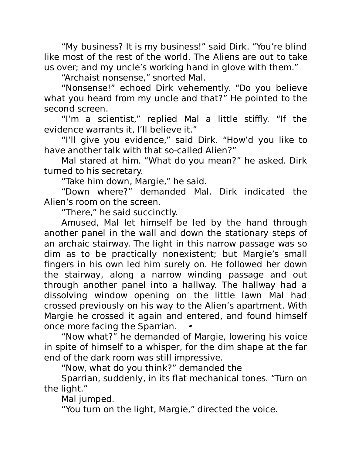"My business? It is my business!" said Dirk. "You're blind like most of the rest of the world. The Aliens are out to take us over; and my uncle's working hand in glove with them."

"Archaist nonsense," snorted Mal.

"Nonsense!" echoed Dirk vehemently. "Do you believe what you heard from my uncle and that?" He pointed to the second screen.

"I'm a scientist," replied Mal a little stiffly. "If the evidence warrants it, I'll believe it."

"I'll give you evidence," said Dirk. "How'd you like to have another talk with that so-called Alien?"

Mal stared at him. "What do you mean?" he asked. Dirk turned to his secretary.

"Take him down, Margie," he said.

"Down where?" demanded Mal. Dirk indicated the Alien's room on the screen.

"There," he said succinctly.

Amused, Mal let himself be led by the hand through another panel in the wall and down the stationary steps of an archaic stairway. The light in this narrow passage was so dim as to be practically nonexistent; but Margie's small fingers in his own led him surely on. He followed her down the stairway, along a narrow winding passage and out through another panel into a hallway. The hallway had a dissolving window opening on the little lawn Mal had crossed previously on his way to the Alien's apartment. With Margie he crossed it again and entered, and found himself once more facing the Sparrian. •

"Now what?" he demanded of Margie, lowering his voice in spite of himself to a whisper, for the dim shape at the far end of the dark room was still impressive.

"Now, what do you think?" demanded the

Sparrian, suddenly, in its flat mechanical tones. "Turn on the light."

Mal jumped.

"You turn on the light, Margie," directed the voice.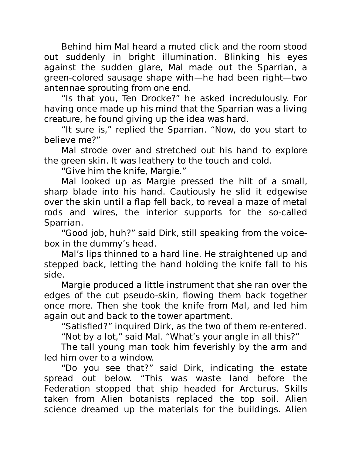Behind him Mal heard a muted click and the room stood out suddenly in bright illumination. Blinking his eyes against the sudden glare, Mal made out the Sparrian, a green-colored sausage shape with—he had been right—two antennae sprouting from one end.

"Is that you, Ten Drocke?" he asked incredulously. For having once made up his mind that the Sparrian was a living creature, he found giving up the idea was hard.

"It sure is," replied the Sparrian. "Now, do you start to believe me?"

Mal strode over and stretched out his hand to explore the green skin. It was leathery to the touch and cold.

"Give him the knife, Margie."

Mal looked up as Margie pressed the hilt of a small, sharp blade into his hand. Cautiously he slid it edgewise over the skin until a flap fell back, to reveal a maze of metal rods and wires, the interior supports for the so-called Sparrian.

"Good job, huh?" said Dirk, still speaking from the voicebox in the dummy's head.

Mal's lips thinned to a hard line. He straightened up and stepped back, letting the hand holding the knife fall to his side.

Margie produced a little instrument that she ran over the edges of the cut pseudo-skin, flowing them back together once more. Then she took the knife from Mal, and led him again out and back to the tower apartment.

"Satisfied?" inquired Dirk, as the two of them re-entered.

"Not by a lot," said Mal. "What's your angle in all this?"

The tall young man took him feverishly by the arm and led him over to a window.

"Do you see that?" said Dirk, indicating the estate spread out below. "This was waste land before the Federation stopped that ship headed for Arcturus. Skills taken from Alien botanists replaced the top soil. Alien science dreamed up the materials for the buildings. Alien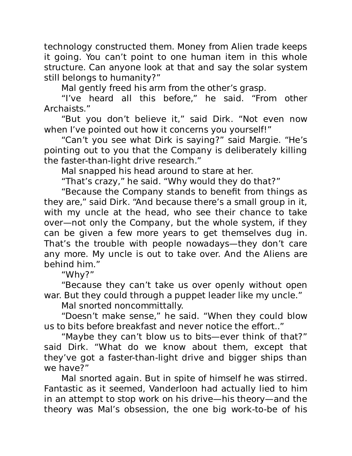technology constructed them. Money from Alien trade keeps it going. You can't point to one human item in this whole structure. Can anyone look at that and say the solar system still belongs to humanity?"

Mal gently freed his arm from the other's grasp.

"I've heard all this before," he said. "From other Archaists."

"But you don't believe it," said Dirk. "Not even now when I've pointed out how it concerns you yourself!"

"Can't you see what Dirk is saying?" said Margie. "He's pointing out to you that the Company is deliberately killing the faster-than-light drive research."

Mal snapped his head around to stare at her.

"That's crazy," he said. "Why would they do that?"

"Because the Company stands to benefit from things as they are," said Dirk. "And because there's a small group in it, with my uncle at the head, who see their chance to take over—not only the Company, but the whole system, if they can be given a few more years to get themselves dug in. That's the trouble with people nowadays—they don't care any more. My uncle is out to take over. And the Aliens are behind him."

"Why?"

"Because they can't take us over openly without open war. But they could through a puppet leader like my uncle."

Mal snorted noncommittally.

"Doesn't make sense," he said. "When they could blow us to bits before breakfast and never notice the effort.."

"Maybe they can't blow us to bits—ever think of that?" said Dirk. "What do we know about them, except that they've got a faster-than-light drive and bigger ships than we have?"

Mal snorted again. But in spite of himself he was stirred. Fantastic as it seemed, Vanderloon had actually lied to him in an attempt to stop work on his drive—his theory—and the theory was Mal's obsession, the one big work-to-be of his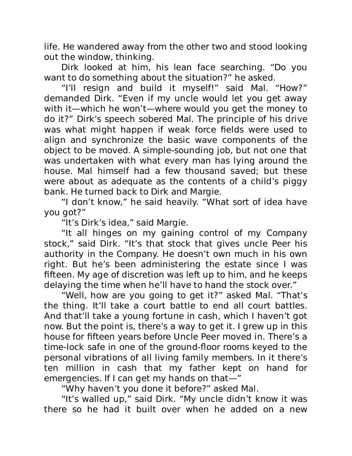life. He wandered away from the other two and stood looking out the window, thinking.

Dirk looked at him, his lean face searching. "Do you want to do something about the situation?" he asked.

"I'll resign and build it myself!" said Mal. "How?" demanded Dirk. "Even if my uncle would let you get away with it—which he won't—where would you get the money to do it?" Dirk's speech sobered Mal. The principle of his drive was what might happen if weak force fields were used to align and synchronize the basic wave components of the object to be moved. A simple-sounding job, but not one that was undertaken with what every man has lying around the house. Mal himself had a few thousand saved; but these were about as adequate as the contents of a child's piggy bank. He turned back to Dirk and Margie.

"I don't know," he said heavily. "What sort of idea have you got?"

"It's Dirk's idea," said Margie.

"It all hinges on my gaining control of my Company stock," said Dirk. "It's that stock that gives uncle Peer his authority in the Company. He doesn't own much in his own right. But he's been administering the estate since I was fifteen. My age of discretion was left up to him, and he keeps delaying the time when he'll have to hand the stock over."

"Well, how are you going to get it?" asked Mal. "That's the thing. It'll take a court battle to end all court battles. And that'll take a young fortune in cash, which I haven't got now. But the point is, there's a way to get it. I grew up in this house for fifteen years before Uncle Peer moved in. There's a time-lock safe in one of the ground-floor rooms keyed to the personal vibrations of all living family members. In it there's ten million in cash that my father kept on hand for emergencies. If I can get my hands on that—"

"Why haven't you done it before?" asked Mal.

"It's walled up," said Dirk. "My uncle didn't know it was there so he had it built over when he added on a new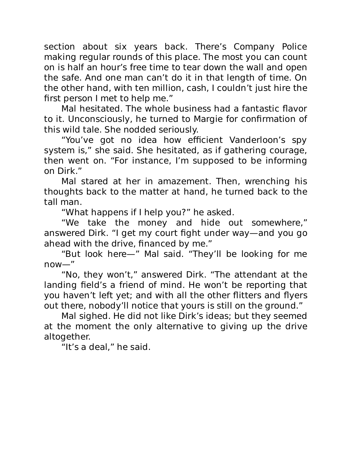section about six years back. There's Company Police making regular rounds of this place. The most you can count on is half an hour's free time to tear down the wall and open the safe. And one man can't do it in that length of time. On the other hand, with ten million, cash, I couldn't just hire the first person I met to help me."

Mal hesitated. The whole business had a fantastic flavor to it. Unconsciously, he turned to Margie for confirmation of this wild tale. She nodded seriously.

"You've got no idea how efficient Vanderloon's spy system is," she said. She hesitated, as if gathering courage, then went on. "For instance, I'm supposed to be informing on Dirk."

Mal stared at her in amazement. Then, wrenching his thoughts back to the matter at hand, he turned back to the tall man.

"What happens if I help you?" he asked.

"We take the money and hide out somewhere," answered Dirk. "I get my court fight under way—and you go ahead with the drive, financed by me."

"But look here—" Mal said. "They'll be looking for me now—"

"No, they won't," answered Dirk. "The attendant at the landing field's a friend of mind. He won't be reporting that you haven't left yet; and with all the other flitters and flyers out there, nobody'll notice that yours is still on the ground."

Mal sighed. He did not like Dirk's ideas; but they seemed at the moment the only alternative to giving up the drive altogether.

"It's a deal," he said.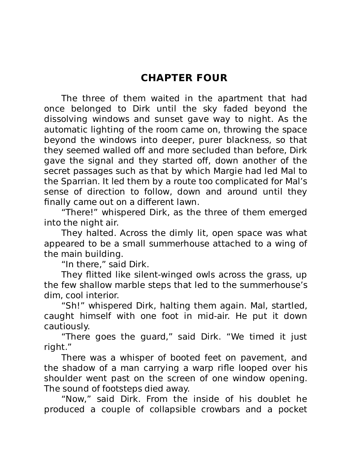### **CHAPTER FOUR**

The three of them waited in the apartment that had once belonged to Dirk until the sky faded beyond the dissolving windows and sunset gave way to night. As the automatic lighting of the room came on, throwing the space beyond the windows into deeper, purer blackness, so that they seemed walled off and more secluded than before, Dirk gave the signal and they started off, down another of the secret passages such as that by which Margie had led Mal to the Sparrian. It led them by a route too complicated for Mal's sense of direction to follow, down and around until they finally came out on a different lawn.

"There!" whispered Dirk, as the three of them emerged into the night air.

They halted. Across the dimly lit, open space was what appeared to be a small summerhouse attached to a wing of the main building.

"In there," said Dirk.

They flitted like silent-winged owls across the grass, up the few shallow marble steps that led to the summerhouse's dim, cool interior.

"Sh!" whispered Dirk, halting them again. Mal, startled, caught himself with one foot in mid-air. He put it down cautiously.

"There goes the guard," said Dirk. "We timed it just right."

There was a whisper of booted feet on pavement, and the shadow of a man carrying a warp rifle looped over his shoulder went past on the screen of one window opening. The sound of footsteps died away.

"Now," said Dirk. From the inside of his doublet he produced a couple of collapsible crowbars and a pocket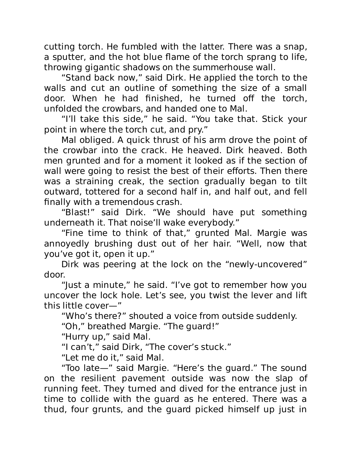cutting torch. He fumbled with the latter. There was a snap, a sputter, and the hot blue flame of the torch sprang to life, throwing gigantic shadows on the summerhouse wall.

"Stand back now," said Dirk. He applied the torch to the walls and cut an outline of something the size of a small door. When he had finished, he turned off the torch, unfolded the crowbars, and handed one to Mal.

"I'll take this side," he said. "You take that. Stick your point in where the torch cut, and pry."

Mal obliged. A quick thrust of his arm drove the point of the crowbar into the crack. He heaved. Dirk heaved. Both men grunted and for a moment it looked as if the section of wall were going to resist the best of their efforts. Then there was a straining creak, the section gradually began to tilt outward, tottered for a second half in, and half out, and fell finally with a tremendous crash.

"Blast!" said Dirk. "We should have put something underneath it. That noise'll wake everybody."

"Fine time to think of that," grunted Mal. Margie was annoyedly brushing dust out of her hair. "Well, now that you've got it, open it up."

Dirk was peering at the lock on the "newly-uncovered" door.

"Just a minute," he said. "I've got to remember how you uncover the lock hole. Let's see, you twist the lever and lift this little cover—"

"Who's there?" shouted a voice from outside suddenly.

"Oh," breathed Margie. "The guard!"

"Hurry up," said Mal.

"I can't," said Dirk, "The cover's stuck."

"Let me do it," said Mal.

"Too late—" said Margie. "Here's the guard." The sound on the resilient pavement outside was now the slap of running feet. They turned and dived for the entrance just in time to collide with the guard as he entered. There was a thud, four grunts, and the guard picked himself up just in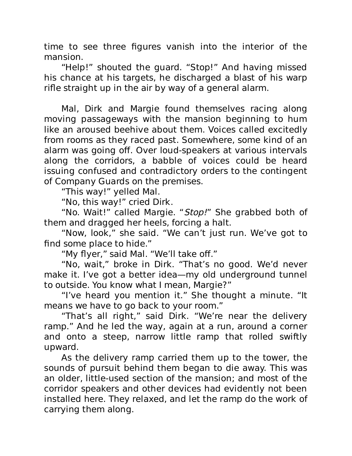time to see three figures vanish into the interior of the mansion.

"Help!" shouted the guard. "Stop!" And having missed his chance at his targets, he discharged a blast of his warp rifle straight up in the air by way of a general alarm.

Mal, Dirk and Margie found themselves racing along moving passageways with the mansion beginning to hum like an aroused beehive about them. Voices called excitedly from rooms as they raced past. Somewhere, some kind of an alarm was going off. Over loud-speakers at various intervals along the corridors, a babble of voices could be heard issuing confused and contradictory orders to the contingent of Company Guards on the premises.

"This way!" yelled Mal.

"No, this way!" cried Dirk.

"No. Wait!" called Margie. "Stop!" She grabbed both of them and dragged her heels, forcing a halt.

"Now, look," she said. "We can't just run. We've got to find some place to hide."

"My flyer," said Mal. "We'll take off."

"No, wait," broke in Dirk. "That's no good. We'd never make it. I've got a better idea—my old underground tunnel to outside. You know what I mean, Margie?"

"I've heard you mention it." She thought a minute. "It means we have to go back to your room."

"That's all right," said Dirk. "We're near the delivery ramp." And he led the way, again at a run, around a corner and onto a steep, narrow little ramp that rolled swiftly upward.

As the delivery ramp carried them up to the tower, the sounds of pursuit behind them began to die away. This was an older, little-used section of the mansion; and most of the corridor speakers and other devices had evidently not been installed here. They relaxed, and let the ramp do the work of carrying them along.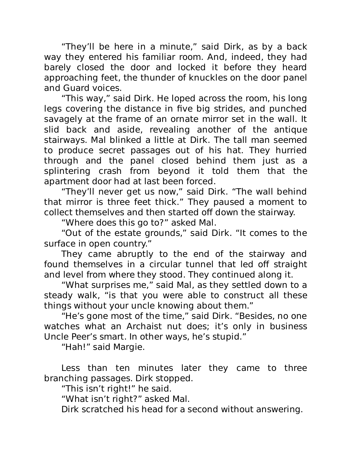"They'll be here in a minute," said Dirk, as by a back way they entered his familiar room. And, indeed, they had barely closed the door and locked it before they heard approaching feet, the thunder of knuckles on the door panel and Guard voices.

"This way," said Dirk. He loped across the room, his long legs covering the distance in five big strides, and punched savagely at the frame of an ornate mirror set in the wall. It slid back and aside, revealing another of the antique stairways. Mal blinked a little at Dirk. The tall man seemed to produce secret passages out of his hat. They hurried through and the panel closed behind them just as a splintering crash from beyond it told them that the apartment door had at last been forced.

"They'll never get us now," said Dirk. "The wall behind that mirror is three feet thick." They paused a moment to collect themselves and then started off down the stairway.

"Where does this go to?" asked Mal.

"Out of the estate grounds," said Dirk. "It comes to the surface in open country."

They came abruptly to the end of the stairway and found themselves in a circular tunnel that led off straight and level from where they stood. They continued along it.

"What surprises me," said Mal, as they settled down to a steady walk, "is that you were able to construct all these things without your uncle knowing about them."

"He's gone most of the time," said Dirk. "Besides, no one watches what an Archaist nut does; it's only in business Uncle Peer's smart. In other ways, he's stupid."

"Hah!" said Margie.

Less than ten minutes later they came to three branching passages. Dirk stopped.

"This isn't right!" he said.

"What isn't right?" asked Mal.

Dirk scratched his head for a second without answering.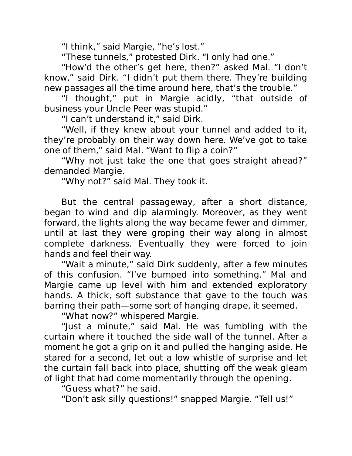"I think," said Margie, "he's lost."

"These tunnels," protested Dirk. "I only had one."

"How'd the other's get here, then?" asked Mal. "I don't know," said Dirk. "I didn't put them there. They're building new passages all the time around here, that's the trouble."

"I thought," put in Margie acidly, "that outside of business your Uncle Peer was stupid."

"I can't understand it," said Dirk.

"Well, if they knew about your tunnel and added to it, they're probably on their way down here. We've got to take one of them," said Mal. "Want to flip a coin?"

"Why not just take the one that goes straight ahead?" demanded Margie.

"Why not?" said Mal. They took it.

But the central passageway, after a short distance, began to wind and dip alarmingly. Moreover, as they went forward, the lights along the way became fewer and dimmer, until at last they were groping their way along in almost complete darkness. Eventually they were forced to join hands and feel their way.

"Wait a minute," said Dirk suddenly, after a few minutes of this confusion. "I've bumped into something." Mal and Margie came up level with him and extended exploratory hands. A thick, soft substance that gave to the touch was barring their path—some sort of hanging drape, it seemed.

"What now?" whispered Margie.

"Just a minute," said Mal. He was fumbling with the curtain where it touched the side wall of the tunnel. After a moment he got a grip on it and pulled the hanging aside. He stared for a second, let out a low whistle of surprise and let the curtain fall back into place, shutting off the weak gleam of light that had come momentarily through the opening.

"Guess what?" he said.

"Don't ask silly questions!" snapped Margie. "Tell us!"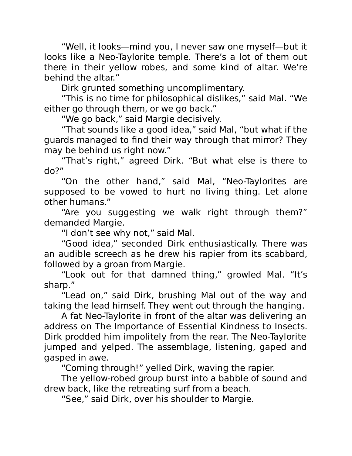"Well, it looks—mind you, I never saw one myself—but it looks like a Neo-Taylorite temple. There's a lot of them out there in their yellow robes, and some kind of altar. We're behind the altar."

Dirk grunted something uncomplimentary.

"This is no time for philosophical dislikes," said Mal. "We either go through them, or we go back."

"We go back," said Margie decisively.

"That sounds like a good idea," said Mal, "but what if the guards managed to find their way through that mirror? They may be behind us right now."

"That's right," agreed Dirk. "But what else is there to do?"

"On the other hand," said Mal, "Neo-Taylorites are supposed to be vowed to hurt no living thing. Let alone other humans."

"Are you suggesting we walk right through them?" demanded Margie.

"I don't see why not," said Mal.

"Good idea," seconded Dirk enthusiastically. There was an audible screech as he drew his rapier from its scabbard, followed by a groan from Margie.

"Look out for that damned thing," growled Mal. "It's sharp."

"Lead on," said Dirk, brushing Mal out of the way and taking the lead himself. They went out through the hanging.

A fat Neo-Taylorite in front of the altar was delivering an address on The Importance of Essential Kindness to Insects. Dirk prodded him impolitely from the rear. The Neo-Taylorite jumped and yelped. The assemblage, listening, gaped and gasped in awe.

"Coming through!" yelled Dirk, waving the rapier.

The yellow-robed group burst into a babble of sound and drew back, like the retreating surf from a beach.

"See," said Dirk, over his shoulder to Margie.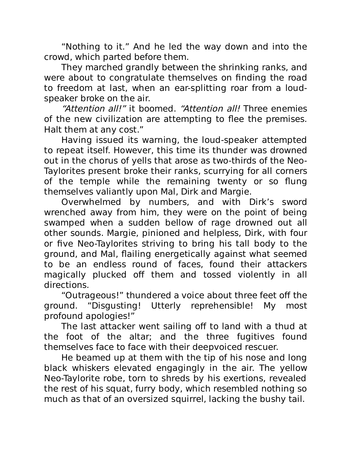"Nothing to it." And he led the way down and into the crowd, which parted before them.

They marched grandly between the shrinking ranks, and were about to congratulate themselves on finding the road to freedom at last, when an ear-splitting roar from a loudspeaker broke on the air.

"Attention all!" it boomed. "Attention all! Three enemies of the new civilization are attempting to flee the premises. Halt them at any cost."

Having issued its warning, the loud-speaker attempted to repeat itself. However, this time its thunder was drowned out in the chorus of yells that arose as two-thirds of the Neo-Taylorites present broke their ranks, scurrying for all corners of the temple while the remaining twenty or so flung themselves valiantly upon Mal, Dirk and Margie.

Overwhelmed by numbers, and with Dirk's sword wrenched away from him, they were on the point of being swamped when a sudden bellow of rage drowned out all other sounds. Margie, pinioned and helpless, Dirk, with four or five Neo-Taylorites striving to bring his tall body to the ground, and Mal, flailing energetically against what seemed to be an endless round of faces, found their attackers magically plucked off them and tossed violently in all directions.

"Outrageous!" thundered a voice about three feet off the ground. "Disgusting! Utterly reprehensible! My most profound apologies!"

The last attacker went sailing off to land with a thud at the foot of the altar; and the three fugitives found themselves face to face with their deepvoiced rescuer.

He beamed up at them with the tip of his nose and long black whiskers elevated engagingly in the air. The yellow Neo-Taylorite robe, torn to shreds by his exertions, revealed the rest of his squat, furry body, which resembled nothing so much as that of an oversized squirrel, lacking the bushy tail.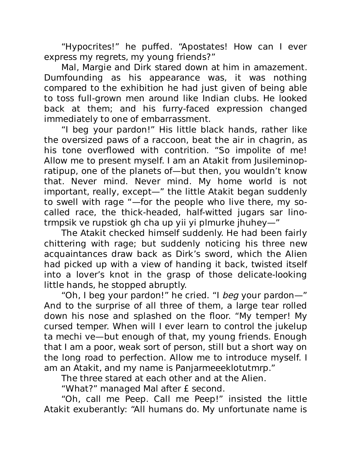"Hypocrites!" he puffed. "Apostates! How can I ever express my regrets, my young friends?"

Mal, Margie and Dirk stared down at him in amazement. Dumfounding as his appearance was, it was nothing compared to the exhibition he had just given of being able to toss full-grown men around like Indian clubs. He looked back at them; and his furry-faced expression changed immediately to one of embarrassment.

"I beg your pardon!" His little black hands, rather like the oversized paws of a raccoon, beat the air in chagrin, as his tone overflowed with contrition. "So impolite of me! Allow me to present myself. I am an Atakit from Jusileminopratipup, one of the planets of—but then, you wouldn't know that. Never mind. Never mind. My home world is not important, really, except—" the little Atakit began suddenly to swell with rage "—for the people who live there, my socalled race, the thick-headed, half-witted jugars sar linotrmpsik ve rupstiok gh cha up yii yi plmurke jhuhey—"

The Atakit checked himself suddenly. He had been fairly chittering with rage; but suddenly noticing his three new acquaintances draw back as Dirk's sword, which the Alien had picked up with a view of handing it back, twisted itself into a lover's knot in the grasp of those delicate-looking little hands, he stopped abruptly.

"Oh, I beg your pardon!" he cried. "I beg your pardon—" And to the surprise of all three of them, a large tear rolled down his nose and splashed on the floor. "My temper! My cursed temper. When will I ever learn to control the jukelup ta mechi ve—but enough of that, my young friends. Enough that I am a poor, weak sort of person, still but a short way on the long road to perfection. Allow me to introduce myself. I am an Atakit, and my name is Panjarmeeeklotutmrp."

The three stared at each other and at the Alien.

"What?" managed Mal after £ second.

"Oh, call me Peep. Call me Peep!" insisted the little Atakit exuberantly: "All humans do. My unfortunate name is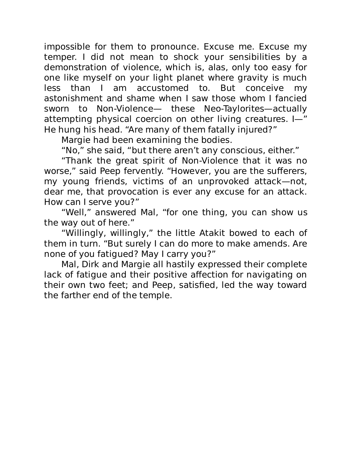impossible for them to pronounce. Excuse me. Excuse my temper. I did not mean to shock your sensibilities by a demonstration of violence, which is, alas, only too easy for one like myself on your light planet where gravity is much less than I am accustomed to. But conceive my astonishment and shame when I saw those whom I fancied sworn to Non-Violence— these Neo-Taylorites—actually attempting physical coercion on other living creatures. I—" He hung his head. "Are many of them fatally injured?"

Margie had been examining the bodies.

"No," she said, "but there aren't any conscious, either."

"Thank the great spirit of Non-Violence that it was no worse," said Peep fervently. "However, you are the sufferers, my young friends, victims of an unprovoked attack—not, dear me, that provocation is ever any excuse for an attack. How can I serve you?"

"Well," answered Mal, "for one thing, you can show us the way out of here."

"Willingly, willingly," the little Atakit bowed to each of them in turn. "But surely I can do more to make amends. Are none of you fatigued? May I carry you?"

Mal, Dirk and Margie all hastily expressed their complete lack of fatigue and their positive affection for navigating on their own two feet; and Peep, satisfied, led the way toward the farther end of the temple.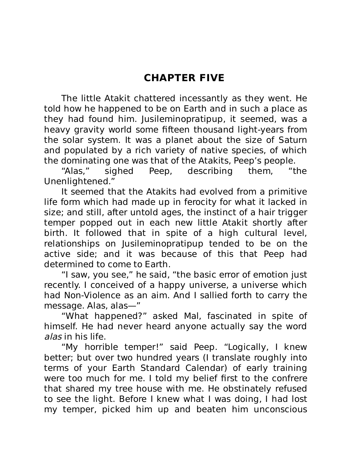# **CHAPTER FIVE**

The little Atakit chattered incessantly as they went. He told how he happened to be on Earth and in such a place as they had found him. Jusileminopratipup, it seemed, was a heavy gravity world some fifteen thousand light-years from the solar system. It was a planet about the size of Saturn and populated by a rich variety of native species, of which the dominating one was that of the Atakits, Peep's people.

"Alas," sighed Peep, describing them, "the Unenlightened."

It seemed that the Atakits had evolved from a primitive life form which had made up in ferocity for what it lacked in size; and still, after untold ages, the instinct of a hair trigger temper popped out in each new little Atakit shortly after birth. It followed that in spite of a high cultural level, relationships on Jusileminopratipup tended to be on the active side; and it was because of this that Peep had determined to come to Earth.

"I saw, you see," he said, "the basic error of emotion just recently. I conceived of a happy universe, a universe which had Non-Violence as an aim. And I sallied forth to carry the message. Alas, alas—"

"What happened?" asked Mal, fascinated in spite of himself. He had never heard anyone actually say the word alas in his life.

"My horrible temper!" said Peep. "Logically, I knew better; but over two hundred years (I translate roughly into terms of your Earth Standard Calendar) of early training were too much for me. I told my belief first to the confrere that shared my tree house with me. He obstinately refused to see the light. Before I knew what I was doing, I had lost my temper, picked him up and beaten him unconscious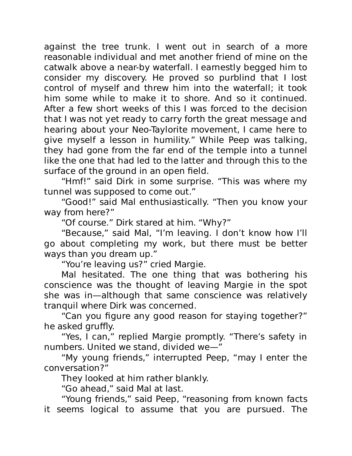against the tree trunk. I went out in search of a more reasonable individual and met another friend of mine on the catwalk above a near-by waterfall. I earnestly begged him to consider my discovery. He proved so purblind that I lost control of myself and threw him into the waterfall; it took him some while to make it to shore. And so it continued. After a few short weeks of this I was forced to the decision that I was not yet ready to carry forth the great message and hearing about your Neo-Taylorite movement, I came here to give myself a lesson in humility." While Peep was talking, they had gone from the far end of the temple into a tunnel like the one that had led to the latter and through this to the surface of the ground in an open field.

"Hmf!" said Dirk in some surprise. "This was where my tunnel was supposed to come out."

"Good!" said Mal enthusiastically. "Then you know your way from here?"

"Of course." Dirk stared at him. "Why?"

"Because," said Mal, "I'm leaving. I don't know how I'll go about completing my work, but there must be better ways than you dream up."

"You're leaving us?" cried Margie.

Mal hesitated. The one thing that was bothering his conscience was the thought of leaving Margie in the spot she was in—although that same conscience was relatively tranquil where Dirk was concerned.

"Can you figure any good reason for staying together?" he asked gruffly.

"Yes, I can," replied Margie promptly. "There's safety in numbers. United we stand, divided we—"

"My young friends," interrupted Peep, "may I enter the conversation?"

They looked at him rather blankly.

"Go ahead," said Mal at last.

"Young friends," said Peep, "reasoning from known facts it seems logical to assume that you are pursued. The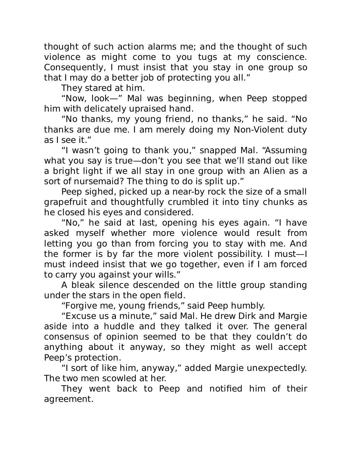thought of such action alarms me; and the thought of such violence as might come to you tugs at my conscience. Consequently, I must insist that you stay in one group so that I may do a better job of protecting you all."

They stared at him.

"Now, look—" Mal was beginning, when Peep stopped him with delicately upraised hand.

"No thanks, my young friend, no thanks," he said. "No thanks are due me. I am merely doing my Non-Violent duty as I see it."

"I wasn't going to thank you," snapped Mal. "Assuming what you say is true—don't you see that we'll stand out like a bright light if we all stay in one group with an Alien as a sort of nursemaid? The thing to do is split up."

Peep sighed, picked up a near-by rock the size of a small grapefruit and thoughtfully crumbled it into tiny chunks as he closed his eyes and considered.

"No," he said at last, opening his eyes again. "I have asked myself whether more violence would result from letting you go than from forcing you to stay with me. And the former is by far the more violent possibility. I must—I must indeed insist that we go together, even if I am forced to carry you against your wills."

A bleak silence descended on the little group standing under the stars in the open field.

"Forgive me, young friends," said Peep humbly.

"Excuse us a minute," said Mal. He drew Dirk and Margie aside into a huddle and they talked it over. The general consensus of opinion seemed to be that they couldn't do anything about it anyway, so they might as well accept Peep's protection.

"I sort of like him, anyway," added Margie unexpectedly. The two men scowled at her.

They went back to Peep and notified him of their agreement.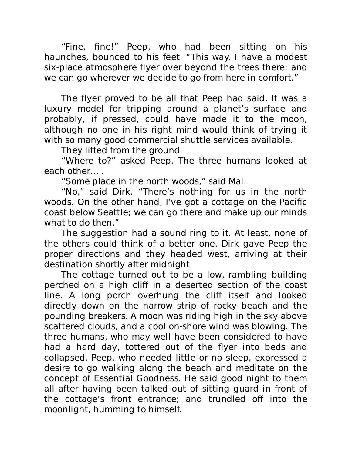"Fine, fine!" Peep, who had been sitting on his haunches, bounced to his feet. "This way. I have a modest six-place atmosphere flyer over beyond the trees there; and we can go wherever we decide to go from here in comfort."

The flyer proved to be all that Peep had said. It was a luxury model for tripping around a planet's surface and probably, if pressed, could have made it to the moon, although no one in his right mind would think of trying it with so many good commercial shuttle services available.

They lifted from the ground.

"Where to?" asked Peep. The three humans looked at each other… .

"Some place in the north woods," said Mal.

"No," said Dirk. "There's nothing for us in the north woods. On the other hand, I've got a cottage on the Pacific coast below Seattle; we can go there and make up our minds what to do then."

The suggestion had a sound ring to it. At least, none of the others could think of a better one. Dirk gave Peep the proper directions and they headed west, arriving at their destination shortly after midnight.

The cottage turned out to be a low, rambling building perched on a high cliff in a deserted section of the coast line. A long porch overhung the cliff itself and looked directly down on the narrow strip of rocky beach and the pounding breakers. A moon was riding high in the sky above scattered clouds, and a cool on-shore wind was blowing. The three humans, who may well have been considered to have had a hard day, tottered out of the flyer into beds and collapsed. Peep, who needed little or no sleep, expressed a desire to go walking along the beach and meditate on the concept of Essential Goodness. He said good night to them all after having been talked out of sitting guard in front of the cottage's front entrance; and trundled off into the moonlight, humming to himself.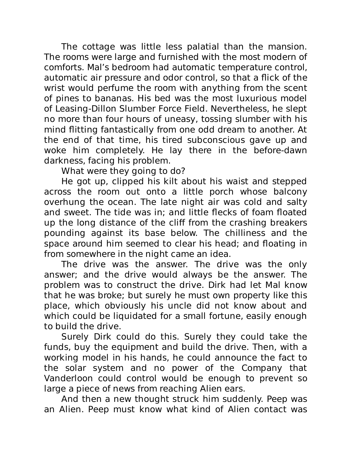The cottage was little less palatial than the mansion. The rooms were large and furnished with the most modern of comforts. Mal's bedroom had automatic temperature control, automatic air pressure and odor control, so that a flick of the wrist would perfume the room with anything from the scent of pines to bananas. His bed was the most luxurious model of Leasing-Dillon Slumber Force Field. Nevertheless, he slept no more than four hours of uneasy, tossing slumber with his mind flitting fantastically from one odd dream to another. At the end of that time, his tired subconscious gave up and woke him completely. He lay there in the before-dawn darkness, facing his problem.

What were they going to do?

He got up, clipped his kilt about his waist and stepped across the room out onto a little porch whose balcony overhung the ocean. The late night air was cold and salty and sweet. The tide was in; and little flecks of foam floated up the long distance of the cliff from the crashing breakers pounding against its base below. The chilliness and the space around him seemed to clear his head; and floating in from somewhere in the night came an idea.

The drive was the answer. The drive was the only answer; and the drive would always be the answer. The problem was to construct the drive. Dirk had let Mal know that he was broke; but surely he must own property like this place, which obviously his uncle did not know about and which could be liquidated for a small fortune, easily enough to build the drive.

Surely Dirk could do this. Surely they could take the funds, buy the equipment and build the drive. Then, with a working model in his hands, he could announce the fact to the solar system and no power of the Company that Vanderloon could control would be enough to prevent so large a piece of news from reaching Alien ears.

And then a new thought struck him suddenly. Peep was an Alien. Peep must know what kind of Alien contact was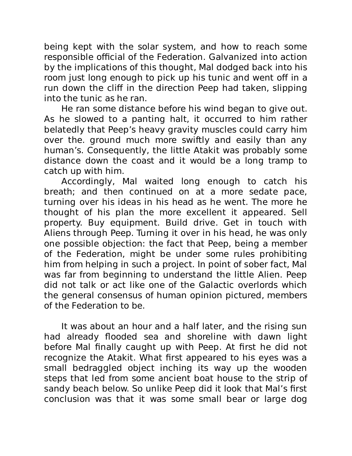being kept with the solar system, and how to reach some responsible official of the Federation. Galvanized into action by the implications of this thought, Mal dodged back into his room just long enough to pick up his tunic and went off in a run down the cliff in the direction Peep had taken, slipping into the tunic as he ran.

He ran some distance before his wind began to give out. As he slowed to a panting halt, it occurred to him rather belatedly that Peep's heavy gravity muscles could carry him over the. ground much more swiftly and easily than any human's. Consequently, the little Atakit was probably some distance down the coast and it would be a long tramp to catch up with him.

Accordingly, Mal waited long enough to catch his breath; and then continued on at a more sedate pace, turning over his ideas in his head as he went. The more he thought of his plan the more excellent it appeared. Sell property. Buy equipment. Build drive. Get in touch with Aliens through Peep. Turning it over in his head, he was only one possible objection: the fact that Peep, being a member of the Federation, might be under some rules prohibiting him from helping in such a project. In point of sober fact, Mal was far from beginning to understand the little Alien. Peep did not talk or act like one of the Galactic overlords which the general consensus of human opinion pictured, members of the Federation to be.

It was about an hour and a half later, and the rising sun had already flooded sea and shoreline with dawn light before Mal finally caught up with Peep. At first he did not recognize the Atakit. What first appeared to his eyes was a small bedraggled object inching its way up the wooden steps that led from some ancient boat house to the strip of sandy beach below. So unlike Peep did it look that Mal's first conclusion was that it was some small bear or large dog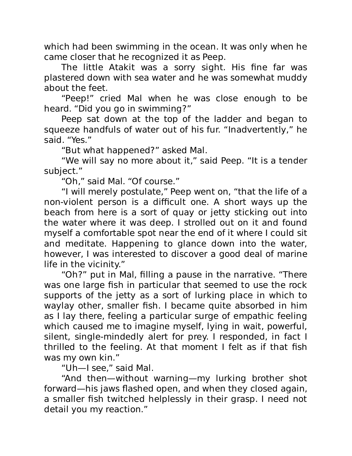which had been swimming in the ocean. It was only when he came closer that he recognized it as Peep.

The little Atakit was a sorry sight. His fine far was plastered down with sea water and he was somewhat muddy about the feet.

"Peep!" cried Mal when he was close enough to be heard. "Did you go in swimming?"

Peep sat down at the top of the ladder and began to squeeze handfuls of water out of his fur. "Inadvertently," he said. "Yes."

"But what happened?" asked Mal.

"We will say no more about it," said Peep. "It is a tender subject."

"Oh," said Mal. "Of course."

"I will merely postulate," Peep went on, "that the life of a non-violent person is a difficult one. A short ways up the beach from here is a sort of quay or jetty sticking out into the water where it was deep. I strolled out on it and found myself a comfortable spot near the end of it where I could sit and meditate. Happening to glance down into the water, however, I was interested to discover a good deal of marine life in the vicinity."

"Oh?" put in Mal, filling a pause in the narrative. "There was one large fish in particular that seemed to use the rock supports of the jetty as a sort of lurking place in which to waylay other, smaller fish. I became quite absorbed in him as I lay there, feeling a particular surge of empathic feeling which caused me to imagine myself, lying in wait, powerful, silent, single-mindedly alert for prey. I responded, in fact I thrilled to the feeling. At that moment I felt as if that fish was my own kin."

"Uh—I see," said Mal.

"And then—without warning—my lurking brother shot forward—his jaws flashed open, and when they closed again, a smaller fish twitched helplessly in their grasp. I need not detail you my reaction."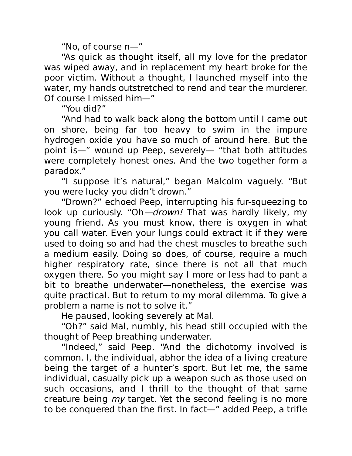"No, of course n—"

"As quick as thought itself, all my love for the predator was wiped away, and in replacement my heart broke for the poor victim. Without a thought, I launched myself into the water, my hands outstretched to rend and tear the murderer. Of course I missed him—"

"You did?"

"And had to walk back along the bottom until I came out on shore, being far too heavy to swim in the impure hydrogen oxide you have so much of around here. But the point is—" wound up Peep, severely— "that both attitudes were completely honest ones. And the two together form a paradox."

"I suppose it's natural," began Malcolm vaguely. "But you were lucky you didn't drown."

"Drown?" echoed Peep, interrupting his fur-squeezing to look up curiously. "Oh—drown! That was hardly likely, my young friend. As you must know, there is oxygen in what you call water. Even your lungs could extract it if they were used to doing so and had the chest muscles to breathe such a medium easily. Doing so does, of course, require a much higher respiratory rate, since there is not all that much oxygen there. So you might say I more or less had to pant a bit to breathe underwater—nonetheless, the exercise was quite practical. But to return to my moral dilemma. To give a problem a name is not to solve it."

He paused, looking severely at Mal.

"Oh?" said Mal, numbly, his head still occupied with the thought of Peep breathing underwater.

"Indeed," said Peep. "And the dichotomy involved is common. I, the individual, abhor the idea of a living creature being the target of a hunter's sport. But let me, the same individual, casually pick up a weapon such as those used on such occasions, and I thrill to the thought of that same creature being *my* target. Yet the second feeling is no more to be conquered than the first. In fact—" added Peep, a trifle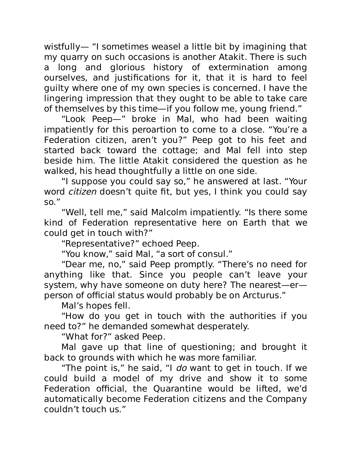wistfully— "I sometimes weasel a little bit by imagining that my quarry on such occasions is another Atakit. There is such a long and glorious history of extermination among ourselves, and justifications for it, that it is hard to feel guilty where one of my own species is concerned. I have the lingering impression that they ought to be able to take care of themselves by this time—if you follow me, young friend."

"Look Peep—" broke in Mal, who had been waiting impatiently for this peroartion to come to a close. "You're a Federation citizen, aren't you?" Peep got to his feet and started back toward the cottage; and Mal fell into step beside him. The little Atakit considered the question as he walked, his head thoughtfully a little on one side.

"I suppose you could say so," he answered at last. "Your word *citizen* doesn't quite fit, but yes, I think you could say so."

"Well, tell me," said Malcolm impatiently. "Is there some kind of Federation representative here on Earth that we could get in touch with?"

"Representative?" echoed Peep.

"You know," said Mal, "a sort of consul."

"Dear me, no," said Peep promptly. "There's no need for anything like that. Since you people can't leave your system, why have someone on duty here? The nearest—er person of official status would probably be on Arcturus."

Mal's hopes fell.

"How do you get in touch with the authorities if you need to?" he demanded somewhat desperately.

"What for?" asked Peep.

Mal gave up that line of questioning; and brought it back to grounds with which he was more familiar.

"The point is," he said, "I do want to get in touch. If we could build a model of my drive and show it to some Federation official, the Quarantine would be lifted, we'd automatically become Federation citizens and the Company couldn't touch us."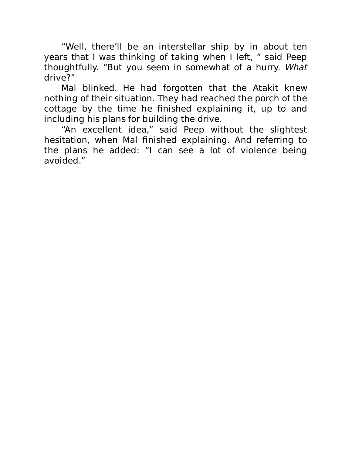"Well, there'll be an interstellar ship by in about ten years that I was thinking of taking when I left, " said Peep thoughtfully. "But you seem in somewhat of a hurry. What drive?"

Mal blinked. He had forgotten that the Atakit knew nothing of their situation. They had reached the porch of the cottage by the time he finished explaining it, up to and including his plans for building the drive.

"An excellent idea," said Peep without the slightest hesitation, when Mal finished explaining. And referring to the plans he added: "I can see a lot of violence being avoided."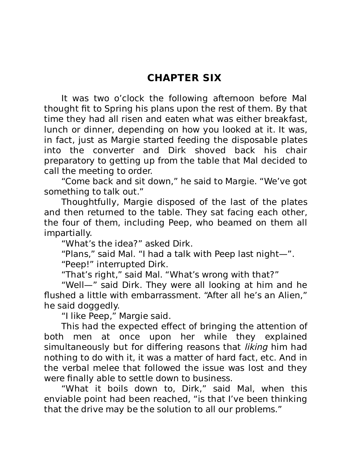## **CHAPTER SIX**

It was two o'clock the following afternoon before Mal thought fit to Spring his plans upon the rest of them. By that time they had all risen and eaten what was either breakfast, lunch or dinner, depending on how you looked at it. It was, in fact, just as Margie started feeding the disposable plates into the converter and Dirk shoved back his chair preparatory to getting up from the table that Mal decided to call the meeting to order.

"Come back and sit down," he said to Margie. "We've got something to talk out."

Thoughtfully, Margie disposed of the last of the plates and then returned to the table. They sat facing each other, the four of them, including Peep, who beamed on them all impartially.

"What's the idea?" asked Dirk.

"Plans," said Mal. "I had a talk with Peep last night—".

"Peep!" interrupted Dirk.

"That's right," said Mal. "What's wrong with that?"

"Well—" said Dirk. They were all looking at him and he flushed a little with embarrassment. "After all he's an Alien," he said doggedly.

"I like Peep," Margie said.

This had the expected effect of bringing the attention of both men at once upon her while they explained simultaneously but for differing reasons that *liking* him had nothing to do with it, it was a matter of hard fact, etc. And in the verbal melee that followed the issue was lost and they were finally able to settle down to business.

"What it boils down to, Dirk," said Mal, when this enviable point had been reached, "is that I've been thinking that the drive may be the solution to all our problems."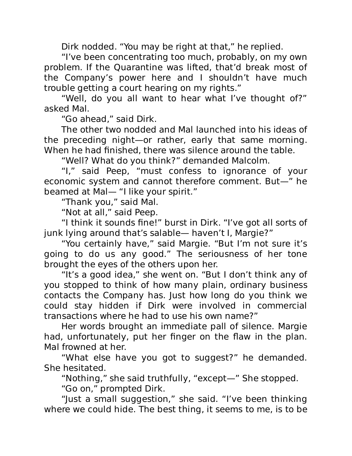Dirk nodded. "You may be right at that," he replied.

"I've been concentrating too much, probably, on my own problem. If the Quarantine was lifted, that'd break most of the Company's power here and I shouldn't have much trouble getting a court hearing on my rights."

"Well, do you all want to hear what I've thought of?" asked Mal.

"Go ahead," said Dirk.

The other two nodded and Mal launched into his ideas of the preceding night—or rather, early that same morning. When he had finished, there was silence around the table.

"Well? What do you think?" demanded Malcolm.

"I," said Peep, "must confess to ignorance of your economic system and cannot therefore comment. But—" he beamed at Mal— "I like your spirit."

"Thank you," said Mal.

"Not at all," said Peep.

"I think it sounds fine!" burst in Dirk. "I've got all sorts of junk lying around that's salable— haven't I, Margie?"

"You certainly have," said Margie. "But I'm not sure it's going to do us any good." The seriousness of her tone brought the eyes of the others upon her.

"It's a good idea," she went on. "But I don't think any of you stopped to think of how many plain, ordinary business contacts the Company has. Just how long do you think we could stay hidden if Dirk were involved in commercial transactions where he had to use his own name?"

Her words brought an immediate pall of silence. Margie had, unfortunately, put her finger on the flaw in the plan. Mal frowned at her.

"What else have you got to suggest?" he demanded. She hesitated.

"Nothing," she said truthfully, "except—" She stopped.

"Go on," prompted Dirk.

"Just a small suggestion," she said. "I've been thinking where we could hide. The best thing, it seems to me, is to be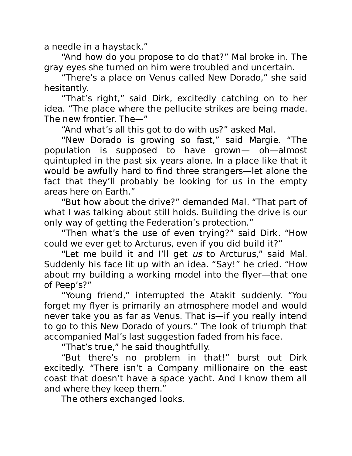a needle in a haystack."

"And how do you propose to do that?" Mal broke in. The gray eyes she turned on him were troubled and uncertain.

"There's a place on Venus called New Dorado," she said hesitantly.

"That's right," said Dirk, excitedly catching on to her idea. "The place where the pellucite strikes are being made. The new frontier. The—"

"And what's all this got to do with us?" asked Mal.

"New Dorado is growing so fast," said Margie. "The population is supposed to have grown— oh—almost quintupled in the past six years alone. In a place like that it would be awfully hard to find three strangers—let alone the fact that they'll probably be looking for us in the empty areas here on Earth."

"But how about the drive?" demanded Mal. "That part of what I was talking about still holds. Building the drive is our only way of getting the Federation's protection."

"Then what's the use of even trying?" said Dirk. "How could we ever get to Arcturus, even if you did build it?"

"Let me build it and I'll get us to Arcturus," said Mal. Suddenly his face lit up with an idea. "Say!" he cried. "How about my building a working model into the flyer—that one of Peep's?"

"Young friend," interrupted the Atakit suddenly. "You forget my flyer is primarily an atmosphere model and would never take you as far as Venus. That is—if you really intend to go to this New Dorado of yours." The look of triumph that accompanied Mal's last suggestion faded from his face.

"That's true," he said thoughtfully.

"But there's no problem in that!" burst out Dirk excitedly. "There isn't a Company millionaire on the east coast that doesn't have a space yacht. And I know them all and where they keep them."

The others exchanged looks.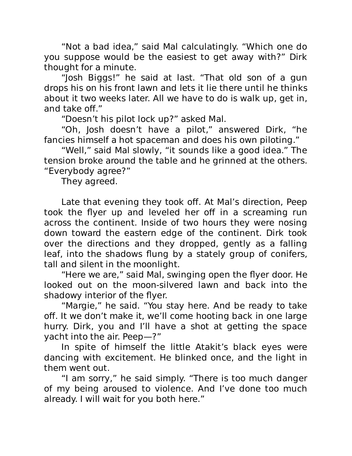"Not a bad idea," said Mal calculatingly. "Which one do you suppose would be the easiest to get away with?" Dirk thought for a minute.

"Josh Biggs!" he said at last. "That old son of a gun drops his on his front lawn and lets it lie there until he thinks about it two weeks later. All we have to do is walk up, get in, and take off."

"Doesn't his pilot lock up?" asked Mal.

"Oh, Josh doesn't have a pilot," answered Dirk, "he fancies himself a hot spaceman and does his own piloting."

"Well," said Mal slowly, "it sounds like a good idea." The tension broke around the table and he grinned at the others. "Everybody agree?"

They agreed.

Late that evening they took off. At Mal's direction, Peep took the flyer up and leveled her off in a screaming run across the continent. Inside of two hours they were nosing down toward the eastern edge of the continent. Dirk took over the directions and they dropped, gently as a falling leaf, into the shadows flung by a stately group of conifers, tall and silent in the moonlight.

"Here we are," said Mal, swinging open the flyer door. He looked out on the moon-silvered lawn and back into the shadowy interior of the flyer.

"Margie," he said. "You stay here. And be ready to take off. It we don't make it, we'll come hooting back in one large hurry. Dirk, you and I'll have a shot at getting the space yacht into the air. Peep—?"

In spite of himself the little Atakit's black eyes were dancing with excitement. He blinked once, and the light in them went out.

"I am sorry," he said simply. "There is too much danger of my being aroused to violence. And I've done too much already. I will wait for you both here."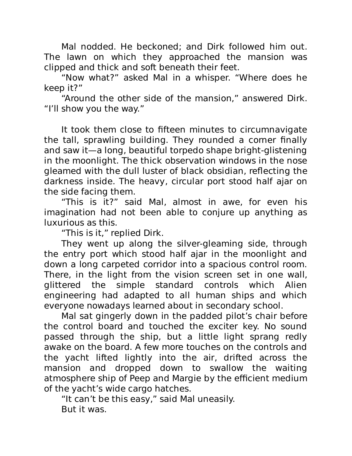Mal nodded. He beckoned; and Dirk followed him out. The lawn on which they approached the mansion was clipped and thick and soft beneath their feet.

"Now what?" asked Mal in a whisper. "Where does he keep it?"

"Around the other side of the mansion," answered Dirk. "I'll show you the way."

It took them close to fifteen minutes to circumnavigate the tall, sprawling building. They rounded a corner finally and saw it—a long, beautiful torpedo shape bright-glistening in the moonlight. The thick observation windows in the nose gleamed with the dull luster of black obsidian, reflecting the darkness inside. The heavy, circular port stood half ajar on the side facing them.

"This is it?" said Mal, almost in awe, for even his imagination had not been able to conjure up anything as luxurious as this.

"This is it," replied Dirk.

They went up along the silver-gleaming side, through the entry port which stood half ajar in the moonlight and down a long carpeted corridor into a spacious control room. There, in the light from the vision screen set in one wall, glittered the simple standard controls which Alien engineering had adapted to all human ships and which everyone nowadays learned about in secondary school.

Mal sat gingerly down in the padded pilot's chair before the control board and touched the exciter key. No sound passed through the ship, but a little light sprang redly awake on the board. A few more touches on the controls and the yacht lifted lightly into the air, drifted across the mansion and dropped down to swallow the waiting atmosphere ship of Peep and Margie by the efficient medium of the yacht's wide cargo hatches.

"It can't be this easy," said Mal uneasily. But it was.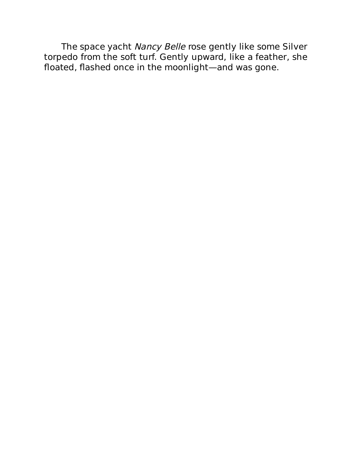The space yacht Nancy Belle rose gently like some Silver torpedo from the soft turf. Gently upward, like a feather, she floated, flashed once in the moonlight—and was gone.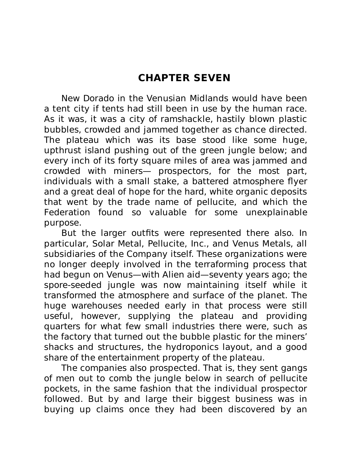#### **CHAPTER SEVEN**

New Dorado in the Venusian Midlands would have been a tent city if tents had still been in use by the human race. As it was, it was a city of ramshackle, hastily blown plastic bubbles, crowded and jammed together as chance directed. The plateau which was its base stood like some huge, upthrust island pushing out of the green jungle below; and every inch of its forty square miles of area was jammed and crowded with miners— prospectors, for the most part, individuals with a small stake, a battered atmosphere flyer and a great deal of hope for the hard, white organic deposits that went by the trade name of pellucite, and which the Federation found so valuable for some unexplainable purpose.

But the larger outfits were represented there also. In particular, Solar Metal, Pellucite, Inc., and Venus Metals, all subsidiaries of the Company itself. These organizations were no longer deeply involved in the terraforming process that had begun on Venus—with Alien aid—seventy years ago; the spore-seeded jungle was now maintaining itself while it transformed the atmosphere and surface of the planet. The huge warehouses needed early in that process were still useful, however, supplying the plateau and providing quarters for what few small industries there were, such as the factory that turned out the bubble plastic for the miners' shacks and structures, the hydroponics layout, and a good share of the entertainment property of the plateau.

The companies also prospected. That is, they sent gangs of men out to comb the jungle below in search of pellucite pockets, in the same fashion that the individual prospector followed. But by and large their biggest business was in buying up claims once they had been discovered by an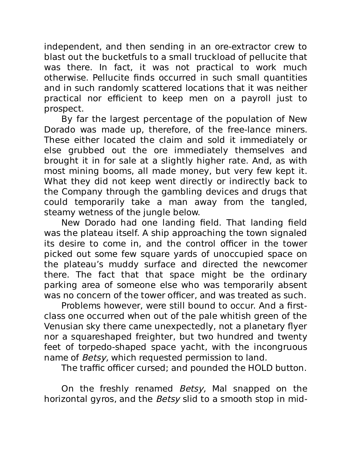independent, and then sending in an ore-extractor crew to blast out the bucketfuls to a small truckload of pellucite that was there. In fact, it was not practical to work much otherwise. Pellucite finds occurred in such small quantities and in such randomly scattered locations that it was neither practical nor efficient to keep men on a payroll just to prospect.

By far the largest percentage of the population of New Dorado was made up, therefore, of the free-lance miners. These either located the claim and sold it immediately or else grubbed out the ore immediately themselves and brought it in for sale at a slightly higher rate. And, as with most mining booms, all made money, but very few kept it. What they did not keep went directly or indirectly back to the Company through the gambling devices and drugs that could temporarily take a man away from the tangled, steamy wetness of the jungle below.

New Dorado had one landing field. That landing field was the plateau itself. A ship approaching the town signaled its desire to come in, and the control officer in the tower picked out some few square yards of unoccupied space on the plateau's muddy surface and directed the newcomer there. The fact that that space might be the ordinary parking area of someone else who was temporarily absent was no concern of the tower officer, and was treated as such.

Problems however, were still bound to occur. And a firstclass one occurred when out of the pale whitish green of the Venusian sky there came unexpectedly, not a planetary flyer nor a squareshaped freighter, but two hundred and twenty feet of torpedo-shaped space yacht, with the incongruous name of Betsy, which requested permission to land.

The traffic officer cursed; and pounded the HOLD button.

On the freshly renamed Betsy, Mal snapped on the horizontal gyros, and the Betsy slid to a smooth stop in mid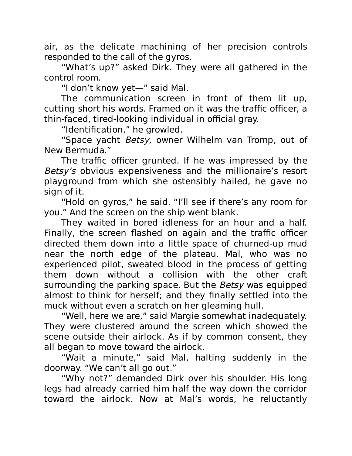air, as the delicate machining of her precision controls responded to the call of the gyros.

"What's up?" asked Dirk. They were all gathered in the control room.

"I don't know yet—" said Mal.

The communication screen in front of them lit up, cutting short his words. Framed on it was the traffic officer, a thin-faced, tired-looking individual in official gray.

"Identification," he growled.

"Space yacht Betsy, owner Wilhelm van Tromp, out of New Bermuda."

The traffic officer grunted. If he was impressed by the Betsy's obvious expensiveness and the millionaire's resort playground from which she ostensibly hailed, he gave no sign of it.

"Hold on gyros," he said. "I'll see if there's any room for you." And the screen on the ship went blank.

They waited in bored idleness for an hour and a half. Finally, the screen flashed on again and the traffic officer directed them down into a little space of churned-up mud near the north edge of the plateau. Mal, who was no experienced pilot, sweated blood in the process of getting them down without a collision with the other craft surrounding the parking space. But the Betsy was equipped almost to think for herself; and they finally settled into the muck without even a scratch on her gleaming hull.

"Well, here we are," said Margie somewhat inadequately. They were clustered around the screen which showed the scene outside their airlock. As if by common consent, they all began to move toward the airlock.

"Wait a minute," said Mal, halting suddenly in the doorway. "We can't all go out."

"Why not?" demanded Dirk over his shoulder. His long legs had already carried him half the way down the corridor toward the airlock. Now at Mal's words, he reluctantly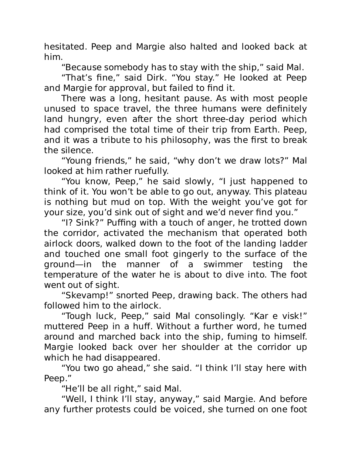hesitated. Peep and Margie also halted and looked back at him.

"Because somebody has to stay with the ship," said Mal.

"That's fine," said Dirk. "You stay." He looked at Peep and Margie for approval, but failed to find it.

There was a long, hesitant pause. As with most people unused to space travel, the three humans were definitely land hungry, even after the short three-day period which had comprised the total time of their trip from Earth. Peep, and it was a tribute to his philosophy, was the first to break the silence.

"Young friends," he said, "why don't we draw lots?" Mal looked at him rather ruefully.

"You know, Peep," he said slowly, "I just happened to think of it. You won't be able to go out, anyway. This plateau is nothing but mud on top. With the weight you've got for your size, you'd sink out of sight and we'd never find you."

"I? Sink?" Puffing with a touch of anger, he trotted down the corridor, activated the mechanism that operated both airlock doors, walked down to the foot of the landing ladder and touched one small foot gingerly to the surface of the ground—in the manner of a swimmer testing the temperature of the water he is about to dive into. The foot went out of sight.

"Skevamp!" snorted Peep, drawing back. The others had followed him to the airlock.

"Tough luck, Peep," said Mal consolingly. "Kar e visk!" muttered Peep in a huff. Without a further word, he turned around and marched back into the ship, fuming to himself. Margie looked back over her shoulder at the corridor up which he had disappeared.

"You two go ahead," she said. "I think I'll stay here with Peep."

"He'll be all right," said Mal.

"Well, I think I'll stay, anyway," said Margie. And before any further protests could be voiced, she turned on one foot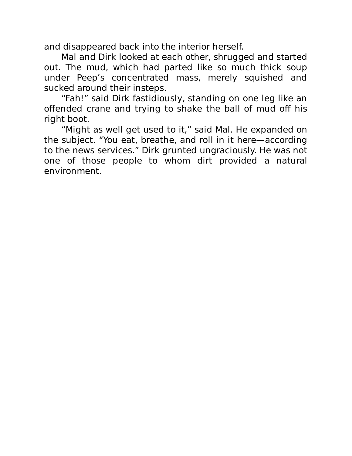and disappeared back into the interior herself.

Mal and Dirk looked at each other, shrugged and started out. The mud, which had parted like so much thick soup under Peep's concentrated mass, merely squished and sucked around their insteps.

"Fah!" said Dirk fastidiously, standing on one leg like an offended crane and trying to shake the ball of mud off his right boot.

"Might as well get used to it," said Mal. He expanded on the subject. "You eat, breathe, and roll in it here—according to the news services." Dirk grunted ungraciously. He was not one of those people to whom dirt provided a natural environment.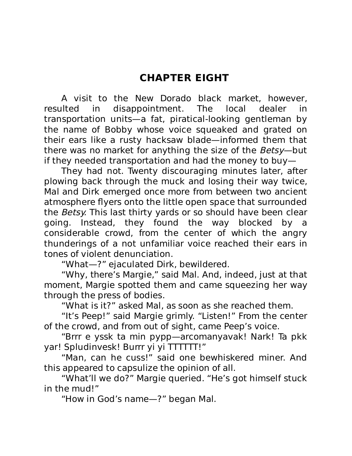### **CHAPTER EIGHT**

A visit to the New Dorado black market, however, resulted in disappointment. The local dealer in transportation units—a fat, piratical-looking gentleman by the name of Bobby whose voice squeaked and grated on their ears like a rusty hacksaw blade—informed them that there was no market for anything the size of the Betsy-but if they needed transportation and had the money to buy—

They had not. Twenty discouraging minutes later, after plowing back through the muck and losing their way twice, Mal and Dirk emerged once more from between two ancient atmosphere flyers onto the little open space that surrounded the *Betsy*. This last thirty yards or so should have been clear going. Instead, they found the way blocked by a considerable crowd, from the center of which the angry thunderings of a not unfamiliar voice reached their ears in tones of violent denunciation.

"What—?" ejaculated Dirk, bewildered.

"Why, there's Margie," said Mal. And, indeed, just at that moment, Margie spotted them and came squeezing her way through the press of bodies.

"What is it?" asked Mal, as soon as she reached them.

"It's Peep!" said Margie grimly. "Listen!" From the center of the crowd, and from out of sight, came Peep's voice.

"Brrr e yssk ta min pypp—arcomanyavak! Nark! Ta pkk yar! Spludinvesk! Burrr yi yi TTTTTT!"

"Man, can he cuss!" said one bewhiskered miner. And this appeared to capsulize the opinion of all.

"What'll we do?" Margie queried. "He's got himself stuck in the mud!"

"How in God's name—?" began Mal.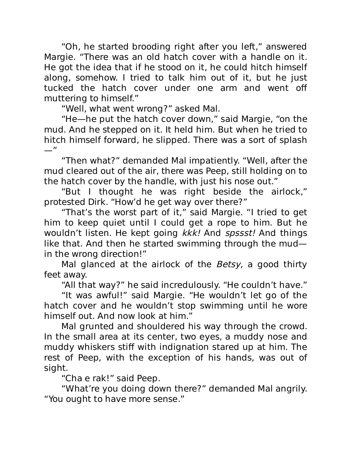"Oh, he started brooding right after you left," answered Margie. "There was an old hatch cover with a handle on it. He got the idea that if he stood on it, he could hitch himself along, somehow. I tried to talk him out of it, but he just tucked the hatch cover under one arm and went off muttering to himself."

"Well, what went wrong?" asked Mal.

"He—he put the hatch cover down," said Margie, "on the mud. And he stepped on it. It held him. But when he tried to hitch himself forward, he slipped. There was a sort of splash —"

"Then what?" demanded Mal impatiently. "Well, after the mud cleared out of the air, there was Peep, still holding on to the hatch cover by the handle, with just his nose out."

"But I thought he was right beside the airlock," protested Dirk. "How'd he get way over there?"

"That's the worst part of it," said Margie. "I tried to get him to keep quiet until I could get a rope to him. But he wouldn't listen. He kept going kkk! And spssst! And things like that. And then he started swimming through the mud in the wrong direction!"

Mal glanced at the airlock of the Betsy, a good thirty feet away.

"All that way?" he said incredulously. "He couldn't have."

"It was awful!" said Margie. "He wouldn't let go of the hatch cover and he wouldn't stop swimming until he wore himself out. And now look at him."

Mal grunted and shouldered his way through the crowd. In the small area at its center, two eyes, a muddy nose and muddy whiskers stiff with indignation stared up at him. The rest of Peep, with the exception of his hands, was out of sight.

"Cha e rak!" said Peep.

"What're you doing down there?" demanded Mal angrily. "You ought to have more sense."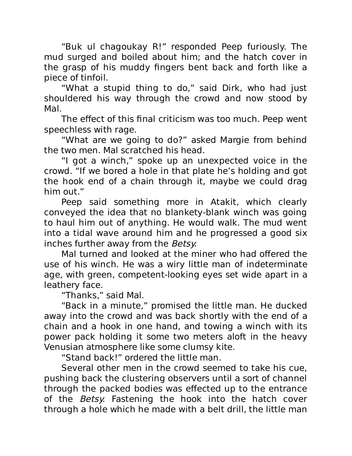"Buk ul chagoukay R!" responded Peep furiously. The mud surged and boiled about him; and the hatch cover in the grasp of his muddy fingers bent back and forth like a piece of tinfoil.

"What a stupid thing to do," said Dirk, who had just shouldered his way through the crowd and now stood by Mal.

The effect of this final criticism was too much. Peep went speechless with rage.

"What are we going to do?" asked Margie from behind the two men. Mal scratched his head.

"I got a winch," spoke up an unexpected voice in the crowd. "If we bored a hole in that plate he's holding and got the hook end of a chain through it, maybe we could drag him out."

Peep said something more in Atakit, which clearly conveyed the idea that no blankety-blank winch was going to haul him out of anything. He would walk. The mud went into a tidal wave around him and he progressed a good six inches further away from the Betsy.

Mal turned and looked at the miner who had offered the use of his winch. He was a wiry little man of indeterminate age, with green, competent-looking eyes set wide apart in a leathery face.

"Thanks," said Mal.

"Back in a minute," promised the little man. He ducked away into the crowd and was back shortly with the end of a chain and a hook in one hand, and towing a winch with its power pack holding it some two meters aloft in the heavy Venusian atmosphere like some clumsy kite.

"Stand back!" ordered the little man.

Several other men in the crowd seemed to take his cue, pushing back the clustering observers until a sort of channel through the packed bodies was effected up to the entrance of the *Betsy*. Fastening the hook into the hatch cover through a hole which he made with a belt drill, the little man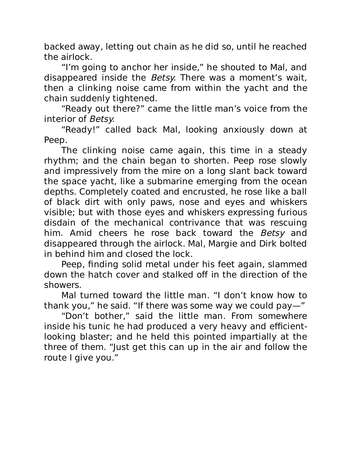backed away, letting out chain as he did so, until he reached the airlock.

"I'm going to anchor her inside," he shouted to Mal, and disappeared inside the *Betsy*. There was a moment's wait, then a clinking noise came from within the yacht and the chain suddenly tightened.

"Ready out there?" came the little man's voice from the interior of Betsy.

"Ready!" called back Mal, looking anxiously down at Peep.

The clinking noise came again, this time in a steady rhythm; and the chain began to shorten. Peep rose slowly and impressively from the mire on a long slant back toward the space yacht, like a submarine emerging from the ocean depths. Completely coated and encrusted, he rose like a ball of black dirt with only paws, nose and eyes and whiskers visible; but with those eyes and whiskers expressing furious disdain of the mechanical contrivance that was rescuing him. Amid cheers he rose back toward the Betsy and disappeared through the airlock. Mal, Margie and Dirk bolted in behind him and closed the lock.

Peep, finding solid metal under his feet again, slammed down the hatch cover and stalked off in the direction of the showers.

Mal turned toward the little man. "I don't know how to thank you," he said. "If there was some way we could pay—"

"Don't bother," said the little man. From somewhere inside his tunic he had produced a very heavy and efficientlooking blaster; and he held this pointed impartially at the three of them. "Just get this can up in the air and follow the route I give you."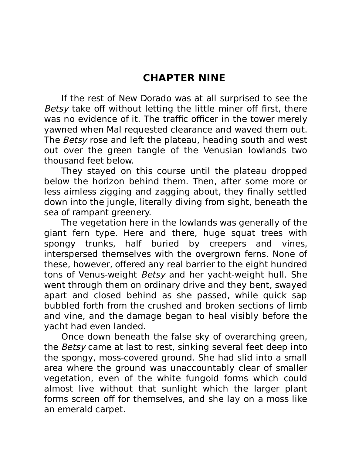## **CHAPTER NINE**

If the rest of New Dorado was at all surprised to see the Betsy take off without letting the little miner off first, there was no evidence of it. The traffic officer in the tower merely yawned when Mal requested clearance and waved them out. The Betsy rose and left the plateau, heading south and west out over the green tangle of the Venusian lowlands two thousand feet below.

They stayed on this course until the plateau dropped below the horizon behind them. Then, after some more or less aimless zigging and zagging about, they finally settled down into the jungle, literally diving from sight, beneath the sea of rampant greenery.

The vegetation here in the lowlands was generally of the giant fern type. Here and there, huge squat trees with spongy trunks, half buried by creepers and vines, interspersed themselves with the overgrown ferns. None of these, however, offered any real barrier to the eight hundred tons of Venus-weight Betsy and her yacht-weight hull. She went through them on ordinary drive and they bent, swayed apart and closed behind as she passed, while quick sap bubbled forth from the crushed and broken sections of limb and vine, and the damage began to heal visibly before the yacht had even landed.

Once down beneath the false sky of overarching green, the *Betsy* came at last to rest, sinking several feet deep into the spongy, moss-covered ground. She had slid into a small area where the ground was unaccountably clear of smaller vegetation, even of the white fungoid forms which could almost live without that sunlight which the larger plant forms screen off for themselves, and she lay on a moss like an emerald carpet.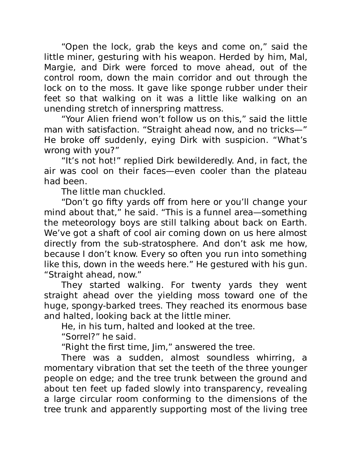"Open the lock, grab the keys and come on," said the little miner, gesturing with his weapon. Herded by him, Mal, Margie, and Dirk were forced to move ahead, out of the control room, down the main corridor and out through the lock on to the moss. It gave like sponge rubber under their feet so that walking on it was a little like walking on an unending stretch of innerspring mattress.

"Your Alien friend won't follow us on this," said the little man with satisfaction. "Straight ahead now, and no tricks—" He broke off suddenly, eying Dirk with suspicion. "What's wrong with you?"

"It's not hot!" replied Dirk bewilderedly. And, in fact, the air was cool on their faces—even cooler than the plateau had been.

The little man chuckled.

"Don't go fifty yards off from here or you'll change your mind about that," he said. "This is a funnel area—something the meteorology boys are still talking about back on Earth. We've got a shaft of cool air coming down on us here almost directly from the sub-stratosphere. And don't ask me how, because I don't know. Every so often you run into something like this, down in the weeds here." He gestured with his gun. "Straight ahead, now."

They started walking. For twenty yards they went straight ahead over the yielding moss toward one of the huge, spongy-barked trees. They reached its enormous base and halted, looking back at the little miner.

He, in his turn, halted and looked at the tree.

"Sorrel?" he said.

"Right the first time, Jim," answered the tree.

There was a sudden, almost soundless whirring, a momentary vibration that set the teeth of the three younger people on edge; and the tree trunk between the ground and about ten feet up faded slowly into transparency, revealing a large circular room conforming to the dimensions of the tree trunk and apparently supporting most of the living tree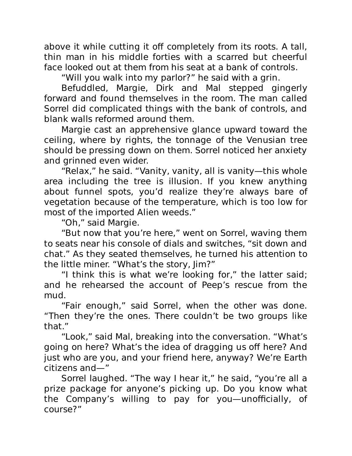above it while cutting it off completely from its roots. A tall, thin man in his middle forties with a scarred but cheerful face looked out at them from his seat at a bank of controls.

"Will you walk into my parlor?" he said with a grin.

Befuddled, Margie, Dirk and Mal stepped gingerly forward and found themselves in the room. The man called Sorrel did complicated things with the bank of controls, and blank walls reformed around them.

Margie cast an apprehensive glance upward toward the ceiling, where by rights, the tonnage of the Venusian tree should be pressing down on them. Sorrel noticed her anxiety and grinned even wider.

"Relax," he said. "Vanity, vanity, all is vanity—this whole area including the tree is illusion. If you knew anything about funnel spots, you'd realize they're always bare of vegetation because of the temperature, which is too low for most of the imported Alien weeds."

"Oh," said Margie.

"But now that you're here," went on Sorrel, waving them to seats near his console of dials and switches, "sit down and chat." As they seated themselves, he turned his attention to the little miner. "What's the story, Jim?"

"I think this is what we're looking for," the latter said; and he rehearsed the account of Peep's rescue from the mud.

"Fair enough," said Sorrel, when the other was done. "Then they're the ones. There couldn't be two groups like that."

"Look," said Mal, breaking into the conversation. "What's going on here? What's the idea of dragging us off here? And just who are you, and your friend here, anyway? We're Earth citizens and—"

Sorrel laughed. "The way I hear it," he said, "you're all a prize package for anyone's picking up. Do you know what the Company's willing to pay for you—unofficially, of course?"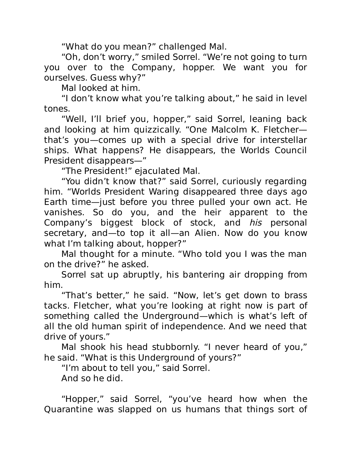"What do you mean?" challenged Mal.

"Oh, don't worry," smiled Sorrel. "We're not going to turn you over to the Company, hopper. We want you for ourselves. Guess why?"

Mal looked at him.

"I don't know what you're talking about," he said in level tones.

"Well, I'll brief you, hopper," said Sorrel, leaning back and looking at him quizzically. "One Malcolm K. Fletcher that's you—comes up with a special drive for interstellar ships. What happens? He disappears, the Worlds Council President disappears—"

"The President!" ejaculated Mal.

"You didn't know that?" said Sorrel, curiously regarding him. "Worlds President Waring disappeared three days ago Earth time—just before you three pulled your own act. He vanishes. So do you, and the heir apparent to the Company's biggest block of stock, and his personal secretary, and—to top it all—an Alien. Now do you know what I'm talking about, hopper?"

Mal thought for a minute. "Who told you I was the man on the drive?" he asked.

Sorrel sat up abruptly, his bantering air dropping from him.

"That's better," he said. "Now, let's get down to brass tacks. Fletcher, what you're looking at right now is part of something called the Underground—which is what's left of all the old human spirit of independence. And we need that drive of yours."

Mal shook his head stubbornly. "I never heard of you," he said. "What is this Underground of yours?"

"I'm about to tell you," said Sorrel.

And so he did.

"Hopper," said Sorrel, "you've heard how when the Quarantine was slapped on us humans that things sort of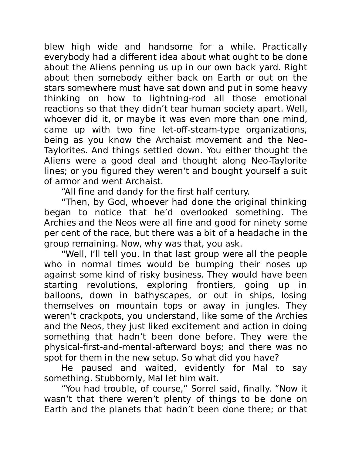blew high wide and handsome for a while. Practically everybody had a different idea about what ought to be done about the Aliens penning us up in our own back yard. Right about then somebody either back on Earth or out on the stars somewhere must have sat down and put in some heavy thinking on how to lightning-rod all those emotional reactions so that they didn't tear human society apart. Well, whoever did it, or maybe it was even more than one mind, came up with two fine let-off-steam-type organizations, being as you know the Archaist movement and the Neo-Taylorites. And things settled down. You either thought the Aliens were a good deal and thought along Neo-Taylorite lines; or you figured they weren't and bought yourself a suit of armor and went Archaist.

"All fine and dandy for the first half century.

"Then, by God, whoever had done the original thinking began to notice that he'd overlooked something. The Archies and the Neos were all fine and good for ninety some per cent of the race, but there was a bit of a headache in the group remaining. Now, why was that, you ask.

"Well, I'll tell you. In that last group were all the people who in normal times would be bumping their noses up against some kind of risky business. They would have been starting revolutions, exploring frontiers, going up in balloons, down in bathyscapes, or out in ships, losing themselves on mountain tops or away in jungles. They weren't crackpots, you understand, like some of the Archies and the Neos, they just liked excitement and action in doing something that hadn't been done before. They were the physical-first-and-mental-afterward boys; and there was no spot for them in the new setup. So what did you have?

He paused and waited, evidently for Mal to say something. Stubbornly, Mal let him wait.

"You had trouble, of course," Sorrel said, finally. "Now it wasn't that there weren't plenty of things to be done on Earth and the planets that hadn't been done there; or that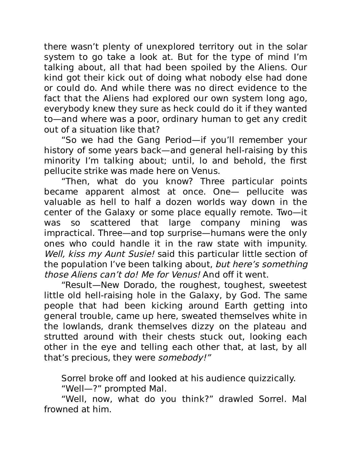there wasn't plenty of unexplored territory out in the solar system to go take a look at. But for the type of mind I'm talking about, all that had been spoiled by the Aliens. Our kind got their kick out of doing what nobody else had done or could do. And while there was no direct evidence to the fact that the Aliens had explored our own system long ago, everybody knew they sure as heck could do it if they wanted to—and where was a poor, ordinary human to get any credit out of a situation like that?

"So we had the Gang Period—if you'll remember your history of some years back—and general hell-raising by this minority I'm talking about; until, lo and behold, the first pellucite strike was made here on Venus.

"Then, what do you know? Three particular points became apparent almost at once. One— pellucite was valuable as hell to half a dozen worlds way down in the center of the Galaxy or some place equally remote. Two—it was so scattered that large company mining was impractical. Three—and top surprise—humans were the only ones who could handle it in the raw state with impunity. Well, kiss my Aunt Susie! said this particular little section of the population I've been talking about, but here's something those Aliens can't do! Me for Venus! And off it went.

"Result—New Dorado, the roughest, toughest, sweetest little old hell-raising hole in the Galaxy, by God. The same people that had been kicking around Earth getting into general trouble, came up here, sweated themselves white in the lowlands, drank themselves dizzy on the plateau and strutted around with their chests stuck out, looking each other in the eye and telling each other that, at last, by all that's precious, they were somebody!"

Sorrel broke off and looked at his audience quizzically.

"Well—?" prompted Mal.

"Well, now, what do you think?" drawled Sorrel. Mal frowned at him.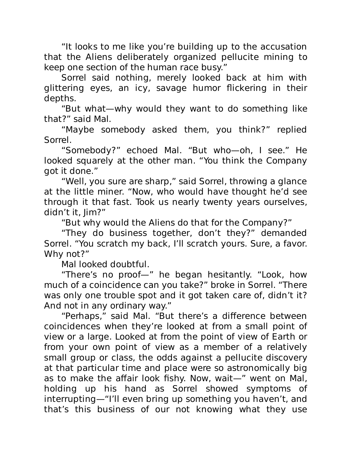"It looks to me like you're building up to the accusation that the Aliens deliberately organized pellucite mining to keep one section of the human race busy."

Sorrel said nothing, merely looked back at him with glittering eyes, an icy, savage humor flickering in their depths.

"But what—why would they want to do something like that?" said Mal.

"Maybe somebody asked them, you think?" replied Sorrel.

"Somebody?" echoed Mal. "But who—oh, I see." He looked squarely at the other man. "You think the Company got it done."

"Well, you sure are sharp," said Sorrel, throwing a glance at the little miner. "Now, who would have thought he'd see through it that fast. Took us nearly twenty years ourselves, didn't it, lim?"

"But why would the Aliens do that for the Company?"

"They do business together, don't they?" demanded Sorrel. "You scratch my back, I'll scratch yours. Sure, a favor. Why not?"

Mal looked doubtful.

"There's no proof—" he began hesitantly. "Look, how much of a coincidence can you take?" broke in Sorrel. "There was only one trouble spot and it got taken care of, didn't it? And not in any ordinary way."

"Perhaps," said Mal. "But there's a difference between coincidences when they're looked at from a small point of view or a large. Looked at from the point of view of Earth or from your own point of view as a member of a relatively small group or class, the odds against a pellucite discovery at that particular time and place were so astronomically big as to make the affair look fishy. Now, wait—" went on Mal, holding up his hand as Sorrel showed symptoms of interrupting—"I'll even bring up something you haven't, and that's this business of our not knowing what they use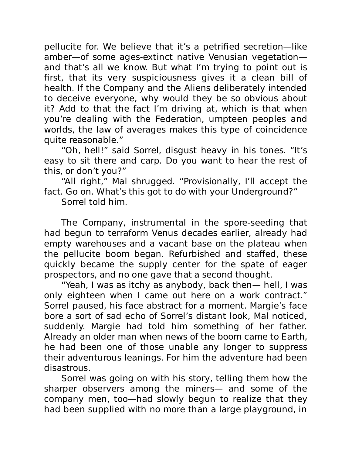pellucite for. We believe that it's a petrified secretion—like amber—of some ages-extinct native Venusian vegetation and that's all we know. But what I'm trying to point out is first, that its very suspiciousness gives it a clean bill of health. If the Company and the Aliens deliberately intended to deceive everyone, why would they be so obvious about it? Add to that the fact I'm driving at, which is that when you're dealing with the Federation, umpteen peoples and worlds, the law of averages makes this type of coincidence quite reasonable."

"Oh, hell!" said Sorrel, disgust heavy in his tones. "It's easy to sit there and carp. Do you want to hear the rest of this, or don't you?"

"All right," Mal shrugged. "Provisionally, I'll accept the fact. Go on. What's this got to do with your Underground?"

Sorrel told him.

The Company, instrumental in the spore-seeding that had begun to terraform Venus decades earlier, already had empty warehouses and a vacant base on the plateau when the pellucite boom began. Refurbished and staffed, these quickly became the supply center for the spate of eager prospectors, and no one gave that a second thought.

"Yeah, I was as itchy as anybody, back then— hell, I was only eighteen when I came out here on a work contract." Sorrel paused, his face abstract for a moment. Margie's face bore a sort of sad echo of Sorrel's distant look, Mal noticed, suddenly. Margie had told him something of her father. Already an older man when news of the boom came to Earth, he had been one of those unable any longer to suppress their adventurous leanings. For him the adventure had been disastrous.

Sorrel was going on with his story, telling them how the sharper observers among the miners— and some of the company men, too—had slowly begun to realize that they had been supplied with no more than a large playground, in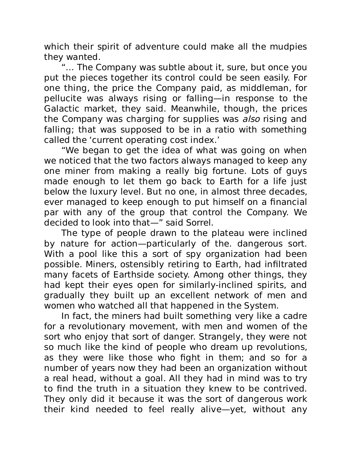which their spirit of adventure could make all the mudpies they wanted.

"… The Company was subtle about it, sure, but once you put the pieces together its control could be seen easily. For one thing, the price the Company paid, as middleman, for pellucite was always rising or falling—in response to the Galactic market, they said. Meanwhile, though, the prices the Company was charging for supplies was *also* rising and falling; that was supposed to be in a ratio with something called the 'current operating cost index.'

"We began to get the idea of what was going on when we noticed that the two factors always managed to keep any one miner from making a really big fortune. Lots of guys made enough to let them go back to Earth for a life just below the luxury level. But no one, in almost three decades, ever managed to keep enough to put himself on a financial par with any of the group that control the Company. We decided to look into that—" said Sorrel.

The type of people drawn to the plateau were inclined by nature for action—particularly of the. dangerous sort. With a pool like this a sort of spy organization had been possible. Miners, ostensibly retiring to Earth, had infiltrated many facets of Earthside society. Among other things, they had kept their eyes open for similarly-inclined spirits, and gradually they built up an excellent network of men and women who watched all that happened in the System.

In fact, the miners had built something very like a cadre for a revolutionary movement, with men and women of the sort who enjoy that sort of danger. Strangely, they were not so much like the kind of people who dream up revolutions, as they were like those who fight in them; and so for a number of years now they had been an organization without a real head, without a goal. All they had in mind was to try to find the truth in a situation they knew to be contrived. They only did it because it was the sort of dangerous work their kind needed to feel really alive—yet, without any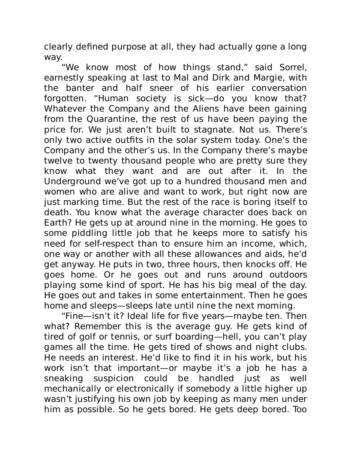clearly defined purpose at all, they had actually gone a long way.

"We know most of how things stand," said Sorrel, earnestly speaking at last to Mal and Dirk and Margie, with the banter and half sneer of his earlier conversation forgotten. "Human society is sick—do you know that? Whatever the Company and the Aliens have been gaining from the Quarantine, the rest of us have been paying the price for. We just aren't built to stagnate. Not us. There's only two active outfits in the solar system today. One's the Company and the other's us. In the Company there's maybe twelve to twenty thousand people who are pretty sure they know what they want and are out after it. In the Underground we've got up to a hundred thousand men and women who are alive and want to work, but right now are just marking time. But the rest of the race is boring itself to death. You know what the average character does back on Earth? He gets up at around nine in the morning. He goes to some piddling little job that he keeps more to satisfy his need for self-respect than to ensure him an income, which, one way or another with all these allowances and aids, he'd get anyway. He puts in two, three hours, then knocks off. He goes home. Or he goes out and runs around outdoors playing some kind of sport. He has his big meal of the day. He goes out and takes in some entertainment. Then he goes home and sleeps—sleeps late until nine the next morning.

"Fine—isn't it? Ideal life for five years—maybe ten. Then what? Remember this is the average guy. He gets kind of tired of golf or tennis, or surf boarding—hell, you can't play games all the time. He gets tired of shows and night clubs. He needs an interest. He'd like to find it in his work, but his work isn't that important—or maybe it's a job he has a sneaking suspicion could be handled just as well mechanically or electronically if somebody a little higher up wasn't justifying his own job by keeping as many men under him as possible. So he gets bored. He gets deep bored. Too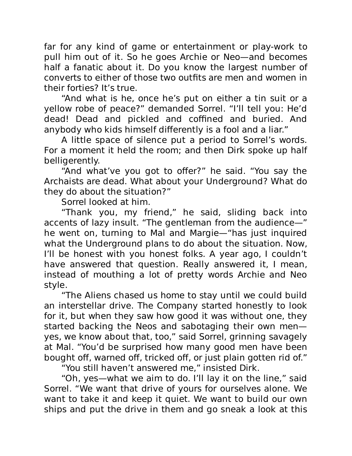far for any kind of game or entertainment or play-work to pull him out of it. So he goes Archie or Neo—and becomes half a fanatic about it. Do you know the largest number of converts to either of those two outfits are men and women in their forties? It's true.

"And what is he, once he's put on either a tin suit or a yellow robe of peace?" demanded Sorrel. "I'll tell you: He'd dead! Dead and pickled and coffined and buried. And anybody who kids himself differently is a fool and a liar."

A little space of silence put a period to Sorrel's words. For a moment it held the room; and then Dirk spoke up half belligerently.

"And what've you got to offer?" he said. "You say the Archaists are dead. What about your Underground? What do they do about the situation?"

Sorrel looked at him.

"Thank you, my friend," he said, sliding back into accents of lazy insult. "The gentleman from the audience—" he went on, turning to Mal and Margie—"has just inquired what the Underground plans to do about the situation. Now, I'll be honest with you honest folks. A year ago, I couldn't have answered that question. Really answered it, I mean, instead of mouthing a lot of pretty words Archie and Neo style.

"The Aliens chased us home to stay until we could build an interstellar drive. The Company started honestly to look for it, but when they saw how good it was without one, they started backing the Neos and sabotaging their own men yes, we know about that, too," said Sorrel, grinning savagely at Mal. "You'd be surprised how many good men have been bought off, warned off, tricked off, or just plain gotten rid of."

"You still haven't answered me," insisted Dirk.

"Oh, yes—what we aim to do. I'll lay it on the line," said Sorrel. "We want that drive of yours for ourselves alone. We want to take it and keep it quiet. We want to build our own ships and put the drive in them and go sneak a look at this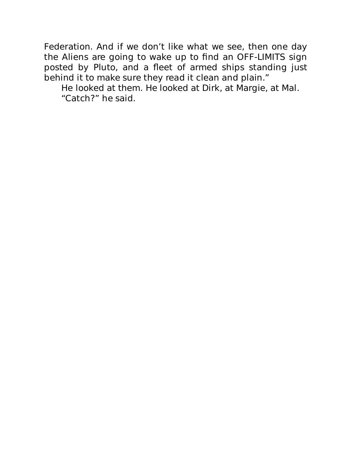Federation. And if we don't like what we see, then one day the Aliens are going to wake up to find an OFF-LIMITS sign posted by Pluto, and a fleet of armed ships standing just behind it to make sure they read it clean and plain."

He looked at them. He looked at Dirk, at Margie, at Mal. "Catch?" he said.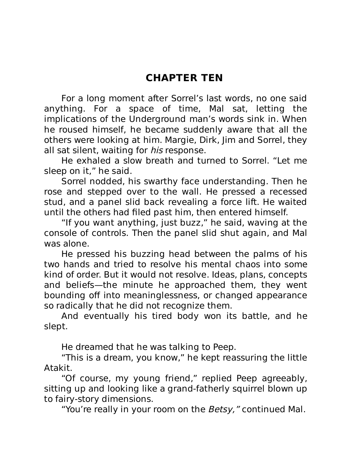### **CHAPTER TEN**

For a long moment after Sorrel's last words, no one said anything. For a space of time, Mal sat, letting the implications of the Underground man's words sink in. When he roused himself, he became suddenly aware that all the others were looking at him. Margie, Dirk, Jim and Sorrel, they all sat silent, waiting for *his* response.

He exhaled a slow breath and turned to Sorrel. "Let me sleep on it," he said.

Sorrel nodded, his swarthy face understanding. Then he rose and stepped over to the wall. He pressed a recessed stud, and a panel slid back revealing a force lift. He waited until the others had filed past him, then entered himself.

"If you want anything, just buzz," he said, waving at the console of controls. Then the panel slid shut again, and Mal was alone.

He pressed his buzzing head between the palms of his two hands and tried to resolve his mental chaos into some kind of order. But it would not resolve. Ideas, plans, concepts and beliefs—the minute he approached them, they went bounding off into meaninglessness, or changed appearance so radically that he did not recognize them.

And eventually his tired body won its battle, and he slept.

He dreamed that he was talking to Peep.

"This is a dream, you know," he kept reassuring the little Atakit.

"Of course, my young friend," replied Peep agreeably, sitting up and looking like a grand-fatherly squirrel blown up to fairy-story dimensions.

"You're really in your room on the Betsy," continued Mal.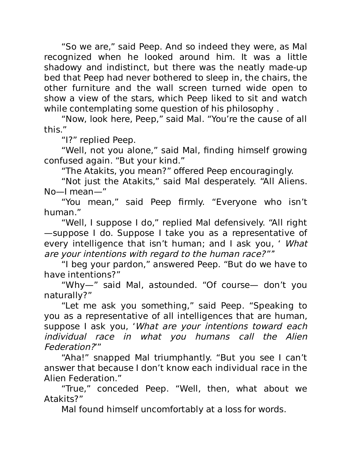"So we are," said Peep. And so indeed they were, as Mal recognized when he looked around him. It was a little shadowy and indistinct, but there was the neatly made-up bed that Peep had never bothered to sleep in, the chairs, the other furniture and the wall screen turned wide open to show a view of the stars, which Peep liked to sit and watch while contemplating some question of his philosophy .

"Now, look here, Peep," said Mal. "You're the cause of all this."

"I?" replied Peep.

"Well, not you alone," said Mal, finding himself growing confused again. "But your kind."

"The Atakits, you mean?" offered Peep encouragingly.

"Not just the Atakits," said Mal desperately. "All Aliens. No—I mean—"

"You mean," said Peep firmly. "Everyone who isn't human."

"Well, I suppose I do," replied Mal defensively. "All right —suppose I do. Suppose I take you as a representative of every intelligence that isn't human; and I ask you, ' What are your intentions with regard to the human race?"''

"I beg your pardon," answered Peep. "But do we have to have intentions?"

"Why—" said Mal, astounded. "Of course— don't you naturally?"

"Let me ask you something," said Peep. "Speaking to you as a representative of all intelligences that are human, suppose I ask you, '*What are your intentions toward each* individual race in what you humans call the Alien Federation?'"

"Aha!" snapped Mal triumphantly. "But you see I can't answer that because I don't know each individual race in the Alien Federation."

"True," conceded Peep. "Well, then, what about we Atakits?"

Mal found himself uncomfortably at a loss for words.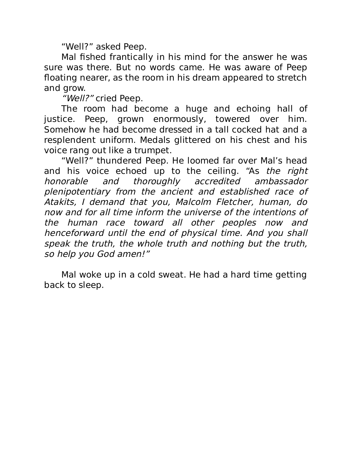"Well?" asked Peep.

Mal fished frantically in his mind for the answer he was sure was there. But no words came. He was aware of Peep floating nearer, as the room in his dream appeared to stretch and grow.

"Well?" cried Peep.

The room had become a huge and echoing hall of justice. Peep, grown enormously, towered over him. Somehow he had become dressed in a tall cocked hat and a resplendent uniform. Medals glittered on his chest and his voice rang out like a trumpet.

"Well?" thundered Peep. He loomed far over Mal's head and his voice echoed up to the ceiling. "As the right honorable and thoroughly accredited ambassador plenipotentiary from the ancient and established race of Atakits, I demand that you, Malcolm Fletcher, human, do now and for all time inform the universe of the intentions of the human race toward all other peoples now and henceforward until the end of physical time. And you shall speak the truth, the whole truth and nothing but the truth, so help you God amen!"

Mal woke up in a cold sweat. He had a hard time getting back to sleep.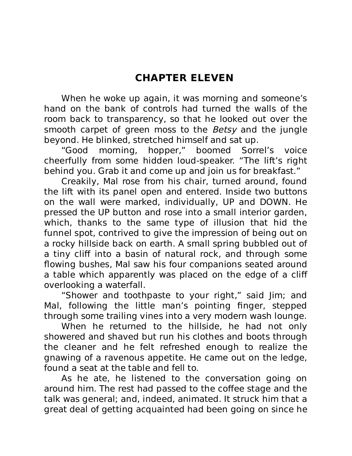# **CHAPTER ELEVEN**

When he woke up again, it was morning and someone's hand on the bank of controls had turned the walls of the room back to transparency, so that he looked out over the smooth carpet of green moss to the *Betsy* and the jungle beyond. He blinked, stretched himself and sat up.

"Good morning, hopper," boomed Sorrel's voice cheerfully from some hidden loud-speaker. "The lift's right behind you. Grab it and come up and join us for breakfast."

Creakily, Mal rose from his chair, turned around, found the lift with its panel open and entered. Inside two buttons on the wall were marked, individually, UP and DOWN. He pressed the UP button and rose into a small interior garden, which, thanks to the same type of illusion that hid the funnel spot, contrived to give the impression of being out on a rocky hillside back on earth. A small spring bubbled out of a tiny cliff into a basin of natural rock, and through some flowing bushes, Mal saw his four companions seated around a table which apparently was placed on the edge of a cliff overlooking a waterfall.

"Shower and toothpaste to your right," said Jim; and Mal, following the little man's pointing finger, stepped through some trailing vines into a very modern wash lounge.

When he returned to the hillside, he had not only showered and shaved but run his clothes and boots through the cleaner and he felt refreshed enough to realize the gnawing of a ravenous appetite. He came out on the ledge, found a seat at the table and fell to.

As he ate, he listened to the conversation going on around him. The rest had passed to the coffee stage and the talk was general; and, indeed, animated. It struck him that a great deal of getting acquainted had been going on since he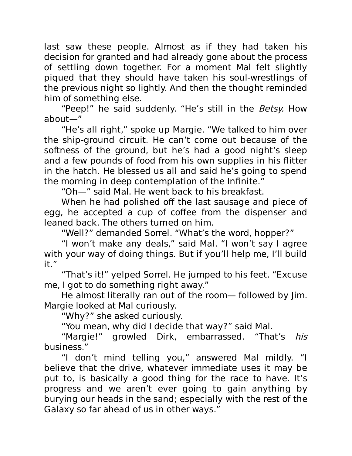last saw these people. Almost as if they had taken his decision for granted and had already gone about the process of settling down together. For a moment Mal felt slightly piqued that they should have taken his soul-wrestlings of the previous night so lightly. And then the thought reminded him of something else.

"Peep!" he said suddenly. "He's still in the Betsy. How about—"

"He's all right," spoke up Margie. "We talked to him over the ship-ground circuit. He can't come out because of the softness of the ground, but he's had a good night's sleep and a few pounds of food from his own supplies in his flitter in the hatch. He blessed us all and said he's going to spend the morning in deep contemplation of the Infinite."

"Oh—" said Mal. He went back to his breakfast.

When he had polished off the last sausage and piece of egg, he accepted a cup of coffee from the dispenser and leaned back. The others turned on him.

"Well?" demanded Sorrel. "What's the word, hopper?"

"I won't make any deals," said Mal. "I won't say I agree with your way of doing things. But if you'll help me, I'll build it."

"That's it!" yelped Sorrel. He jumped to his feet. "Excuse me, I got to do something right away."

He almost literally ran out of the room— followed by Jim. Margie looked at Mal curiously.

"Why?" she asked curiously.

"You mean, why did I decide that way?" said Mal.

"Margie!" growled Dirk, embarrassed. "That's his business."

"I don't mind telling you," answered Mal mildly. "I believe that the drive, whatever immediate uses it may be put to, is basically a good thing for the race to have. It's progress and we aren't ever going to gain anything by burying our heads in the sand; especially with the rest of the Galaxy so far ahead of us in other ways."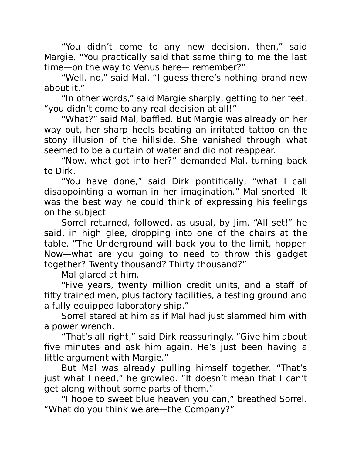"You didn't come to any new decision, then," said Margie. "You practically said that same thing to me the last time—on the way to Venus here— remember?"

"Well, no," said Mal. "I guess there's nothing brand new about it."

"In other words," said Margie sharply, getting to her feet, "you didn't come to any real decision at all!"

"What?" said Mal, baffled. But Margie was already on her way out, her sharp heels beating an irritated tattoo on the stony illusion of the hillside. She vanished through what seemed to be a curtain of water and did not reappear.

"Now, what got into her?" demanded Mal, turning back to Dirk.

"You have done," said Dirk pontifically, "what I call disappointing a woman in her imagination." Mal snorted. It was the best way he could think of expressing his feelings on the subject.

Sorrel returned, followed, as usual, by Jim. "All set!" he said, in high glee, dropping into one of the chairs at the table. "The Underground will back you to the limit, hopper. Now—what are you going to need to throw this gadget together? Twenty thousand? Thirty thousand?"

Mal glared at him.

"Five years, twenty million credit units, and a staff of fifty trained men, plus factory facilities, a testing ground and a fully equipped laboratory ship."

Sorrel stared at him as if Mal had just slammed him with a power wrench.

"That's all right," said Dirk reassuringly. "Give him about five minutes and ask him again. He's just been having a little argument with Margie."

But Mal was already pulling himself together. "That's just what I need," he growled. "It doesn't mean that I can't get along without some parts of them."

"I hope to sweet blue heaven you can," breathed Sorrel. "What do you think we are—the Company?"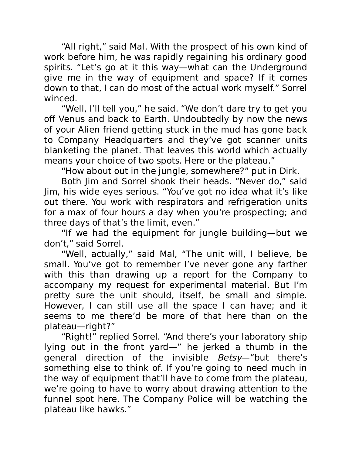"All right," said Mal. With the prospect of his own kind of work before him, he was rapidly regaining his ordinary good spirits. "Let's go at it this way—what can the Underground give me in the way of equipment and space? If it comes down to that, I can do most of the actual work myself." Sorrel winced.

"Well, I'll tell you," he said. "We don't dare try to get you off Venus and back to Earth. Undoubtedly by now the news of your Alien friend getting stuck in the mud has gone back to Company Headquarters and they've got scanner units blanketing the planet. That leaves this world which actually means your choice of two spots. Here or the plateau."

"How about out in the jungle, somewhere?" put in Dirk.

Both Jim and Sorrel shook their heads. "Never do," said Jim, his wide eyes serious. "You've got no idea what it's like out there. You work with respirators and refrigeration units for a max of four hours a day when you're prospecting; and three days of that's the limit, even."

"If we had the equipment for jungle building—but we don't," said Sorrel.

"Well, actually," said Mal, "The unit will, I believe, be small. You've got to remember I've never gone any farther with this than drawing up a report for the Company to accompany my request for experimental material. But I'm pretty sure the unit should, itself, be small and simple. However, I can still use all the space I can have; and it seems to me there'd be more of that here than on the plateau—right?"

"Right!" replied Sorrel. "And there's your laboratory ship lying out in the front yard—" he jerked a thumb in the general direction of the invisible Betsy—"but there's something else to think of. If you're going to need much in the way of equipment that'll have to come from the plateau, we're going to have to worry about drawing attention to the funnel spot here. The Company Police will be watching the plateau like hawks."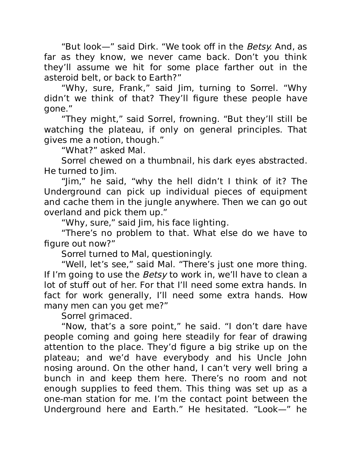"But look—" said Dirk. "We took off in the Betsy. And, as far as they know, we never came back. Don't you think they'll assume we hit for some place farther out in the asteroid belt, or back to Earth?"

"Why, sure, Frank," said Jim, turning to Sorrel. "Why didn't we think of that? They'll figure these people have gone."

"They might," said Sorrel, frowning. "But they'll still be watching the plateau, if only on general principles. That gives me a notion, though."

"What?" asked Mal.

Sorrel chewed on a thumbnail, his dark eyes abstracted. He turned to Jim.

"Jim," he said, "why the hell didn't I think of it? The Underground can pick up individual pieces of equipment and cache them in the jungle anywhere. Then we can go out overland and pick them up."

"Why, sure," said Jim, his face lighting.

"There's no problem to that. What else do we have to figure out now?"

Sorrel turned to Mal, questioningly.

"Well, let's see," said Mal. "There's just one more thing. If I'm going to use the Betsy to work in, we'll have to clean a lot of stuff out of her. For that I'll need some extra hands. In fact for work generally, I'll need some extra hands. How many men can you get me?"

Sorrel grimaced.

"Now, that's a sore point," he said. "I don't dare have people coming and going here steadily for fear of drawing attention to the place. They'd figure a big strike up on the plateau; and we'd have everybody and his Uncle John nosing around. On the other hand, I can't very well bring a bunch in and keep them here. There's no room and not enough supplies to feed them. This thing was set up as a one-man station for me. I'm the contact point between the Underground here and Earth." He hesitated. "Look—" he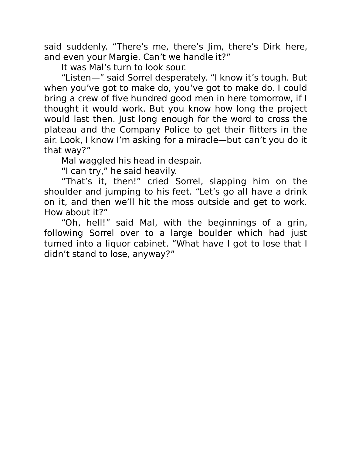said suddenly. "There's me, there's Jim, there's Dirk here, and even your Margie. Can't we handle it?"

It was Mal's turn to look sour.

"Listen—" said Sorrel desperately. "I know it's tough. But when you've got to make do, you've got to make do. I could bring a crew of five hundred good men in here tomorrow, if I thought it would work. But you know how long the project would last then. Just long enough for the word to cross the plateau and the Company Police to get their flitters in the air. Look, I know I'm asking for a miracle—but can't you do it that way?"

Mal waggled his head in despair.

"I can try," he said heavily.

"That's it, then!" cried Sorrel, slapping him on the shoulder and jumping to his feet. "Let's go all have a drink on it, and then we'll hit the moss outside and get to work. How about it?"

"Oh, hell!" said Mal, with the beginnings of a grin, following Sorrel over to a large boulder which had just turned into a liquor cabinet. "What have I got to lose that I didn't stand to lose, anyway?"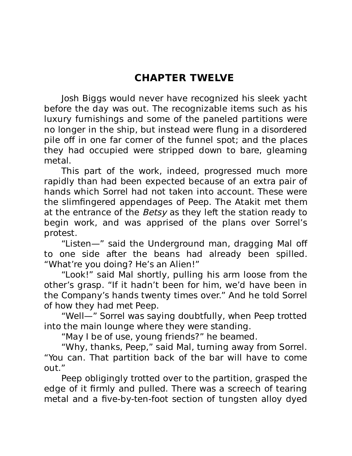# **CHAPTER TWELVE**

Josh Biggs would never have recognized his sleek yacht before the day was out. The recognizable items such as his luxury furnishings and some of the paneled partitions were no longer in the ship, but instead were flung in a disordered pile off in one far corner of the funnel spot; and the places they had occupied were stripped down to bare, gleaming metal.

This part of the work, indeed, progressed much more rapidly than had been expected because of an extra pair of hands which Sorrel had not taken into account. These were the slimfingered appendages of Peep. The Atakit met them at the entrance of the *Betsy* as they left the station ready to begin work, and was apprised of the plans over Sorrel's protest.

"Listen—" said the Underground man, dragging Mal off to one side after the beans had already been spilled. "What're you doing? He's an Alien!"

"Look!" said Mal shortly, pulling his arm loose from the other's grasp. "If it hadn't been for him, we'd have been in the Company's hands twenty times over." And he told Sorrel of how they had met Peep.

"Well—" Sorrel was saying doubtfully, when Peep trotted into the main lounge where they were standing.

"May I be of use, young friends?" he beamed.

"Why, thanks, Peep," said Mal, turning away from Sorrel. "You can. That partition back of the bar will have to come out."

Peep obligingly trotted over to the partition, grasped the edge of it firmly and pulled. There was a screech of tearing metal and a five-by-ten-foot section of tungsten alloy dyed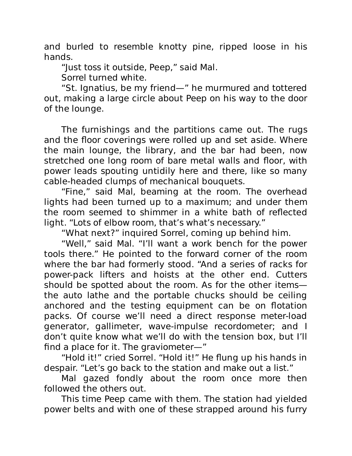and burled to resemble knotty pine, ripped loose in his hands.

"Just toss it outside, Peep," said Mal.

Sorrel turned white.

"St. Ignatius, be my friend—" he murmured and tottered out, making a large circle about Peep on his way to the door of the lounge.

The furnishings and the partitions came out. The rugs and the floor coverings were rolled up and set aside. Where the main lounge, the library, and the bar had been, now stretched one long room of bare metal walls and floor, with power leads spouting untidily here and there, like so many cable-headed clumps of mechanical bouquets.

"Fine," said Mal, beaming at the room. The overhead lights had been turned up to a maximum; and under them the room seemed to shimmer in a white bath of reflected light. "Lots of elbow room, that's what's necessary."

"What next?" inquired Sorrel, coming up behind him.

"Well," said Mal. "I'll want a work bench for the power tools there." He pointed to the forward corner of the room where the bar had formerly stood. "And a series of racks for power-pack lifters and hoists at the other end. Cutters should be spotted about the room. As for the other items the auto lathe and the portable chucks should be ceiling anchored and the testing equipment can be on flotation packs. Of course we'll need a direct response meter-load generator, gallimeter, wave-impulse recordometer; and I don't quite know what we'll do with the tension box, but I'll find a place for it. The graviometer—"

"Hold it!" cried Sorrel. "Hold it!" He flung up his hands in despair. "Let's go back to the station and make out a list."

Mal gazed fondly about the room once more then followed the others out.

This time Peep came with them. The station had yielded power belts and with one of these strapped around his furry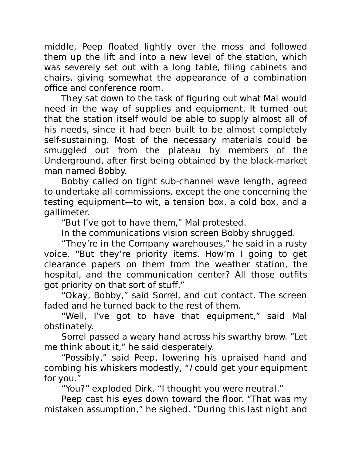middle, Peep floated lightly over the moss and followed them up the lift and into a new level of the station, which was severely set out with a long table, filing cabinets and chairs, giving somewhat the appearance of a combination office and conference room.

They sat down to the task of figuring out what Mal would need in the way of supplies and equipment. It turned out that the station itself would be able to supply almost all of his needs, since it had been built to be almost completely self-sustaining. Most of the necessary materials could be smuggled out from the plateau by members of the Underground, after first being obtained by the black-market man named Bobby.

Bobby called on tight sub-channel wave length, agreed to undertake all commissions, except the one concerning the testing equipment—to wit, a tension box, a cold box, and a gallimeter.

"But I've got to have them," Mal protested.

In the communications vision screen Bobby shrugged.

"They're in the Company warehouses," he said in a rusty voice. "But they're priority items. How'm I going to get clearance papers on them from the weather station, the hospital, and the communication center? All those outfits got priority on that sort of stuff."

"Okay, Bobby," said Sorrel, and cut contact. The screen faded and he turned back to the rest of them.

"Well, I've got to have that equipment," said Mal obstinately.

Sorrel passed a weary hand across his swarthy brow. "Let me think about it," he said desperately.

"Possibly," said Peep, lowering his upraised hand and combing his whiskers modestly, "I could get your equipment for you."

"You?" exploded Dirk. "I thought you were neutral."

Peep cast his eyes down toward the floor. "That was my mistaken assumption," he sighed. "During this last night and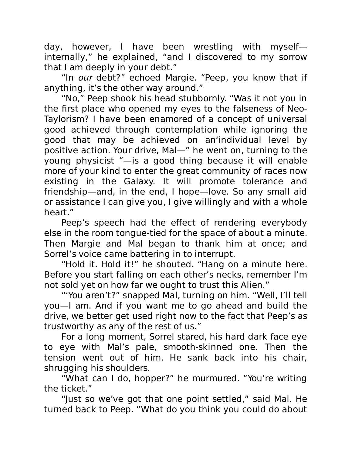day, however, I have been wrestling with myself internally," he explained, "and I discovered to my sorrow that I am deeply in your debt."

"In our debt?" echoed Margie. "Peep, you know that if anything, it's the other way around."

"No," Peep shook his head stubbornly. "Was it not you in the first place who opened my eyes to the falseness of Neo-Taylorism? I have been enamored of a concept of universal good achieved through contemplation while ignoring the good that may be achieved on an'individual level by positive action. Your drive, Mal—" he went on, turning to the young physicist "—is a good thing because it will enable more of your kind to enter the great community of races now existing in the Galaxy. It will promote tolerance and friendship—and, in the end, I hope—love. So any small aid or assistance I can give you, I give willingly and with a whole heart."

Peep's speech had the effect of rendering everybody else in the room tongue-tied for the space of about a minute. Then Margie and Mal began to thank him at once; and Sorrel's voice came battering in to interrupt.

"Hold it. Hold it!" he shouted. "Hang on a minute here. Before you start falling on each other's necks, remember I'm not sold yet on how far we ought to trust this Alien."

"'You aren't?" snapped Mal, turning on him. "Well, I'll tell you—I am. And if you want me to go ahead and build the drive, we better get used right now to the fact that Peep's as trustworthy as any of the rest of us."

For a long moment, Sorrel stared, his hard dark face eye to eye with Mal's pale, smooth-skinned one. Then the tension went out of him. He sank back into his chair, shrugging his shoulders.

"What can I do, hopper?" he murmured. "You're writing the ticket."

"Just so we've got that one point settled," said Mal. He turned back to Peep. "What do you think you could do about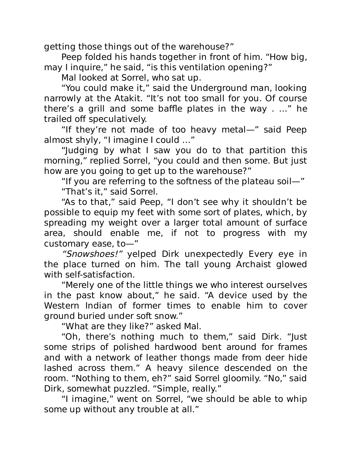getting those things out of the warehouse?"

Peep folded his hands together in front of him. "How big, may I inquire," he said, "is this ventilation opening?"

Mal looked at Sorrel, who sat up.

"You could make it," said the Underground man, looking narrowly at the Atakit. "It's not too small for you. Of course there's a grill and some baffle plates in the way . …" he trailed off speculatively.

"If they're not made of too heavy metal—" said Peep almost shyly, "I imagine I could …"

"Judging by what I saw you do to that partition this morning," replied Sorrel, "you could and then some. But just how are you going to get up to the warehouse?"

"If you are referring to the softness of the plateau soil—" "That's it," said Sorrel.

"As to that," said Peep, "I don't see why it shouldn't be possible to equip my feet with some sort of plates, which, by spreading my weight over a larger total amount of surface area, should enable me, if not to progress with my customary ease, to—"

"Snowshoes!" yelped Dirk unexpectedly Every eye in the place turned on him. The tall young Archaist glowed with self-satisfaction.

"Merely one of the little things we who interest ourselves in the past know about," he said. "A device used by the Western Indian of former times to enable him to cover ground buried under soft snow."

"What are they like?" asked Mal.

"Oh, there's nothing much to them," said Dirk. "Just some strips of polished hardwood bent around for frames and with a network of leather thongs made from deer hide lashed across them." A heavy silence descended on the room. "Nothing to them, eh?" said Sorrel gloomily. "No," said Dirk, somewhat puzzled. "Simple, really."

"I imagine," went on Sorrel, "we should be able to whip some up without any trouble at all."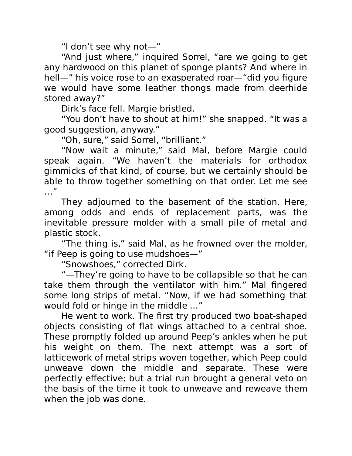"I don't see why not—"

"And just where," inquired Sorrel, "are we going to get any hardwood on this planet of sponge plants? And where in hell—" his voice rose to an exasperated roar—"did you figure we would have some leather thongs made from deerhide stored away?"

Dirk's face fell. Margie bristled.

"You don't have to shout at him!" she snapped. "It was a good suggestion, anyway."

"Oh, sure," said Sorrel, "brilliant."

"Now wait a minute," said Mal, before Margie could speak again. "We haven't the materials for orthodox gimmicks of that kind, of course, but we certainly should be able to throw together something on that order. Let me see …"

They adjourned to the basement of the station. Here, among odds and ends of replacement parts, was the inevitable pressure molder with a small pile of metal and plastic stock.

"The thing is," said Mal, as he frowned over the molder, "if Peep is going to use mudshoes—"

"Snowshoes," corrected Dirk.

"—They're going to have to be collapsible so that he can take them through the ventilator with him." Mal fingered some long strips of metal. "Now, if we had something that would fold or hinge in the middle …"

He went to work. The first try produced two boat-shaped objects consisting of flat wings attached to a central shoe. These promptly folded up around Peep's ankles when he put his weight on them. The next attempt was a sort of latticework of metal strips woven together, which Peep could unweave down the middle and separate. These were perfectly effective; but a trial run brought a general veto on the basis of the time it took to unweave and reweave them when the job was done.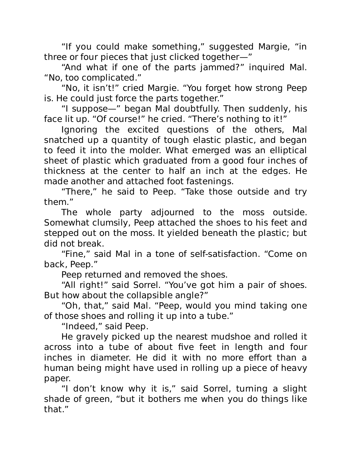"If you could make something," suggested Margie, "in three or four pieces that just clicked together—"

"And what if one of the parts jammed?" inquired Mal. "No, too complicated."

"No, it isn't!" cried Margie. "You forget how strong Peep is. He could just force the parts together."

"I suppose—" began Mal doubtfully. Then suddenly, his face lit up. "Of course!" he cried. "There's nothing to it!"

Ignoring the excited questions of the others, Mal snatched up a quantity of tough elastic plastic, and began to feed it into the molder. What emerged was an elliptical sheet of plastic which graduated from a good four inches of thickness at the center to half an inch at the edges. He made another and attached foot fastenings.

"There," he said to Peep. "Take those outside and try them."

The whole party adjourned to the moss outside. Somewhat clumsily, Peep attached the shoes to his feet and stepped out on the moss. It yielded beneath the plastic; but did not break.

"Fine," said Mal in a tone of self-satisfaction. "Come on back, Peep."

Peep returned and removed the shoes.

"All right!" said Sorrel. "You've got him a pair of shoes. But how about the collapsible angle?"

"Oh, that," said Mal. "Peep, would you mind taking one of those shoes and rolling it up into a tube."

"Indeed," said Peep.

He gravely picked up the nearest mudshoe and rolled it across into a tube of about five feet in length and four inches in diameter. He did it with no more effort than a human being might have used in rolling up a piece of heavy paper.

"I don't know why it is," said Sorrel, turning a slight shade of green, "but it bothers me when you do things like that."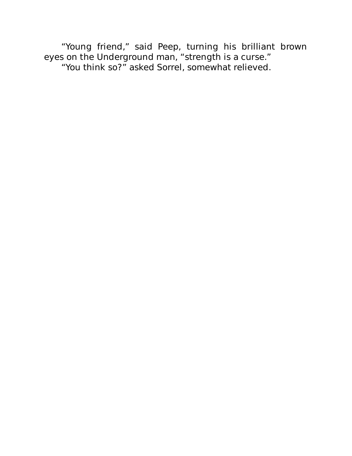"Young friend," said Peep, turning his brilliant brown eyes on the Underground man, "strength is a curse." "You think so?" asked Sorrel, somewhat relieved.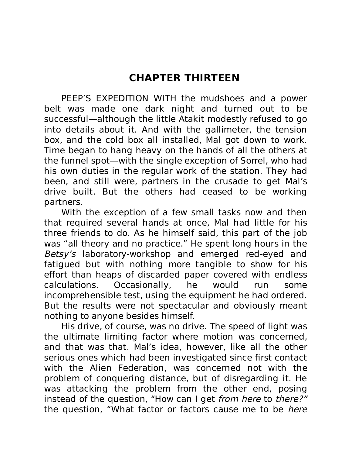# **CHAPTER THIRTEEN**

PEEP'S EXPEDITION WITH the mudshoes and a power belt was made one dark night and turned out to be successful—although the little Atakit modestly refused to go into details about it. And with the gallimeter, the tension box, and the cold box all installed, Mal got down to work. Time began to hang heavy on the hands of all the others at the funnel spot—with the single exception of Sorrel, who had his own duties in the regular work of the station. They had been, and still were, partners in the crusade to get Mal's drive built. But the others had ceased to be working partners.

With the exception of a few small tasks now and then that required several hands at once, Mal had little for his three friends to do. As he himself said, this part of the job was "all theory and no practice." He spent long hours in the Betsy's laboratory-workshop and emerged red-eyed and fatigued but with nothing more tangible to show for his effort than heaps of discarded paper covered with endless calculations. Occasionally, he would run some incomprehensible test, using the equipment he had ordered. But the results were not spectacular and obviously meant nothing to anyone besides himself.

His drive, of course, was no drive. The speed of light was the ultimate limiting factor where motion was concerned, and that was that. Mal's idea, however, like all the other serious ones which had been investigated since first contact with the Alien Federation, was concerned not with the problem of conquering distance, but of disregarding it. He was attacking the problem from the other end, posing instead of the question, "How can I get from here to there?" the question, "What factor or factors cause me to be here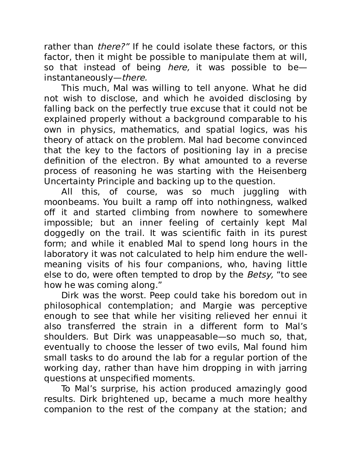rather than there?" If he could isolate these factors, or this factor, then it might be possible to manipulate them at will, so that instead of being *here*, it was possible to beinstantaneously—there.

This much, Mal was willing to tell anyone. What he did not wish to disclose, and which he avoided disclosing by falling back on the perfectly true excuse that it could not be explained properly without a background comparable to his own in physics, mathematics, and spatial logics, was his theory of attack on the problem. Mal had become convinced that the key to the factors of positioning lay in a precise definition of the electron. By what amounted to a reverse process of reasoning he was starting with the Heisenberg Uncertainty Principle and backing up to the question.

All this, of course, was so much juggling with moonbeams. You built a ramp off into nothingness, walked off it and started climbing from nowhere to somewhere impossible; but an inner feeling of certainly kept Mal doggedly on the trail. It was scientific faith in its purest form; and while it enabled Mal to spend long hours in the laboratory it was not calculated to help him endure the wellmeaning visits of his four companions, who, having little else to do, were often tempted to drop by the Betsy, "to see how he was coming along."

Dirk was the worst. Peep could take his boredom out in philosophical contemplation; and Margie was perceptive enough to see that while her visiting relieved her ennui it also transferred the strain in a different form to Mal's shoulders. But Dirk was unappeasable—so much so, that, eventually to choose the lesser of two evils, Mal found him small tasks to do around the lab for a regular portion of the working day, rather than have him dropping in with jarring questions at unspecified moments.

To Mal's surprise, his action produced amazingly good results. Dirk brightened up, became a much more healthy companion to the rest of the company at the station; and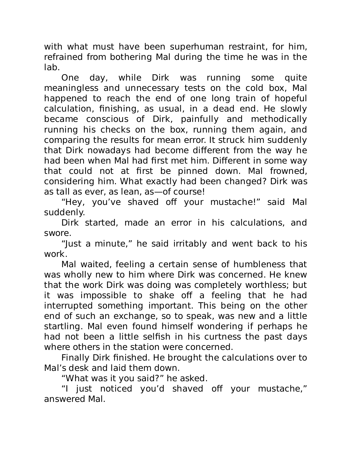with what must have been superhuman restraint, for him, refrained from bothering Mal during the time he was in the lab.

One day, while Dirk was running some quite meaningless and unnecessary tests on the cold box, Mal happened to reach the end of one long train of hopeful calculation, finishing, as usual, in a dead end. He slowly became conscious of Dirk, painfully and methodically running his checks on the box, running them again, and comparing the results for mean error. It struck him suddenly that Dirk nowadays had become different from the way he had been when Mal had first met him. Different in some way that could not at first be pinned down. Mal frowned, considering him. What exactly had been changed? Dirk was as tall as ever, as lean, as—of course!

"Hey, you've shaved off your mustache!" said Mal suddenly.

Dirk started, made an error in his calculations, and swore.

"Just a minute," he said irritably and went back to his work.

Mal waited, feeling a certain sense of humbleness that was wholly new to him where Dirk was concerned. He knew that the work Dirk was doing was completely worthless; but it was impossible to shake off a feeling that he had interrupted something important. This being on the other end of such an exchange, so to speak, was new and a little startling. Mal even found himself wondering if perhaps he had not been a little selfish in his curtness the past days where others in the station were concerned.

Finally Dirk finished. He brought the calculations over to Mal's desk and laid them down.

"What was it you said?" he asked.

"I just noticed you'd shaved off your mustache," answered Mal.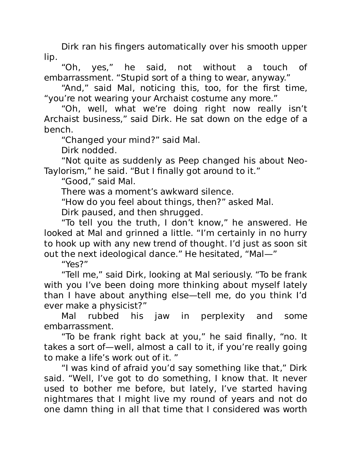Dirk ran his fingers automatically over his smooth upper lip.

"Oh, yes," he said, not without a touch of embarrassment. "Stupid sort of a thing to wear, anyway."

"And," said Mal, noticing this, too, for the first time, "you're not wearing your Archaist costume any more."

"Oh, well, what we're doing right now really isn't Archaist business," said Dirk. He sat down on the edge of a bench.

"Changed your mind?" said Mal.

Dirk nodded.

"Not quite as suddenly as Peep changed his about Neo-Taylorism," he said. "But I finally got around to it."

"Good," said Mal.

There was a moment's awkward silence.

"How do you feel about things, then?" asked Mal.

Dirk paused, and then shrugged.

"To tell you the truth, I don't know," he answered. He looked at Mal and grinned a little. "I'm certainly in no hurry to hook up with any new trend of thought. I'd just as soon sit out the next ideological dance." He hesitated, "Mal—"

"Yes?"

"Tell me," said Dirk, looking at Mal seriously. "To be frank with you I've been doing more thinking about myself lately than I have about anything else—tell me, do you think I'd ever make a physicist?"

Mal rubbed his jaw in perplexity and some embarrassment.

"To be frank right back at you," he said finally, "no. It takes a sort of—well, almost a call to it, if you're really going to make a life's work out of it. "

"I was kind of afraid you'd say something like that," Dirk said. "Well, I've got to do something, I know that. It never used to bother me before, but lately, I've started having nightmares that I might live my round of years and not do one damn thing in all that time that I considered was worth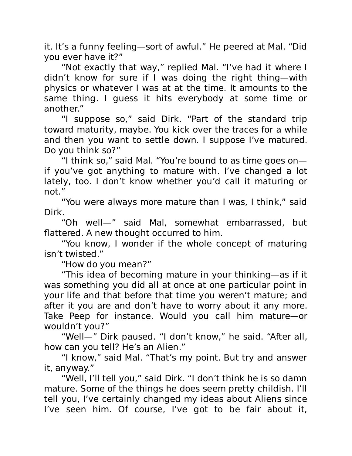it. It's a funny feeling—sort of awful." He peered at Mal. "Did you ever have it?"

"Not exactly that way," replied Mal. "I've had it where I didn't know for sure if I was doing the right thing—with physics or whatever I was at at the time. It amounts to the same thing. I guess it hits everybody at some time or another."

"I suppose so," said Dirk. "Part of the standard trip toward maturity, maybe. You kick over the traces for a while and then you want to settle down. I suppose I've matured. Do you think so?"

"I think so," said Mal. "You're bound to as time goes on if you've got anything to mature with. I've changed a lot lately, too. I don't know whether you'd call it maturing or not."

"You were always more mature than I was, I think," said Dirk.

"Oh well—" said Mal, somewhat embarrassed, but flattered. A new thought occurred to him.

"You know, I wonder if the whole concept of maturing isn't twisted."

"How do you mean?"

"This idea of becoming mature in your thinking—as if it was something you did all at once at one particular point in your life and that before that time you weren't mature; and after it you are and don't have to worry about it any more. Take Peep for instance. Would you call him mature—or wouldn't you?"

"Well—" Dirk paused. "I don't know," he said. "After all, how can you tell? He's an Alien."

"I know," said Mal. "That's my point. But try and answer it, anyway."

"Well, I'll tell you," said Dirk. "I don't think he is so damn mature. Some of the things he does seem pretty childish. I'll tell you, I've certainly changed my ideas about Aliens since I've seen him. Of course, I've got to be fair about it,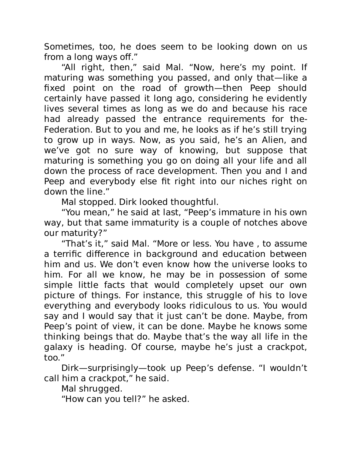Sometimes, too, he does seem to be looking down on us from a long ways off."

"All right, then," said Mal. "Now, here's my point. If maturing was something you passed, and only that—like a fixed point on the road of growth—then Peep should certainly have passed it long ago, considering he evidently lives several times as long as we do and because his race had already passed the entrance requirements for the-Federation. But to you and me, he looks as if he's still trying to grow up in ways. Now, as you said, he's an Alien, and we've got no sure way of knowing, but suppose that maturing is something you go on doing all your life and all down the process of race development. Then you and I and Peep and everybody else fit right into our niches right on down the line."

Mal stopped. Dirk looked thoughtful.

"You mean," he said at last, "Peep's immature in his own way, but that same immaturity is a couple of notches above our maturity?"

"That's it," said Mal. "More or less. You have , to assume a terrific difference in background and education between him and us. We don't even know how the universe looks to him. For all we know, he may be in possession of some simple little facts that would completely upset our own picture of things. For instance, this struggle of his to love everything and everybody looks ridiculous to us. You would say and I would say that it just can't be done. Maybe, from Peep's point of view, it can be done. Maybe he knows some thinking beings that do. Maybe that's the way all life in the galaxy is heading. Of course, maybe he's just a crackpot, too."

Dirk—surprisingly—took up Peep's defense. "I wouldn't call him a crackpot," he said.

Mal shrugged.

"How can you tell?" he asked.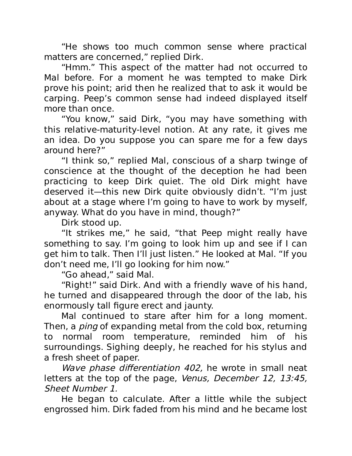"He shows too much common sense where practical matters are concerned," replied Dirk.

"Hmm." This aspect of the matter had not occurred to Mal before. For a moment he was tempted to make Dirk prove his point; arid then he realized that to ask it would be carping. Peep's common sense had indeed displayed itself more than once.

"You know," said Dirk, "you may have something with this relative-maturity-level notion. At any rate, it gives me an idea. Do you suppose you can spare me for a few days around here?"

"I think so," replied Mal, conscious of a sharp twinge of conscience at the thought of the deception he had been practicing to keep Dirk quiet. The old Dirk might have deserved it—this new Dirk quite obviously didn't. "I'm just about at a stage where I'm going to have to work by myself, anyway. What do you have in mind, though?"

Dirk stood up.

"It strikes me," he said, "that Peep might really have something to say. I'm going to look him up and see if I can get him to talk. Then I'll just listen." He looked at Mal. "If you don't need me, I'll go looking for him now."

"Go ahead," said Mal.

"Right!" said Dirk. And with a friendly wave of his hand, he turned and disappeared through the door of the lab, his enormously tall figure erect and jaunty.

Mal continued to stare after him for a long moment. Then, a *ping* of expanding metal from the cold box, returning to normal room temperature, reminded him of his surroundings. Sighing deeply, he reached for his stylus and a fresh sheet of paper.

Wave phase differentiation 402, he wrote in small neat letters at the top of the page, Venus, December 12, 13:45, Sheet Number 1.

He began to calculate. After a little while the subject engrossed him. Dirk faded from his mind and he became lost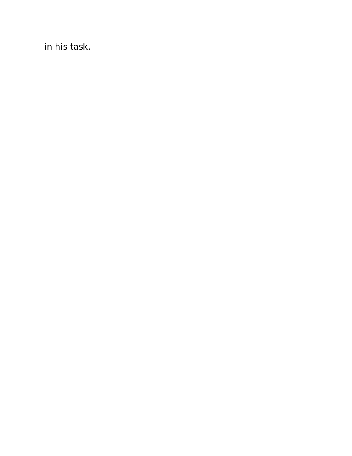in his task.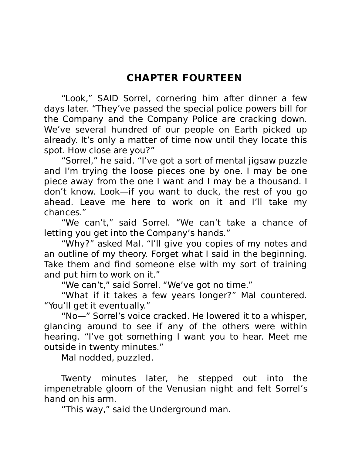# **CHAPTER FOURTEEN**

"Look," SAID Sorrel, cornering him after dinner a few days later. "They've passed the special police powers bill for the Company and the Company Police are cracking down. We've several hundred of our people on Earth picked up already. It's only a matter of time now until they locate this spot. How close are you?"

"Sorrel," he said. "I've got a sort of mental jigsaw puzzle and I'm trying the loose pieces one by one. I may be one piece away from the one I want and I may be a thousand. I don't know. Look—if you want to duck, the rest of you go ahead. Leave me here to work on it and I'll take my chances."

"We can't," said Sorrel. "We can't take a chance of letting you get into the Company's hands."

"Why?" asked Mal. "I'll give you copies of my notes and an outline of my theory. Forget what I said in the beginning. Take them and find someone else with my sort of training and put him to work on it."

"We can't," said Sorrel. "We've got no time."

"What if it takes a few years longer?" Mal countered. "You'll get it eventually."

"No—" Sorrel's voice cracked. He lowered it to a whisper, glancing around to see if any of the others were within hearing. "I've got something I want you to hear. Meet me outside in twenty minutes."

Mal nodded, puzzled.

Twenty minutes later, he stepped out into the impenetrable gloom of the Venusian night and felt Sorrel's hand on his arm.

"This way," said the Underground man.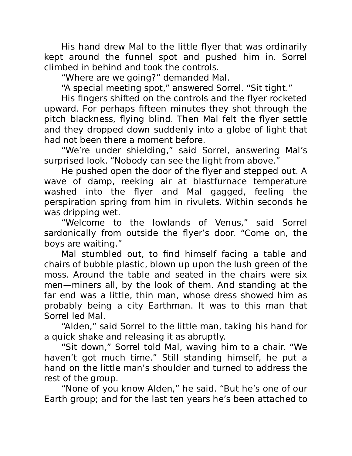His hand drew Mal to the little flyer that was ordinarily kept around the funnel spot and pushed him in. Sorrel climbed in behind and took the controls.

"Where are we going?" demanded Mal.

"A special meeting spot," answered Sorrel. "Sit tight."

His fingers shifted on the controls and the flyer rocketed upward. For perhaps fifteen minutes they shot through the pitch blackness, flying blind. Then Mal felt the flyer settle and they dropped down suddenly into a globe of light that had not been there a moment before.

"We're under shielding," said Sorrel, answering Mal's surprised look. "Nobody can see the light from above."

He pushed open the door of the flyer and stepped out. A wave of damp, reeking air at blastfurnace temperature washed into the flyer and Mal gagged, feeling the perspiration spring from him in rivulets. Within seconds he was dripping wet.

"Welcome to the lowlands of Venus," said Sorrel sardonically from outside the flyer's door. "Come on, the boys are waiting."

Mal stumbled out, to find himself facing a table and chairs of bubble plastic, blown up upon the lush green of the moss. Around the table and seated in the chairs were six men—miners all, by the look of them. And standing at the far end was a little, thin man, whose dress showed him as probably being a city Earthman. It was to this man that Sorrel led Mal.

"Alden," said Sorrel to the little man, taking his hand for a quick shake and releasing it as abruptly.

"Sit down," Sorrel told Mal, waving him to a chair. "We haven't got much time." Still standing himself, he put a hand on the little man's shoulder and turned to address the rest of the group.

"None of you know Alden," he said. "But he's one of our Earth group; and for the last ten years he's been attached to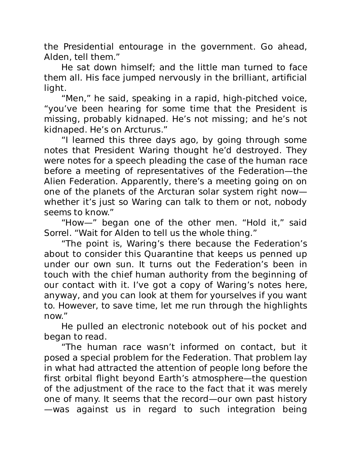the Presidential entourage in the government. Go ahead, Alden, tell them."

He sat down himself; and the little man turned to face them all. His face jumped nervously in the brilliant, artificial light.

"Men," he said, speaking in a rapid, high-pitched voice, "you've been hearing for some time that the President is missing, probably kidnaped. He's not missing; and he's not kidnaped. He's on Arcturus."

"I learned this three days ago, by going through some notes that President Waring thought he'd destroyed. They were notes for a speech pleading the case of the human race before a meeting of representatives of the Federation—the Alien Federation. Apparently, there's a meeting going on on one of the planets of the Arcturan solar system right now whether it's just so Waring can talk to them or not, nobody seems to know."

"How—" began one of the other men. "Hold it," said Sorrel. "Wait for Alden to tell us the whole thing."

"The point is, Waring's there because the Federation's about to consider this Quarantine that keeps us penned up under our own sun. It turns out the Federation's been in touch with the chief human authority from the beginning of our contact with it. I've got a copy of Waring's notes here, anyway, and you can look at them for yourselves if you want to. However, to save time, let me run through the highlights now."

He pulled an electronic notebook out of his pocket and began to read.

"The human race wasn't informed on contact, but it posed a special problem for the Federation. That problem lay in what had attracted the attention of people long before the first orbital flight beyond Earth's atmosphere—the question of the adjustment of the race to the fact that it was merely one of many. It seems that the record—our own past history —was against us in regard to such integration being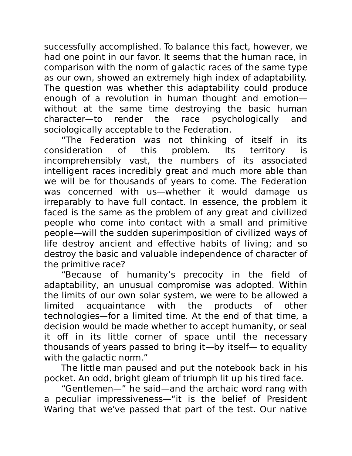successfully accomplished. To balance this fact, however, we had one point in our favor. It seems that the human race, in comparison with the norm of galactic races of the same type as our own, showed an extremely high index of adaptability. The question was whether this adaptability could produce enough of a revolution in human thought and emotion without at the same time destroying the basic human character—to render the race psychologically and sociologically acceptable to the Federation.

"The Federation was not thinking of itself in its consideration of this problem. Its territory is incomprehensibly vast, the numbers of its associated intelligent races incredibly great and much more able than we will be for thousands of years to come. The Federation was concerned with us—whether it would damage us irreparably to have full contact. In essence, the problem it faced is the same as the problem of any great and civilized people who come into contact with a small and primitive people—will the sudden superimposition of civilized ways of life destroy ancient and effective habits of living; and so destroy the basic and valuable independence of character of the primitive race?

"Because of humanity's precocity in the field of adaptability, an unusual compromise was adopted. Within the limits of our own solar system, we were to be allowed a limited acquaintance with the products of other technologies—for a limited time. At the end of that time, a decision would be made whether to accept humanity, or seal it off in its little corner of space until the necessary thousands of years passed to bring it—by itself— to equality with the galactic norm."

The little man paused and put the notebook back in his pocket. An odd, bright gleam of triumph lit up his tired face.

"Gentlemen—" he said—and the archaic word rang with a peculiar impressiveness—"it is the belief of President Waring that we've passed that part of the test. Our native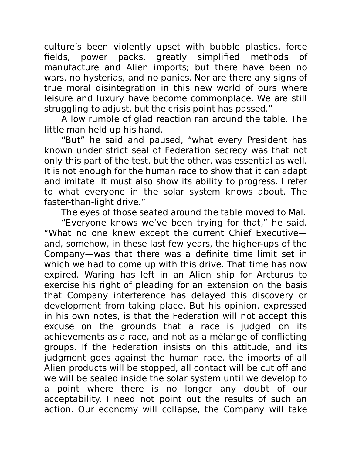culture's been violently upset with bubble plastics, force fields, power packs, greatly simplified methods of manufacture and Alien imports; but there have been no wars, no hysterias, and no panics. Nor are there any signs of true moral disintegration in this new world of ours where leisure and luxury have become commonplace. We are still struggling to adjust, but the crisis point has passed."

A low rumble of glad reaction ran around the table. The little man held up his hand.

"But" he said and paused, "what every President has known under strict seal of Federation secrecy was that not only this part of the test, but the other, was essential as well. It is not enough for the human race to show that it can adapt and imitate. It must also show its ability to progress. I refer to what everyone in the solar system knows about. The faster-than-light drive."

The eyes of those seated around the table moved to Mal.

"Everyone knows we've been trying for that," he said. "What no one knew except the current Chief Executive and, somehow, in these last few years, the higher-ups of the Company—was that there was a definite time limit set in which we had to come up with this drive. That time has now expired. Waring has left in an Alien ship for Arcturus to exercise his right of pleading for an extension on the basis that Company interference has delayed this discovery or development from taking place. But his opinion, expressed in his own notes, is that the Federation will not accept this excuse on the grounds that a race is judged on its achievements as a race, and not as a mélange of conflicting groups. If the Federation insists on this attitude, and its judgment goes against the human race, the imports of all Alien products will be stopped, all contact will be cut off and we will be sealed inside the solar system until we develop to a point where there is no longer any doubt of our acceptability. I need not point out the results of such an action. Our economy will collapse, the Company will take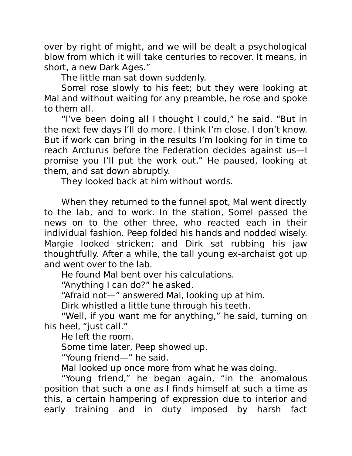over by right of might, and we will be dealt a psychological blow from which it will take centuries to recover. It means, in short, a new Dark Ages."

The little man sat down suddenly.

Sorrel rose slowly to his feet; but they were looking at Mal and without waiting for any preamble, he rose and spoke to them all.

"I've been doing all I thought I could," he said. "But in the next few days I'll do more. I think I'm close. I don't know. But if work can bring in the results I'm looking for in time to reach Arcturus before the Federation decides against us—I promise you I'll put the work out." He paused, looking at them, and sat down abruptly.

They looked back at him without words.

When they returned to the funnel spot, Mal went directly to the lab, and to work. In the station, Sorrel passed the news on to the other three, who reacted each in their individual fashion. Peep folded his hands and nodded wisely. Margie looked stricken; and Dirk sat rubbing his jaw thoughtfully. After a while, the tall young ex-archaist got up and went over to the lab.

He found Mal bent over his calculations.

"Anything I can do?" he asked.

"Afraid not—" answered Mal, looking up at him.

Dirk whistled a little tune through his teeth.

"Well, if you want me for anything," he said, turning on his heel, "just call."

He left the room.

Some time later, Peep showed up.

"Young friend—" he said.

Mal looked up once more from what he was doing.

"Young friend," he began again, "in the anomalous position that such a one as I finds himself at such a time as this, a certain hampering of expression due to interior and early training and in duty imposed by harsh fact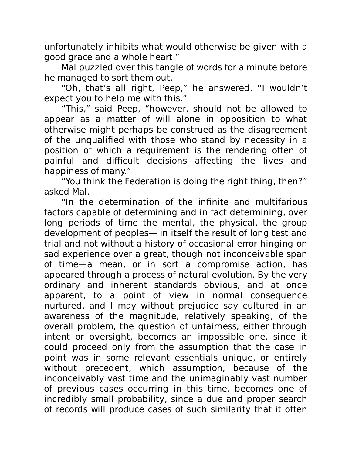unfortunately inhibits what would otherwise be given with a good grace and a whole heart."

Mal puzzled over this tangle of words for a minute before he managed to sort them out.

"Oh, that's all right, Peep," he answered. "I wouldn't expect you to help me with this."

"This," said Peep, "however, should not be allowed to appear as a matter of will alone in opposition to what otherwise might perhaps be construed as the disagreement of the unqualified with those who stand by necessity in a position of which a requirement is the rendering often of painful and difficult decisions affecting the lives and happiness of many."

"You think the Federation is doing the right thing, then?" asked Mal.

"In the determination of the infinite and multifarious factors capable of determining and in fact determining, over long periods of time the mental, the physical, the group development of peoples— in itself the result of long test and trial and not without a history of occasional error hinging on sad experience over a great, though not inconceivable span of time—a mean, or in sort a compromise action, has appeared through a process of natural evolution. By the very ordinary and inherent standards obvious, and at once apparent, to a point of view in normal consequence nurtured, and I may without prejudice say cultured in an awareness of the magnitude, relatively speaking, of the overall problem, the question of unfairness, either through intent or oversight, becomes an impossible one, since it could proceed only from the assumption that the case in point was in some relevant essentials unique, or entirely without precedent, which assumption, because of the inconceivably vast time and the unimaginably vast number of previous cases occurring in this time, becomes one of incredibly small probability, since a due and proper search of records will produce cases of such similarity that it often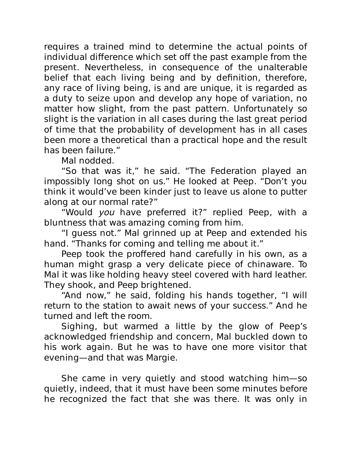requires a trained mind to determine the actual points of individual difference which set off the past example from the present. Nevertheless, in consequence of the unalterable belief that each living being and by definition, therefore, any race of living being, is and are unique, it is regarded as a duty to seize upon and develop any hope of variation, no matter how slight, from the past pattern. Unfortunately so slight is the variation in all cases during the last great period of time that the probability of development has in all cases been more a theoretical than a practical hope and the result has been failure."

Mal nodded.

"So that was it," he said. "The Federation played an impossibly long shot on us." He looked at Peep. "Don't you think it would've been kinder just to leave us alone to putter along at our normal rate?"

"Would you have preferred it?" replied Peep, with a bluntness that was amazing coming from him.

"I guess not." Mal grinned up at Peep and extended his hand. "Thanks for coming and telling me about it."

Peep took the proffered hand carefully in his own, as a human might grasp a very delicate piece of chinaware. To Mal it was like holding heavy steel covered with hard leather. They shook, and Peep brightened.

"And now," he said, folding his hands together, "I will return to the station to await news of your success." And he turned and left the room.

Sighing, but warmed a little by the glow of Peep's acknowledged friendship and concern, Mal buckled down to his work again. But he was to have one more visitor that evening—and that was Margie.

She came in very quietly and stood watching him—so quietly, indeed, that it must have been some minutes before he recognized the fact that she was there. It was only in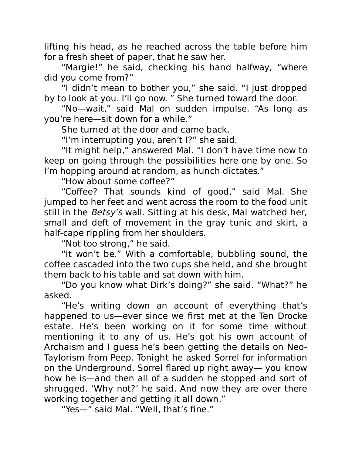lifting his head, as he reached across the table before him for a fresh sheet of paper, that he saw her.

"Margie!" he said, checking his hand halfway, "where did you come from?"

"I didn't mean to bother you," she said. "I just dropped by to look at you. I'll go now. " She turned toward the door.

"No—wait," said Mal on sudden impulse. "As long as you're here—sit down for a while."

She turned at the door and came back.

"I'm interrupting you, aren't I?" she said.

"It might help," answered Mal. "I don't have time now to keep on going through the possibilities here one by one. So I'm hopping around at random, as hunch dictates."

"How about some coffee?"

"Coffee? That sounds kind of good," said Mal. She jumped to her feet and went across the room to the food unit still in the *Betsy's* wall. Sitting at his desk, Mal watched her, small and deft of movement in the gray tunic and skirt, a half-cape rippling from her shoulders.

"Not too strong," he said.

"It won't be." With a comfortable, bubbling sound, the coffee cascaded into the two cups she held, and she brought them back to his table and sat down with him.

"Do you know what Dirk's doing?" she said. "What?" he asked.

"He's writing down an account of everything that's happened to us—ever since we first met at the Ten Drocke estate. He's been working on it for some time without mentioning it to any of us. He's got his own account of Archaism and I guess he's been getting the details on Neo-Taylorism from Peep. Tonight he asked Sorrel for information on the Underground. Sorrel flared up right away— you know how he is—and then all of a sudden he stopped and sort of shrugged. 'Why not?' he said. And now they are over there working together and getting it all down."

"Yes—" said Mal. "Well, that's fine."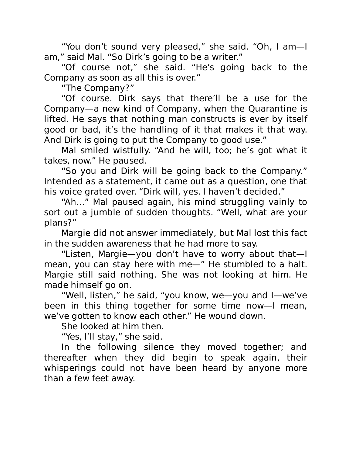"You don't sound very pleased," she said. "Oh, I am—I am," said Mal. "So Dirk's going to be a writer."

"Of course not," she said. "He's going back to the Company as soon as all this is over."

"The Company?"

"Of course. Dirk says that there'll be a use for the Company—a new kind of Company, when the Quarantine is lifted. He says that nothing man constructs is ever by itself good or bad, it's the handling of it that makes it that way. And Dirk is going to put the Company to good use."

Mal smiled wistfully. "And he will, too; he's got what it takes, now." He paused.

"So you and Dirk will be going back to the Company." Intended as a statement, it came out as a question, one that his voice grated over. "Dirk will, yes. I haven't decided."

"Ah…" Mal paused again, his mind struggling vainly to sort out a jumble of sudden thoughts. "Well, what are your plans?"

Margie did not answer immediately, but Mal lost this fact in the sudden awareness that he had more to say.

"Listen, Margie—you don't have to worry about that—I mean, you can stay here with me—" He stumbled to a halt. Margie still said nothing. She was not looking at him. He made himself go on.

"Well, listen," he said, "you know, we—you and I—we've been in this thing together for some time now—I mean, we've gotten to know each other." He wound down.

She looked at him then.

"Yes, I'll stay," she said.

In the following silence they moved together; and thereafter when they did begin to speak again, their whisperings could not have been heard by anyone more than a few feet away.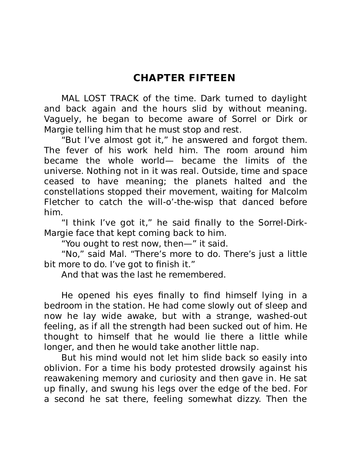#### **CHAPTER FIFTEEN**

MAL LOST TRACK of the time. Dark turned to daylight and back again and the hours slid by without meaning. Vaguely, he began to become aware of Sorrel or Dirk or Margie telling him that he must stop and rest.

"But I've almost got it," he answered and forgot them. The fever of his work held him. The room around him became the whole world— became the limits of the universe. Nothing not in it was real. Outside, time and space ceased to have meaning; the planets halted and the constellations stopped their movement, waiting for Malcolm Fletcher to catch the will-o'-the-wisp that danced before him.

"I think I've got it," he said finally to the Sorrel-Dirk-Margie face that kept coming back to him.

"You ought to rest now, then—" it said.

"No," said Mal. "There's more to do. There's just a little bit more to do. I've got to finish it."

And that was the last he remembered.

He opened his eyes finally to find himself lying in a bedroom in the station. He had come slowly out of sleep and now he lay wide awake, but with a strange, washed-out feeling, as if all the strength had been sucked out of him. He thought to himself that he would lie there a little while longer, and then he would take another little nap.

But his mind would not let him slide back so easily into oblivion. For a time his body protested drowsily against his reawakening memory and curiosity and then gave in. He sat up finally, and swung his legs over the edge of the bed. For a second he sat there, feeling somewhat dizzy. Then the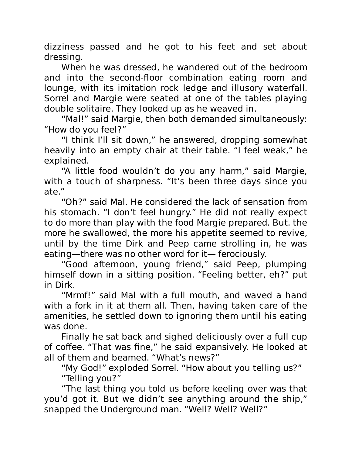dizziness passed and he got to his feet and set about dressing.

When he was dressed, he wandered out of the bedroom and into the second-floor combination eating room and lounge, with its imitation rock ledge and illusory waterfall. Sorrel and Margie were seated at one of the tables playing double solitaire. They looked up as he weaved in.

"Mal!" said Margie, then both demanded simultaneously: "How do you feel?"

"I think I'll sit down," he answered, dropping somewhat heavily into an empty chair at their table. "I feel weak," he explained.

"A little food wouldn't do you any harm," said Margie, with a touch of sharpness. "It's been three days since you ate."

"Oh?" said Mal. He considered the lack of sensation from his stomach. "I don't feel hungry." He did not really expect to do more than play with the food Margie prepared. But. the more he swallowed, the more his appetite seemed to revive, until by the time Dirk and Peep came strolling in, he was eating—there was no other word for it— ferociously.

"Good afternoon, young friend," said Peep, plumping himself down in a sitting position. "Feeling better, eh?" put in Dirk.

"Mrmf!" said Mal with a full mouth, and waved a hand with a fork in it at them all. Then, having taken care of the amenities, he settled down to ignoring them until his eating was done.

Finally he sat back and sighed deliciously over a full cup of coffee. "That was fine," he said expansively. He looked at all of them and beamed. "What's news?"

"My God!" exploded Sorrel. "How about you telling us?" "Telling you?"

"The last thing you told us before keeling over was that you'd got it. But we didn't see anything around the ship," snapped the Underground man. "Well? Well? Well?"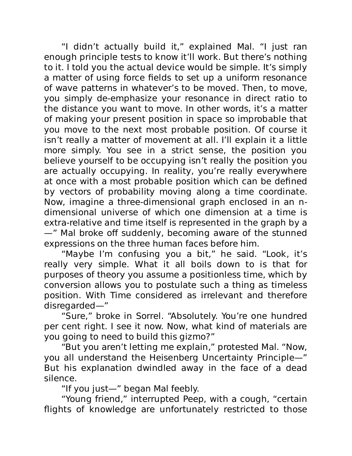"I didn't actually build it," explained Mal. "I just ran enough principle tests to know it'll work. But there's nothing to it. I told you the actual device would be simple. It's simply a matter of using force fields to set up a uniform resonance of wave patterns in whatever's to be moved. Then, to move, you simply de-emphasize your resonance in direct ratio to the distance you want to move. In other words, it's a matter of making your present position in space so improbable that you move to the next most probable position. Of course it isn't really a matter of movement at all. I'll explain it a little more simply. You see in a strict sense, the position you believe yourself to be occupying isn't really the position you are actually occupying. In reality, you're really everywhere at once with a most probable position which can be defined by vectors of probability moving along a time coordinate. Now, imagine a three-dimensional graph enclosed in an ndimensional universe of which one dimension at a time is extra-relative and time itself is represented in the graph by a —" Mal broke off suddenly, becoming aware of the stunned expressions on the three human faces before him.

"Maybe I'm confusing you a bit," he said. "Look, it's really very simple. What it all boils down to is that for purposes of theory you assume a positionless time, which by conversion allows you to postulate such a thing as timeless position. With Time considered as irrelevant and therefore disregarded—"

"Sure," broke in Sorrel. "Absolutely. You're one hundred per cent right. I see it now. Now, what kind of materials are you going to need to build this gizmo?"

"But you aren't letting me explain," protested Mal. "Now, you all understand the Heisenberg Uncertainty Principle—" But his explanation dwindled away in the face of a dead silence.

"If you just—" began Mal feebly.

"Young friend," interrupted Peep, with a cough, "certain flights of knowledge are unfortunately restricted to those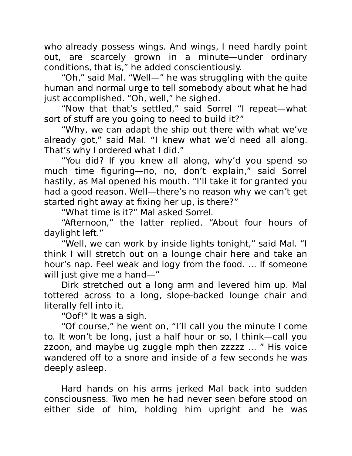who already possess wings. And wings, I need hardly point out, are scarcely grown in a minute—under ordinary conditions, that is," he added conscientiously.

"Oh," said Mal. "Well—" he was struggling with the quite human and normal urge to tell somebody about what he had just accomplished. "Oh, well," he sighed.

"Now that that's settled," said Sorrel "I repeat—what sort of stuff are you going to need to build it?"

"Why, we can adapt the ship out there with what we've already got," said Mal. "I knew what we'd need all along. That's why I ordered what I did."

"You did? If you knew all along, why'd you spend so much time figuring—no, no, don't explain," said Sorrel hastily, as Mal opened his mouth. "I'll take it for granted you had a good reason. Well—there's no reason why we can't get started right away at fixing her up, is there?"

"What time is it?" Mal asked Sorrel.

"Afternoon," the latter replied. "About four hours of daylight left."

"Well, we can work by inside lights tonight," said Mal. "I think I will stretch out on a lounge chair here and take an hour's nap. Feel weak and logy from the food. … If someone will just give me a hand—"

Dirk stretched out a long arm and levered him up. Mal tottered across to a long, slope-backed lounge chair and literally fell into it.

"Oof!" It was a sigh.

"Of course," he went on, "I'll call you the minute I come to. It won't be long, just a half hour or so, I think—call you zzoon, and maybe ug zuggle mph then zzzzz … " His voice wandered off to a snore and inside of a few seconds he was deeply asleep.

Hard hands on his arms jerked Mal back into sudden consciousness. Two men he had never seen before stood on either side of him, holding him upright and he was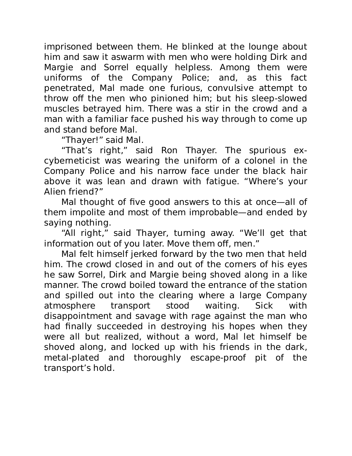imprisoned between them. He blinked at the lounge about him and saw it aswarm with men who were holding Dirk and Margie and Sorrel equally helpless. Among them were uniforms of the Company Police; and, as this fact penetrated, Mal made one furious, convulsive attempt to throw off the men who pinioned him; but his sleep-slowed muscles betrayed him. There was a stir in the crowd and a man with a familiar face pushed his way through to come up and stand before Mal.

"Thayer!" said Mal.

"That's right," said Ron Thayer. The spurious excyberneticist was wearing the uniform of a colonel in the Company Police and his narrow face under the black hair above it was lean and drawn with fatigue. "Where's your Alien friend?"

Mal thought of five good answers to this at once—all of them impolite and most of them improbable—and ended by saying nothing.

"All right," said Thayer, turning away. "We'll get that information out of you later. Move them off, men."

Mal felt himself jerked forward by the two men that held him. The crowd closed in and out of the corners of his eyes he saw Sorrel, Dirk and Margie being shoved along in a like manner. The crowd boiled toward the entrance of the station and spilled out into the clearing where a large Company atmosphere transport stood waiting. Sick with disappointment and savage with rage against the man who had finally succeeded in destroying his hopes when they were all but realized, without a word, Mal let himself be shoved along, and locked up with his friends in the dark, metal-plated and thoroughly escape-proof pit of the transport's hold.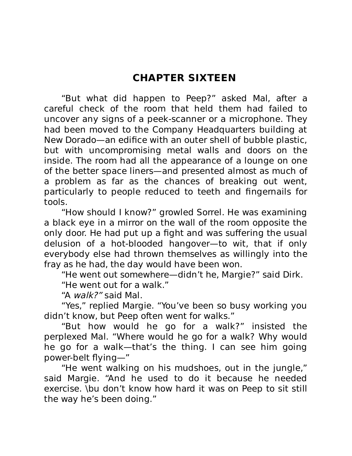### **CHAPTER SIXTEEN**

"But what did happen to Peep?" asked Mal, after a careful check of the room that held them had failed to uncover any signs of a peek-scanner or a microphone. They had been moved to the Company Headquarters building at New Dorado—an edifice with an outer shell of bubble plastic, but with uncompromising metal walls and doors on the inside. The room had all the appearance of a lounge on one of the better space liners—and presented almost as much of a problem as far as the chances of breaking out went, particularly to people reduced to teeth and fingernails for tools.

"How should I know?" growled Sorrel. He was examining a black eye in a mirror on the wall of the room opposite the only door. He had put up a fight and was suffering the usual delusion of a hot-blooded hangover—to wit, that if only everybody else had thrown themselves as willingly into the fray as he had, the day would have been won.

"He went out somewhere—didn't he, Margie?" said Dirk.

"He went out for a walk."

"A walk?" said Mal.

"Yes," replied Margie. "You've been so busy working you didn't know, but Peep often went for walks."

"But how would he go for a walk?" insisted the perplexed Mal. "Where would he go for a walk? Why would he go for a walk—that's the thing. I can see him going power-belt flying—"

"He went walking on his mudshoes, out in the jungle," said Margie. "And he used to do it because he needed exercise. \bu don't know how hard it was on Peep to sit still the way he's been doing."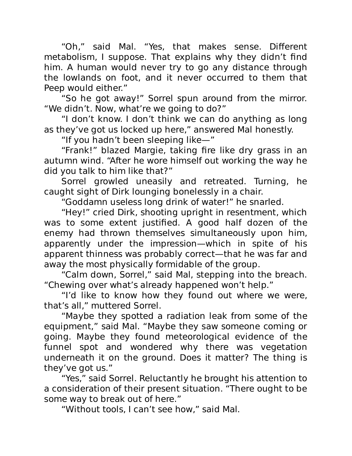"Oh," said Mal. "Yes, that makes sense. Different metabolism, I suppose. That explains why they didn't find him. A human would never try to go any distance through the lowlands on foot, and it never occurred to them that Peep would either."

"So he got away!" Sorrel spun around from the mirror. "We didn't. Now, what're we going to do?"

"I don't know. I don't think we can do anything as long as they've got us locked up here," answered Mal honestly.

"If you hadn't been sleeping like—"

"Frank!" blazed Margie, taking fire like dry grass in an autumn wind. "After he wore himself out working the way he did you talk to him like that?"

Sorrel growled uneasily and retreated. Turning, he caught sight of Dirk lounging bonelessly in a chair.

"Goddamn useless long drink of water!" he snarled.

"Hey!" cried Dirk, shooting upright in resentment, which was to some extent justified. A good half dozen of the enemy had thrown themselves simultaneously upon him, apparently under the impression—which in spite of his apparent thinness was probably correct—that he was far and away the most physically formidable of the group.

"Calm down, Sorrel," said Mal, stepping into the breach. "Chewing over what's already happened won't help."

"I'd like to know how they found out where we were, that's all," muttered Sorrel.

"Maybe they spotted a radiation leak from some of the equipment," said Mal. "Maybe they saw someone coming or going. Maybe they found meteorological evidence of the funnel spot and wondered why there was vegetation underneath it on the ground. Does it matter? The thing is they've got us."

"Yes," said Sorrel. Reluctantly he brought his attention to a consideration of their present situation. "There ought to be some way to break out of here."

"Without tools, I can't see how," said Mal.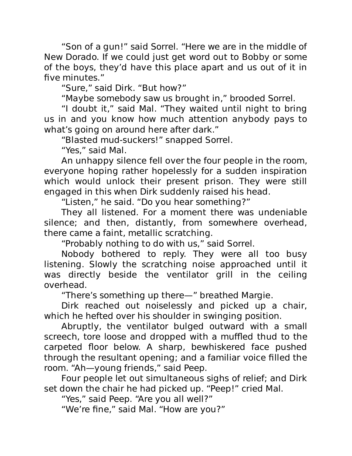"Son of a gun!" said Sorrel. "Here we are in the middle of New Dorado. If we could just get word out to Bobby or some of the boys, they'd have this place apart and us out of it in five minutes."

"Sure," said Dirk. "But how?"

"Maybe somebody saw us brought in," brooded Sorrel.

"I doubt it," said Mal. "They waited until night to bring us in and you know how much attention anybody pays to what's going on around here after dark."

"Blasted mud-suckers!" snapped Sorrel.

"Yes," said Mal.

An unhappy silence fell over the four people in the room, everyone hoping rather hopelessly for a sudden inspiration which would unlock their present prison. They were still engaged in this when Dirk suddenly raised his head.

"Listen," he said. "Do you hear something?"

They all listened. For a moment there was undeniable silence; and then, distantly, from somewhere overhead, there came a faint, metallic scratching.

"Probably nothing to do with us," said Sorrel.

Nobody bothered to reply. They were all too busy listening. Slowly the scratching noise approached until it was directly beside the ventilator grill in the ceiling overhead.

"There's something up there—" breathed Margie.

Dirk reached out noiselessly and picked up a chair, which he hefted over his shoulder in swinging position.

Abruptly, the ventilator bulged outward with a small screech, tore loose and dropped with a muffled thud to the carpeted floor below. A sharp, bewhiskered face pushed through the resultant opening; and a familiar voice filled the room. "Ah—young friends," said Peep.

Four people let out simultaneous sighs of relief; and Dirk set down the chair he had picked up. "Peep!" cried Mal.

"Yes," said Peep. "Are you all well?"

"We're fine," said Mal. "How are you?"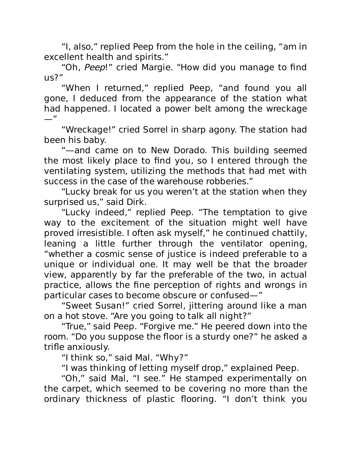"I, also," replied Peep from the hole in the ceiling, "am in excellent health and spirits."

"Oh, Peep!" cried Margie. "How did you manage to find  $US?$ "

"When I returned," replied Peep, "and found you all gone, I deduced from the appearance of the station what had happened. I located a power belt among the wreckage —"

"Wreckage!" cried Sorrel in sharp agony. The station had been his baby.

"—and came on to New Dorado. This building seemed the most likely place to find you, so I entered through the ventilating system, utilizing the methods that had met with success in the case of the warehouse robberies."

"Lucky break for us you weren't at the station when they surprised us," said Dirk.

"Lucky indeed," replied Peep. "The temptation to give way to the excitement of the situation might well have proved irresistible. I often ask myself," he continued chattily, leaning a little further through the ventilator opening, "whether a cosmic sense of justice is indeed preferable to a unique or individual one. It may well be that the broader view, apparently by far the preferable of the two, in actual practice, allows the fine perception of rights and wrongs in particular cases to become obscure or confused—"

"Sweet Susan!" cried Sorrel, jittering around like a man on a hot stove. "Are you going to talk all night?"

"True," said Peep. "Forgive me." He peered down into the room. "Do you suppose the floor is a sturdy one?" he asked a trifle anxiously.

"I think so," said Mal. "Why?"

"I was thinking of letting myself drop," explained Peep.

"Oh," said Mal, "I see." He stamped experimentally on the carpet, which seemed to be covering no more than the ordinary thickness of plastic flooring. "I don't think you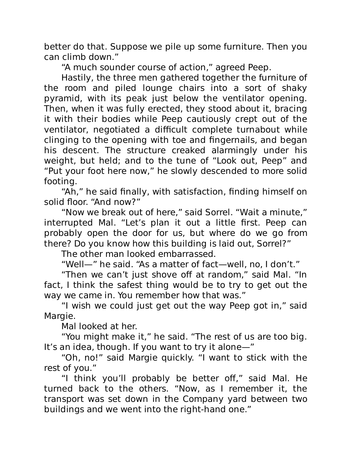better do that. Suppose we pile up some furniture. Then you can climb down."

"A much sounder course of action," agreed Peep.

Hastily, the three men gathered together the furniture of the room and piled lounge chairs into a sort of shaky pyramid, with its peak just below the ventilator opening. Then, when it was fully erected, they stood about it, bracing it with their bodies while Peep cautiously crept out of the ventilator, negotiated a difficult complete turnabout while clinging to the opening with toe and fingernails, and began his descent. The structure creaked alarmingly under his weight, but held; and to the tune of "Look out, Peep" and "Put your foot here now," he slowly descended to more solid footing.

"Ah," he said finally, with satisfaction, finding himself on solid floor. "And now?"

"Now we break out of here," said Sorrel. "Wait a minute," interrupted Mal. "Let's plan it out a little first. Peep can probably open the door for us, but where do we go from there? Do you know how this building is laid out, Sorrel?"

The other man looked embarrassed.

"Well—" he said. "As a matter of fact—well, no, I don't."

"Then we can't just shove off at random," said Mal. "In fact, I think the safest thing would be to try to get out the way we came in. You remember how that was."

"I wish we could just get out the way Peep got in," said Margie.

Mal looked at her.

"You might make it," he said. "The rest of us are too big. It's an idea, though. If you want to try it alone—"

"Oh, no!" said Margie quickly. "I want to stick with the rest of you."

"I think you'll probably be better off," said Mal. He turned back to the others. "Now, as I remember it, the transport was set down in the Company yard between two buildings and we went into the right-hand one."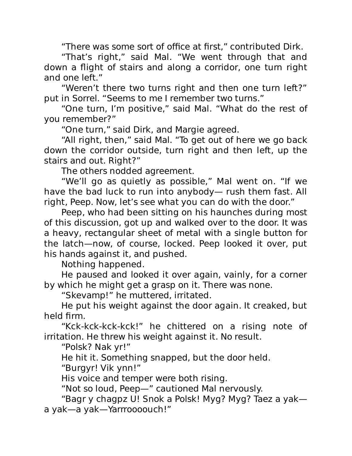"There was some sort of office at first," contributed Dirk.

"That's right," said Mal. "We went through that and down a flight of stairs and along a corridor, one turn right and one left."

"Weren't there two turns right and then one turn left?" put in Sorrel. "Seems to me I remember two turns."

"One turn, I'm positive," said Mal. "What do the rest of you remember?"

"One turn," said Dirk, and Margie agreed.

"All right, then," said Mal. "To get out of here we go back down the corridor outside, turn right and then left, up the stairs and out. Right?"

The others nodded agreement.

"We'll go as quietly as possible," Mal went on. "If we have the bad luck to run into anybody— rush them fast. All right, Peep. Now, let's see what you can do with the door."

Peep, who had been sitting on his haunches during most of this discussion, got up and walked over to the door. It was a heavy, rectangular sheet of metal with a single button for the latch—now, of course, locked. Peep looked it over, put his hands against it, and pushed.

Nothing happened.

He paused and looked it over again, vainly, for a corner by which he might get a grasp on it. There was none.

"Skevamp!" he muttered, irritated.

He put his weight against the door again. It creaked, but held firm.

"Kck-kck-kck-kck!" he chittered on a rising note of irritation. He threw his weight against it. No result.

"Polsk? Nak yr!"

He hit it. Something snapped, but the door held.

"Burgyr! Vik ynn!"

His voice and temper were both rising.

"Not so loud, Peep—" cautioned Mal nervously.

"Bagr y chagpz U! Snok a Polsk! Myg? Myg? Taez a yak a yak—a yak—Yarrroooouch!"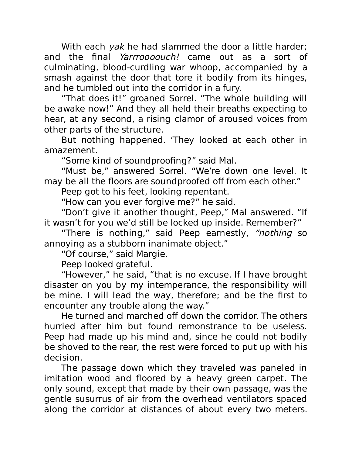With each *yak* he had slammed the door a little harder; and the final Yarrroooouch! came out as a sort of culminating, blood-curdling war whoop, accompanied by a smash against the door that tore it bodily from its hinges, and he tumbled out into the corridor in a fury.

"That does it!" groaned Sorrel. "The whole building will be awake now!" And they all held their breaths expecting to hear, at any second, a rising clamor of aroused voices from other parts of the structure.

But nothing happened. 'They looked at each other in amazement.

"Some kind of soundproofing?" said Mal.

"Must be," answered Sorrel. "We're down one level. It may be all the floors are soundproofed off from each other."

Peep got to his feet, looking repentant.

"How can you ever forgive me?" he said.

"Don't give it another thought, Peep," Mal answered. "If it wasn't for you we'd still be locked up inside. Remember?"

"There is nothing," said Peep earnestly, "nothing so annoying as a stubborn inanimate object."

"Of course," said Margie.

Peep looked grateful.

"However," he said, "that is no excuse. If I have brought disaster on you by my intemperance, the responsibility will be mine. I will lead the way, therefore; and be the first to encounter any trouble along the way."

He turned and marched off down the corridor. The others hurried after him but found remonstrance to be useless. Peep had made up his mind and, since he could not bodily be shoved to the rear, the rest were forced to put up with his decision.

The passage down which they traveled was paneled in imitation wood and floored by a heavy green carpet. The only sound, except that made by their own passage, was the gentle susurrus of air from the overhead ventilators spaced along the corridor at distances of about every two meters.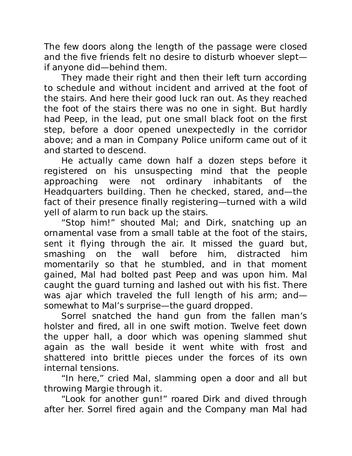The few doors along the length of the passage were closed and the five friends felt no desire to disturb whoever slept if anyone did—behind them.

They made their right and then their left turn according to schedule and without incident and arrived at the foot of the stairs. And here their good luck ran out. As they reached the foot of the stairs there was no one in sight. But hardly had Peep, in the lead, put one small black foot on the first step, before a door opened unexpectedly in the corridor above; and a man in Company Police uniform came out of it and started to descend.

He actually came down half a dozen steps before it registered on his unsuspecting mind that the people approaching were not ordinary inhabitants of the Headquarters building. Then he checked, stared, and—the fact of their presence finally registering—turned with a wild yell of alarm to run back up the stairs.

"Stop him!" shouted Mal; and Dirk, snatching up an ornamental vase from a small table at the foot of the stairs, sent it flying through the air. It missed the guard but, smashing on the wall before him, distracted him momentarily so that he stumbled, and in that moment gained, Mal had bolted past Peep and was upon him. Mal caught the guard turning and lashed out with his fist. There was ajar which traveled the full length of his arm; and somewhat to Mal's surprise—the guard dropped.

Sorrel snatched the hand gun from the fallen man's holster and fired, all in one swift motion. Twelve feet down the upper hall, a door which was opening slammed shut again as the wall beside it went white with frost and shattered into brittle pieces under the forces of its own internal tensions.

"In here," cried Mal, slamming open a door and all but throwing Margie through it.

"Look for another gun!" roared Dirk and dived through after her. Sorrel fired again and the Company man Mal had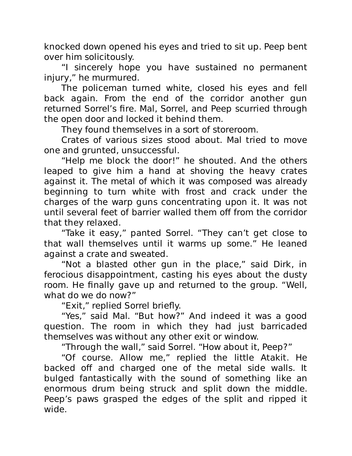knocked down opened his eyes and tried to sit up. Peep bent over him solicitously.

"I sincerely hope you have sustained no permanent injury," he murmured.

The policeman turned white, closed his eyes and fell back again. From the end of the corridor another gun returned Sorrel's fire. Mal, Sorrel, and Peep scurried through the open door and locked it behind them.

They found themselves in a sort of storeroom.

Crates of various sizes stood about. Mal tried to move one and grunted, unsuccessful.

"Help me block the door!" he shouted. And the others leaped to give him a hand at shoving the heavy crates against it. The metal of which it was composed was already beginning to turn white with frost and crack under the charges of the warp guns concentrating upon it. It was not until several feet of barrier walled them off from the corridor that they relaxed.

"Take it easy," panted Sorrel. "They can't get close to that wall themselves until it warms up some." He leaned against a crate and sweated.

"Not a blasted other gun in the place," said Dirk, in ferocious disappointment, casting his eyes about the dusty room. He finally gave up and returned to the group. "Well, what do we do now?"

"Exit," replied Sorrel briefly.

"Yes," said Mal. "But how?" And indeed it was a good question. The room in which they had just barricaded themselves was without any other exit or window.

"Through the wall," said Sorrel. "How about it, Peep?"

"Of course. Allow me," replied the little Atakit. He backed off and charged one of the metal side walls. It bulged fantastically with the sound of something like an enormous drum being struck and split down the middle. Peep's paws grasped the edges of the split and ripped it wide.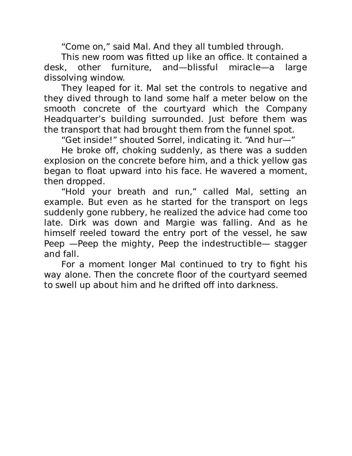"Come on," said Mal. And they all tumbled through.

This new room was fitted up like an office. It contained a desk, other furniture, and—blissful miracle—a large dissolving window.

They leaped for it. Mal set the controls to negative and they dived through to land some half a meter below on the smooth concrete of the courtyard which the Company Headquarter's building surrounded. Just before them was the transport that had brought them from the funnel spot.

"Get inside!" shouted Sorrel, indicating it. "And hur—"

He broke off, choking suddenly, as there was a sudden explosion on the concrete before him, and a thick yellow gas began to float upward into his face. He wavered a moment, then dropped.

"Hold your breath and run," called Mal, setting an example. But even as he started for the transport on legs suddenly gone rubbery, he realized the advice had come too late. Dirk was down and Margie was falling. And as he himself reeled toward the entry port of the vessel, he saw Peep —Peep the mighty, Peep the indestructible— stagger and fall.

For a moment longer Mal continued to try to fight his way alone. Then the concrete floor of the courtyard seemed to swell up about him and he drifted off into darkness.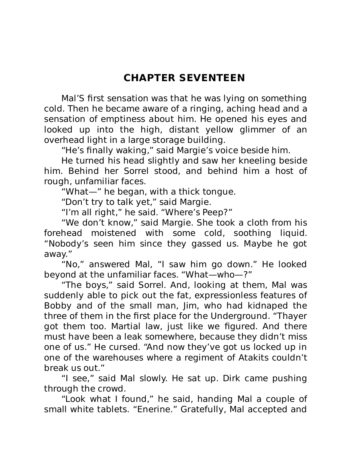# **CHAPTER SEVENTEEN**

Mal'S first sensation was that he was lying on something cold. Then he became aware of a ringing, aching head and a sensation of emptiness about him. He opened his eyes and looked up into the high, distant yellow glimmer of an overhead light in a large storage building.

"He's finally waking," said Margie's voice beside him.

He turned his head slightly and saw her kneeling beside him. Behind her Sorrel stood, and behind him a host of rough, unfamiliar faces.

"What—" he began, with a thick tongue.

"Don't try to talk yet," said Margie.

"I'm all right," he said. "Where's Peep?"

"We don't know," said Margie. She took a cloth from his forehead moistened with some cold, soothing liquid. "Nobody's seen him since they gassed us. Maybe he got away."

"No," answered Mal, "I saw him go down." He looked beyond at the unfamiliar faces. "What—who—?"

"The boys," said Sorrel. And, looking at them, Mal was suddenly able to pick out the fat, expressionless features of Bobby and of the small man, Jim, who had kidnaped the three of them in the first place for the Underground. "Thayer got them too. Martial law, just like we figured. And there must have been a leak somewhere, because they didn't miss one of us." He cursed. "And now they've got us locked up in one of the warehouses where a regiment of Atakits couldn't break us out."

"I see," said Mal slowly. He sat up. Dirk came pushing through the crowd.

"Look what I found," he said, handing Mal a couple of small white tablets. "Enerine." Gratefully, Mal accepted and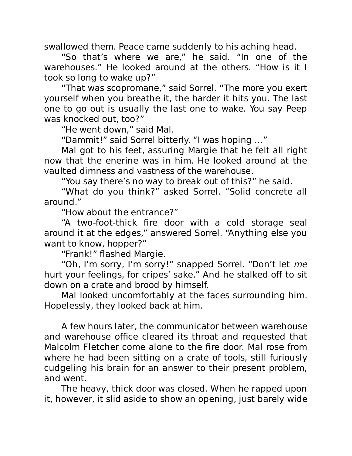swallowed them. Peace came suddenly to his aching head.

"So that's where we are," he said. "In one of the warehouses." He looked around at the others. "How is it I took so long to wake up?"

"That was scopromane," said Sorrel. "The more you exert yourself when you breathe it, the harder it hits you. The last one to go out is usually the last one to wake. You say Peep was knocked out, too?"

"He went down," said Mal.

"Dammit!" said Sorrel bitterly. "I was hoping …"

Mal got to his feet, assuring Margie that he felt all right now that the enerine was in him. He looked around at the vaulted dimness and vastness of the warehouse.

"You say there's no way to break out of this?" he said.

"What do you think?" asked Sorrel. "Solid concrete all around."

"How about the entrance?"

"A two-foot-thick fire door with a cold storage seal around it at the edges," answered Sorrel. "Anything else you want to know, hopper?"

"Frank!" flashed Margie.

"Oh, I'm sorry, I'm sorry!" snapped Sorrel. "Don't let me hurt your feelings, for cripes' sake." And he stalked off to sit down on a crate and brood by himself.

Mal looked uncomfortably at the faces surrounding him. Hopelessly, they looked back at him.

A few hours later, the communicator between warehouse and warehouse office cleared its throat and requested that Malcolm Fletcher come alone to the fire door. Mal rose from where he had been sitting on a crate of tools, still furiously cudgeling his brain for an answer to their present problem, and went.

The heavy, thick door was closed. When he rapped upon it, however, it slid aside to show an opening, just barely wide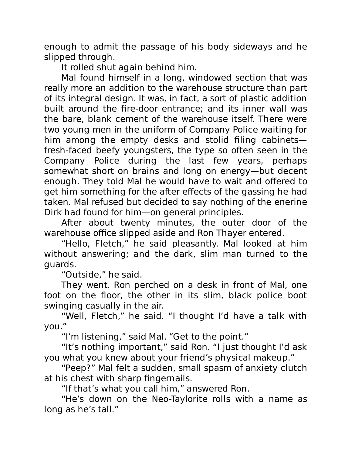enough to admit the passage of his body sideways and he slipped through.

It rolled shut again behind him.

Mal found himself in a long, windowed section that was really more an addition to the warehouse structure than part of its integral design. It was, in fact, a sort of plastic addition built around the fire-door entrance; and its inner wall was the bare, blank cement of the warehouse itself. There were two young men in the uniform of Company Police waiting for him among the empty desks and stolid filing cabinets fresh-faced beefy youngsters, the type so often seen in the Company Police during the last few years, perhaps somewhat short on brains and long on energy—but decent enough. They told Mal he would have to wait and offered to get him something for the after effects of the gassing he had taken. Mal refused but decided to say nothing of the enerine Dirk had found for him—on general principles.

After about twenty minutes, the outer door of the warehouse office slipped aside and Ron Thayer entered.

"Hello, Fletch," he said pleasantly. Mal looked at him without answering; and the dark, slim man turned to the guards.

"Outside," he said.

They went. Ron perched on a desk in front of Mal, one foot on the floor, the other in its slim, black police boot swinging casually in the air.

"Well, Fletch," he said. "I thought I'd have a talk with you."

"I'm listening," said Mal. "Get to the point."

"It's nothing important," said Ron. "I just thought I'd ask you what you knew about your friend's physical makeup."

"Peep?" Mal felt a sudden, small spasm of anxiety clutch at his chest with sharp fingernails.

"If that's what you call him," answered Ron.

"He's down on the Neo-Taylorite rolls with a name as long as he's tall."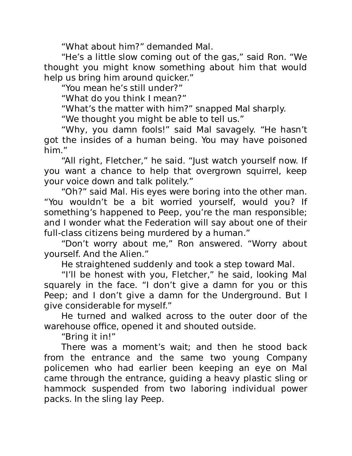"What about him?" demanded Mal.

"He's a little slow coming out of the gas," said Ron. "We thought you might know something about him that would help us bring him around quicker."

"You mean he's still under?"

"What do you think I mean?"

"What's the matter with him?" snapped Mal sharply.

"We thought you might be able to tell us."

"Why, you damn fools!" said Mal savagely. "He hasn't got the insides of a human being. You may have poisoned him."

"All right, Fletcher," he said. "Just watch yourself now. If you want a chance to help that overgrown squirrel, keep your voice down and talk politely."

"Oh?" said Mal. His eyes were boring into the other man. "You wouldn't be a bit worried yourself, would you? If something's happened to Peep, you're the man responsible; and I wonder what the Federation will say about one of their full-class citizens being murdered by a human."

"Don't worry about me," Ron answered. "Worry about yourself. And the Alien."

He straightened suddenly and took a step toward Mal.

"I'll be honest with you, Fletcher," he said, looking Mal squarely in the face. "I don't give a damn for you or this Peep; and I don't give a damn for the Underground. But I give considerable for myself."

He turned and walked across to the outer door of the warehouse office, opened it and shouted outside.

"Bring it in!"

There was a moment's wait; and then he stood back from the entrance and the same two young Company policemen who had earlier been keeping an eye on Mal came through the entrance, guiding a heavy plastic sling or hammock suspended from two laboring individual power packs. In the sling lay Peep.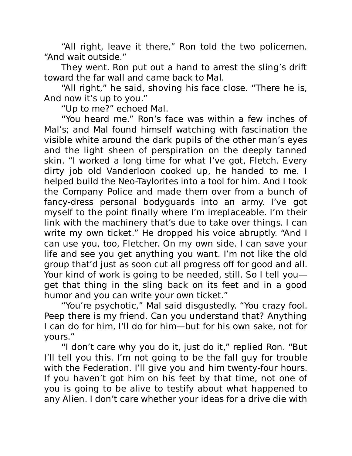"All right, leave it there," Ron told the two policemen. "And wait outside."

They went. Ron put out a hand to arrest the sling's drift toward the far wall and came back to Mal.

"All right," he said, shoving his face close. "There he is, And now it's up to you."

"Up to me?" echoed Mal.

"You heard me." Ron's face was within a few inches of Mal's; and Mal found himself watching with fascination the visible white around the dark pupils of the other man's eyes and the light sheen of perspiration on the deeply tanned skin. "I worked a long time for what I've got, Fletch. Every dirty job old Vanderloon cooked up, he handed to me. I helped build the Neo-Taylorites into a tool for him. And I took the Company Police and made them over from a bunch of fancy-dress personal bodyguards into an army. I've got myself to the point finally where I'm irreplaceable. I'm their link with the machinery that's due to take over things. I can write my own ticket." He dropped his voice abruptly. "And I can use you, too, Fletcher. On my own side. I can save your life and see you get anything you want. I'm not like the old group that'd just as soon cut all progress off for good and all. Your kind of work is going to be needed, still. So I tell you get that thing in the sling back on its feet and in a good humor and you can write your own ticket."

"You're psychotic," Mal said disgustedly. "You crazy fool. Peep there is my friend. Can you understand that? Anything I can do for him, I'll do for him—but for his own sake, not for yours."

"I don't care why you do it, just do it," replied Ron. "But I'll tell you this. I'm not going to be the fall guy for trouble with the Federation. I'll give you and him twenty-four hours. If you haven't got him on his feet by that time, not one of you is going to be alive to testify about what happened to any Alien. I don't care whether your ideas for a drive die with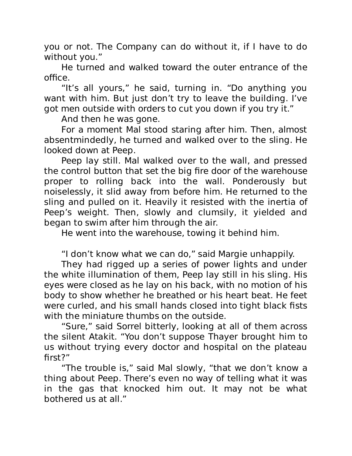you or not. The Company can do without it, if I have to do without you."

He turned and walked toward the outer entrance of the office.

"It's all yours," he said, turning in. "Do anything you want with him. But just don't try to leave the building. I've got men outside with orders to cut you down if you try it."

And then he was gone.

For a moment Mal stood staring after him. Then, almost absentmindedly, he turned and walked over to the sling. He looked down at Peep.

Peep lay still. Mal walked over to the wall, and pressed the control button that set the big fire door of the warehouse proper to rolling back into the wall. Ponderously but noiselessly, it slid away from before him. He returned to the sling and pulled on it. Heavily it resisted with the inertia of Peep's weight. Then, slowly and clumsily, it yielded and began to swim after him through the air.

He went into the warehouse, towing it behind him.

"I don't know what we can do," said Margie unhappily.

They had rigged up a series of power lights and under the white illumination of them, Peep lay still in his sling. His eyes were closed as he lay on his back, with no motion of his body to show whether he breathed or his heart beat. He feet were curled, and his small hands closed into tight black fists with the miniature thumbs on the outside.

"Sure," said Sorrel bitterly, looking at all of them across the silent Atakit. "You don't suppose Thayer brought him to us without trying every doctor and hospital on the plateau first?"

"The trouble is," said Mal slowly, "that we don't know a thing about Peep. There's even no way of telling what it was in the gas that knocked him out. It may not be what bothered us at all."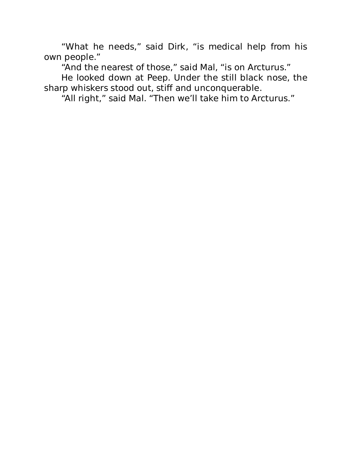"What he needs," said Dirk, "is medical help from his own people."

"And the nearest of those," said Mal, "is on Arcturus."

He looked down at Peep. Under the still black nose, the sharp whiskers stood out, stiff and unconquerable.

"All right," said Mal. "Then we'll take him to Arcturus."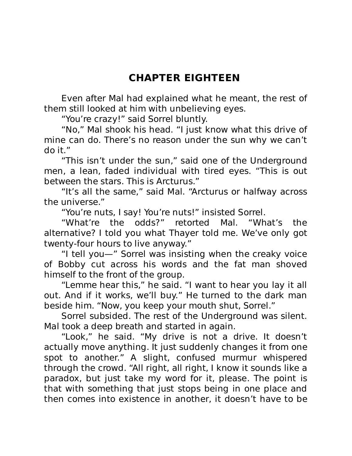# **CHAPTER EIGHTEEN**

Even after Mal had explained what he meant, the rest of them still looked at him with unbelieving eyes.

"You're crazy!" said Sorrel bluntly.

"No," Mal shook his head. "I just know what this drive of mine can do. There's no reason under the sun why we can't do it."

"This isn't under the sun," said one of the Underground men, a lean, faded individual with tired eyes. "This is out between the stars. This is Arcturus."

"It's all the same," said Mal. "Arcturus or halfway across the universe."

"You're nuts, I say! You're nuts!" insisted Sorrel.

"What're the odds?" retorted Mal. "What's the alternative? I told you what Thayer told me. We've only got twenty-four hours to live anyway."

"I tell you—" Sorrel was insisting when the creaky voice of Bobby cut across his words and the fat man shoved himself to the front of the group.

"Lemme hear this," he said. "I want to hear you lay it all out. And if it works, we'll buy." He turned to the dark man beside him. "Now, you keep your mouth shut, Sorrel."

Sorrel subsided. The rest of the Underground was silent. Mal took a deep breath and started in again.

"Look," he said. "My drive is not a drive. It doesn't actually move anything. It just suddenly changes it from one spot to another." A slight, confused murmur whispered through the crowd. "All right, all right, I know it sounds like a paradox, but just take my word for it, please. The point is that with something that just stops being in one place and then comes into existence in another, it doesn't have to be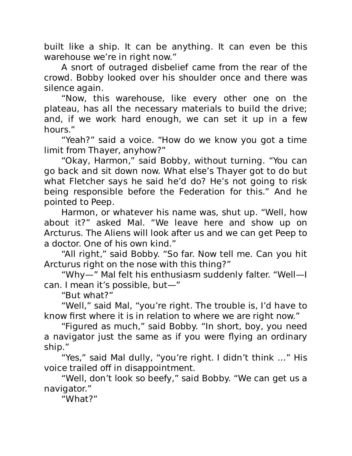built like a ship. It can be anything. It can even be this warehouse we're in right now."

A snort of outraged disbelief came from the rear of the crowd. Bobby looked over his shoulder once and there was silence again.

"Now, this warehouse, like every other one on the plateau, has all the necessary materials to build the drive; and, if we work hard enough, we can set it up in a few hours."

"Yeah?" said a voice. "How do we know you got a time limit from Thayer, anyhow?"

"Okay, Harmon," said Bobby, without turning. "You can go back and sit down now. What else's Thayer got to do but what Fletcher says he said he'd do? He's not going to risk being responsible before the Federation for this." And he pointed to Peep.

Harmon, or whatever his name was, shut up. "Well, how about it?" asked Mal. "We leave here and show up on Arcturus. The Aliens will look after us and we can get Peep to a doctor. One of his own kind."

"All right," said Bobby. "So far. Now tell me. Can you hit Arcturus right on the nose with this thing?"

"Why—" Mal felt his enthusiasm suddenly falter. "Well—I can. I mean it's possible, but—"

"But what?"

"Well," said Mal, "you're right. The trouble is, I'd have to know first where it is in relation to where we are right now."

"Figured as much," said Bobby. "In short, boy, you need a navigator just the same as if you were flying an ordinary ship."

"Yes," said Mal dully, "you're right. I didn't think …" His voice trailed off in disappointment.

"Well, don't look so beefy," said Bobby. "We can get us a navigator."

"What?"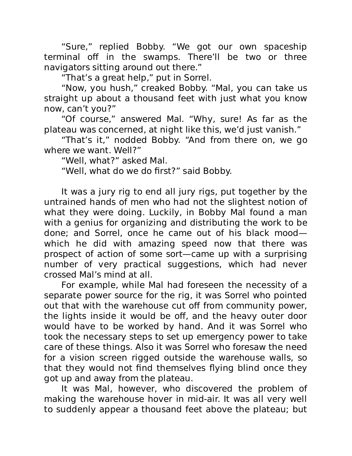"Sure," replied Bobby. "We got our own spaceship terminal off in the swamps. There'll be two or three navigators sitting around out there."

"That's a great help," put in Sorrel.

"Now, you hush," creaked Bobby. "Mal, you can take us straight up about a thousand feet with just what you know now, can't you?"

"Of course," answered Mal. "Why, sure! As far as the plateau was concerned, at night like this, we'd just vanish."

"That's it," nodded Bobby. "And from there on, we go where we want. Well?"

"Well, what?" asked Mal.

"Well, what do we do first?" said Bobby.

It was a jury rig to end all jury rigs, put together by the untrained hands of men who had not the slightest notion of what they were doing. Luckily, in Bobby Mal found a man with a genius for organizing and distributing the work to be done; and Sorrel, once he came out of his black mood which he did with amazing speed now that there was prospect of action of some sort—came up with a surprising number of very practical suggestions, which had never crossed Mal's mind at all.

For example, while Mal had foreseen the necessity of a separate power source for the rig, it was Sorrel who pointed out that with the warehouse cut off from community power, the lights inside it would be off, and the heavy outer door would have to be worked by hand. And it was Sorrel who took the necessary steps to set up emergency power to take care of these things. Also it was Sorrel who foresaw the need for a vision screen rigged outside the warehouse walls, so that they would not find themselves flying blind once they got up and away from the plateau.

It was Mal, however, who discovered the problem of making the warehouse hover in mid-air. It was all very well to suddenly appear a thousand feet above the plateau; but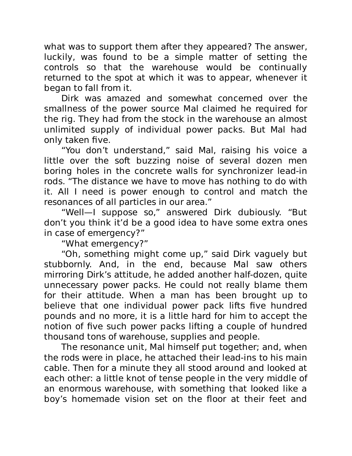what was to support them after they appeared? The answer, luckily, was found to be a simple matter of setting the controls so that the warehouse would be continually returned to the spot at which it was to appear, whenever it began to fall from it.

Dirk was amazed and somewhat concerned over the smallness of the power source Mal claimed he required for the rig. They had from the stock in the warehouse an almost unlimited supply of individual power packs. But Mal had only taken five.

"You don't understand," said Mal, raising his voice a little over the soft buzzing noise of several dozen men boring holes in the concrete walls for synchronizer lead-in rods. "The distance we have to move has nothing to do with it. All I need is power enough to control and match the resonances of all particles in our area."

"Well—I suppose so," answered Dirk dubiously. "But don't you think it'd be a good idea to have some extra ones in case of emergency?"

"What emergency?"

"Oh, something might come up," said Dirk vaguely but stubbornly. And, in the end, because Mal saw others mirroring Dirk's attitude, he added another half-dozen, quite unnecessary power packs. He could not really blame them for their attitude. When a man has been brought up to believe that one individual power pack lifts five hundred pounds and no more, it is a little hard for him to accept the notion of five such power packs lifting a couple of hundred thousand tons of warehouse, supplies and people.

The resonance unit, Mal himself put together; and, when the rods were in place, he attached their lead-ins to his main cable. Then for a minute they all stood around and looked at each other: a little knot of tense people in the very middle of an enormous warehouse, with something that looked like a boy's homemade vision set on the floor at their feet and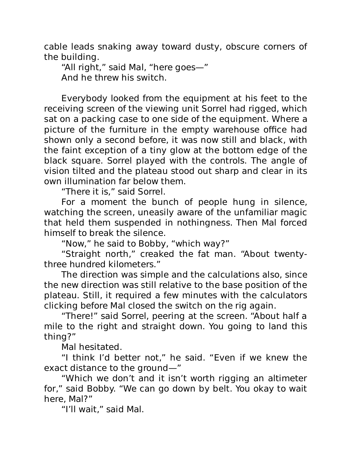cable leads snaking away toward dusty, obscure corners of the building.

"All right," said Mal, "here goes—" And he threw his switch.

Everybody looked from the equipment at his feet to the receiving screen of the viewing unit Sorrel had rigged, which sat on a packing case to one side of the equipment. Where a picture of the furniture in the empty warehouse office had shown only a second before, it was now still and black, with the faint exception of a tiny glow at the bottom edge of the black square. Sorrel played with the controls. The angle of vision tilted and the plateau stood out sharp and clear in its own illumination far below them.

"There it is," said Sorrel.

For a moment the bunch of people hung in silence, watching the screen, uneasily aware of the unfamiliar magic that held them suspended in nothingness. Then Mal forced himself to break the silence.

"Now," he said to Bobby, "which way?"

"Straight north," creaked the fat man. "About twentythree hundred kilometers."

The direction was simple and the calculations also, since the new direction was still relative to the base position of the plateau. Still, it required a few minutes with the calculators clicking before Mal closed the switch on the rig again.

"There!" said Sorrel, peering at the screen. "About half a mile to the right and straight down. You going to land this thing?"

Mal hesitated.

"I think I'd better not," he said. "Even if we knew the exact distance to the ground—"

"Which we don't and it isn't worth rigging an altimeter for," said Bobby. "We can go down by belt. You okay to wait here, Mal?"

"I'll wait," said Mal.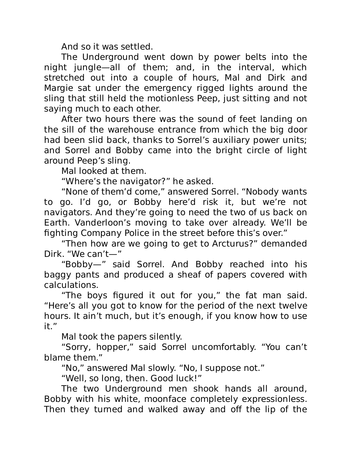And so it was settled.

The Underground went down by power belts into the night jungle—all of them; and, in the interval, which stretched out into a couple of hours, Mal and Dirk and Margie sat under the emergency rigged lights around the sling that still held the motionless Peep, just sitting and not saying much to each other.

After two hours there was the sound of feet landing on the sill of the warehouse entrance from which the big door had been slid back, thanks to Sorrel's auxiliary power units; and Sorrel and Bobby came into the bright circle of light around Peep's sling.

Mal looked at them.

"Where's the navigator?" he asked.

"None of them'd come," answered Sorrel. "Nobody wants to go. I'd go, or Bobby here'd risk it, but we're not navigators. And they're going to need the two of us back on Earth. Vanderloon's moving to take over already. We'll be fighting Company Police in the street before this's over."

"Then how are we going to get to Arcturus?" demanded Dirk. "We can't—"

"Bobby—" said Sorrel. And Bobby reached into his baggy pants and produced a sheaf of papers covered with calculations.

"The boys figured it out for you," the fat man said. "Here's all you got to know for the period of the next twelve hours. It ain't much, but it's enough, if you know how to use it."

Mal took the papers silently.

"Sorry, hopper," said Sorrel uncomfortably. "You can't blame them."

"No," answered Mal slowly. "No, I suppose not."

"Well, so long, then. Good luck!"

The two Underground men shook hands all around, Bobby with his white, moonface completely expressionless. Then they turned and walked away and off the lip of the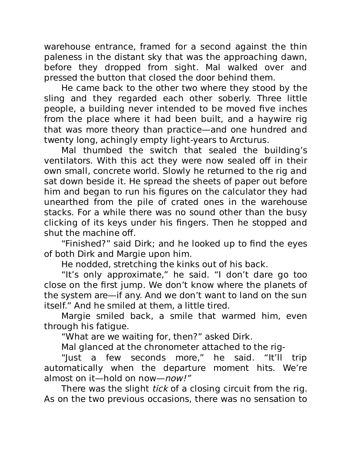warehouse entrance, framed for a second against the thin paleness in the distant sky that was the approaching dawn, before they dropped from sight. Mal walked over and pressed the button that closed the door behind them.

He came back to the other two where they stood by the sling and they regarded each other soberly. Three little people, a building never intended to be moved five inches from the place where it had been built, and a haywire rig that was more theory than practice—and one hundred and twenty long, achingly empty light-years to Arcturus.

Mal thumbed the switch that sealed the building's ventilators. With this act they were now sealed off in their own small, concrete world. Slowly he returned to the rig and sat down beside it. He spread the sheets of paper out before him and began to run his figures on the calculator they had unearthed from the pile of crated ones in the warehouse stacks. For a while there was no sound other than the busy clicking of its keys under his fingers. Then he stopped and shut the machine off.

"Finished?" said Dirk; and he looked up to find the eyes of both Dirk and Margie upon him.

He nodded, stretching the kinks out of his back.

"It's only approximate," he said. "I don't dare go too close on the first jump. We don't know where the planets of the system are—if any. And we don't want to land on the sun itself." And he smiled at them, a little tired.

Margie smiled back, a smile that warmed him, even through his fatigue.

"What are we waiting for, then?" asked Dirk.

Mal glanced at the chronometer attached to the rig-

"Just a few seconds more," he said. "It'll trip automatically when the departure moment hits. We're almost on it—hold on now—*now!"* 

There was the slight tick of a closing circuit from the rig. As on the two previous occasions, there was no sensation to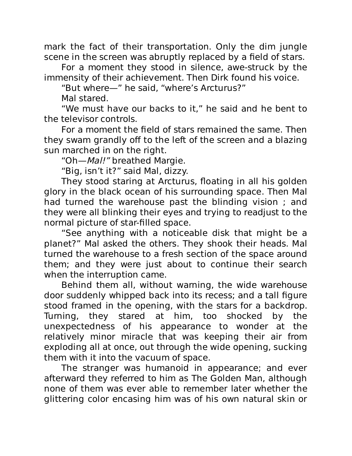mark the fact of their transportation. Only the dim jungle scene in the screen was abruptly replaced by a field of stars.

For a moment they stood in silence, awe-struck by the immensity of their achievement. Then Dirk found his voice.

"But where—" he said, "where's Arcturus?"

Mal stared.

"We must have our backs to it," he said and he bent to the televisor controls.

For a moment the field of stars remained the same. Then they swam grandly off to the left of the screen and a blazing sun marched in on the right.

"Oh—Mal!" breathed Margie.

"Big, isn't it?" said Mal, dizzy.

They stood staring at Arcturus, floating in all his golden glory in the black ocean of his surrounding space. Then Mal had turned the warehouse past the blinding vision ; and they were all blinking their eyes and trying to readjust to the normal picture of star-filled space.

"See anything with a noticeable disk that might be a planet?" Mal asked the others. They shook their heads. Mal turned the warehouse to a fresh section of the space around them; and they were just about to continue their search when the interruption came.

Behind them all, without warning, the wide warehouse door suddenly whipped back into its recess; and a tall figure stood framed in the opening, with the stars for a backdrop. Turning, they stared at him, too shocked by the unexpectedness of his appearance to wonder at the relatively minor miracle that was keeping their air from exploding all at once, out through the wide opening, sucking them with it into the vacuum of space.

The stranger was humanoid in appearance; and ever afterward they referred to him as The Golden Man, although none of them was ever able to remember later whether the glittering color encasing him was of his own natural skin or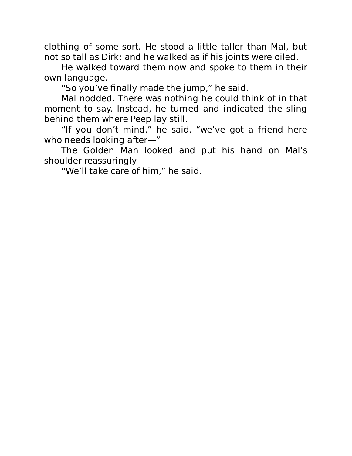clothing of some sort. He stood a little taller than Mal, but not so tall as Dirk; and he walked as if his joints were oiled.

He walked toward them now and spoke to them in their own language.

"So you've finally made the jump," he said.

Mal nodded. There was nothing he could think of in that moment to say. Instead, he turned and indicated the sling behind them where Peep lay still.

"If you don't mind," he said, "we've got a friend here who needs looking after—"

The Golden Man looked and put his hand on Mal's shoulder reassuringly.

"We'll take care of him," he said.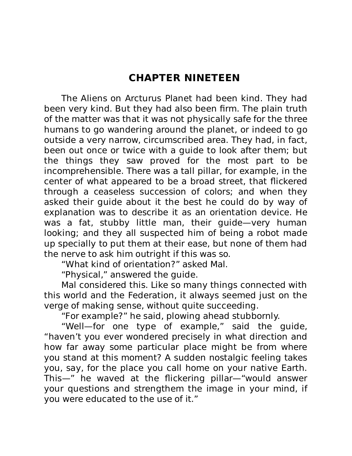# **CHAPTER NINETEEN**

The Aliens on Arcturus Planet had been kind. They had been very kind. But they had also been firm. The plain truth of the matter was that it was not physically safe for the three humans to go wandering around the planet, or indeed to go outside a very narrow, circumscribed area. They had, in fact, been out once or twice with a guide to look after them; but the things they saw proved for the most part to be incomprehensible. There was a tall pillar, for example, in the center of what appeared to be a broad street, that flickered through a ceaseless succession of colors; and when they asked their guide about it the best he could do by way of explanation was to describe it as an orientation device. He was a fat, stubby little man, their guide—very human looking; and they all suspected him of being a robot made up specially to put them at their ease, but none of them had the nerve to ask him outright if this was so.

"What kind of orientation?" asked Mal.

"Physical," answered the guide.

Mal considered this. Like so many things connected with this world and the Federation, it always seemed just on the verge of making sense, without quite succeeding.

"For example?" he said, plowing ahead stubbornly.

"Well—for one type of example," said the guide, "haven't you ever wondered precisely in what direction and how far away some particular place might be from where you stand at this moment? A sudden nostalgic feeling takes you, say, for the place you call home on your native Earth. This—" he waved at the flickering pillar—"would answer your questions and strengthem the image in your mind, if you were educated to the use of it."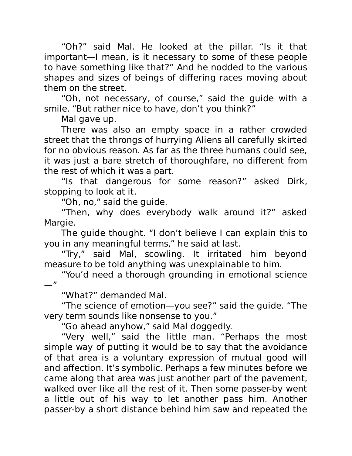"Oh?" said Mal. He looked at the pillar. "Is it that important—I mean, is it necessary to some of these people to have something like that?" And he nodded to the various shapes and sizes of beings of differing races moving about them on the street.

"Oh, not necessary, of course," said the guide with a smile. "But rather nice to have, don't you think?"

Mal gave up.

There was also an empty space in a rather crowded street that the throngs of hurrying Aliens all carefully skirted for no obvious reason. As far as the three humans could see, it was just a bare stretch of thoroughfare, no different from the rest of which it was a part.

"Is that dangerous for some reason?" asked Dirk, stopping to look at it.

"Oh, no," said the guide.

"Then, why does everybody walk around it?" asked Margie.

The guide thought. "I don't believe I can explain this to you in any meaningful terms," he said at last.

"Try," said Mal, scowling. It irritated him beyond measure to be told anything was unexplainable to him.

"You'd need a thorough grounding in emotional science —"

"What?" demanded Mal.

"The science of emotion—you see?" said the guide. "The very term sounds like nonsense to you."

"Go ahead anyhow," said Mal doggedly.

"Very well," said the little man. "Perhaps the most simple way of putting it would be to say that the avoidance of that area is a voluntary expression of mutual good will and affection. It's symbolic. Perhaps a few minutes before we came along that area was just another part of the pavement, walked over like all the rest of it. Then some passer-by went a little out of his way to let another pass him. Another passer-by a short distance behind him saw and repeated the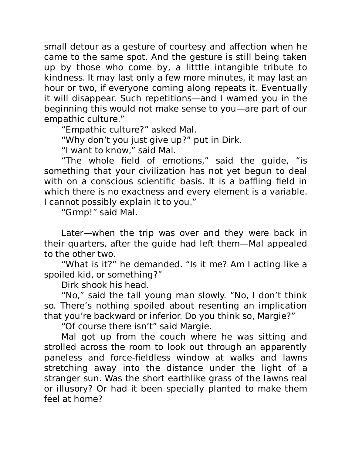small detour as a gesture of courtesy and affection when he came to the same spot. And the gesture is still being taken up by those who come by, a litttle intangible tribute to kindness. It may last only a few more minutes, it may last an hour or two, if everyone coming along repeats it. Eventually it will disappear. Such repetitions—and I warned you in the beginning this would not make sense to you—are part of our empathic culture."

"Empathic culture?" asked Mal.

"Why don't you just give up?" put in Dirk.

"I want to know," said Mal.

"The whole field of emotions," said the guide, "is something that your civilization has not yet begun to deal with on a conscious scientific basis. It is a baffling field in which there is no exactness and every element is a variable. I cannot possibly explain it to you."

"Grmp!" said Mal.

Later—when the trip was over and they were back in their quarters, after the guide had left them—Mal appealed to the other two.

"What is it?" he demanded. "Is it me? Am I acting like a spoiled kid, or something?"

Dirk shook his head.

"No," said the tall young man slowly. "No, I don't think so. There's nothing spoiled about resenting an implication that you're backward or inferior. Do you think so, Margie?"

"Of course there isn't" said Margie.

Mal got up from the couch where he was sitting and strolled across the room to look out through an apparently paneless and force-fieldless window at walks and lawns stretching away into the distance under the light of a stranger sun. Was the short earthlike grass of the lawns real or illusory? Or had it been specially planted to make them feel at home?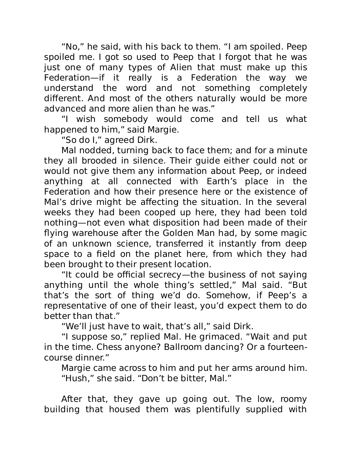"No," he said, with his back to them. "I am spoiled. Peep spoiled me. I got so used to Peep that I forgot that he was just one of many types of Alien that must make up this Federation—if it really is a Federation the way we understand the word and not something completely different. And most of the others naturally would be more advanced and more alien than he was."

"I wish somebody would come and tell us what happened to him," said Margie.

"So do I," agreed Dirk.

Mal nodded, turning back to face them; and for a minute they all brooded in silence. Their guide either could not or would not give them any information about Peep, or indeed anything at all connected with Earth's place in the Federation and how their presence here or the existence of Mal's drive might be affecting the situation. In the several weeks they had been cooped up here, they had been told nothing—not even what disposition had been made of their flying warehouse after the Golden Man had, by some magic of an unknown science, transferred it instantly from deep space to a field on the planet here, from which they had been brought to their present location.

"It could be official secrecy—the business of not saying anything until the whole thing's settled," Mal said. "But that's the sort of thing we'd do. Somehow, if Peep's a representative of one of their least, you'd expect them to do better than that."

"We'll just have to wait, that's all," said Dirk.

"I suppose so," replied Mal. He grimaced. "Wait and put in the time. Chess anyone? Ballroom dancing? Or a fourteencourse dinner."

Margie came across to him and put her arms around him. "Hush," she said. "Don't be bitter, Mal."

After that, they gave up going out. The low, roomy building that housed them was plentifully supplied with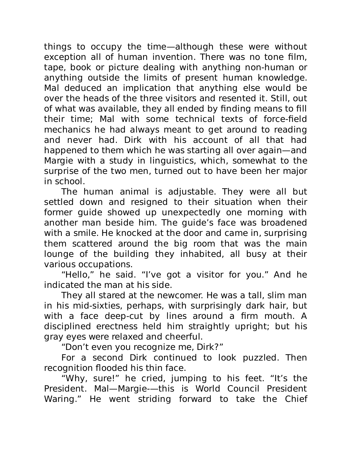things to occupy the time—although these were without exception all of human invention. There was no tone film, tape, book or picture dealing with anything non-human or anything outside the limits of present human knowledge. Mal deduced an implication that anything else would be over the heads of the three visitors and resented it. Still, out of what was available, they all ended by finding means to fill their time; Mal with some technical texts of force-field mechanics he had always meant to get around to reading and never had. Dirk with his account of all that had happened to them which he was starting all over again—and Margie with a study in linguistics, which, somewhat to the surprise of the two men, turned out to have been her major in school.

The human animal is adjustable. They were all but settled down and resigned to their situation when their former guide showed up unexpectedly one morning with another man beside him. The guide's face was broadened with a smile. He knocked at the door and came in, surprising them scattered around the big room that was the main lounge of the building they inhabited, all busy at their various occupations.

"Hello," he said. "I've got a visitor for you." And he indicated the man at his side.

They all stared at the newcomer. He was a tall, slim man in his mid-sixties, perhaps, with surprisingly dark hair, but with a face deep-cut by lines around a firm mouth. A disciplined erectness held him straightly upright; but his gray eyes were relaxed and cheerful.

"Don't even you recognize me, Dirk?"

For a second Dirk continued to look puzzled. Then recognition flooded his thin face.

"Why, sure!" he cried, jumping to his feet. "It's the President. Mal—Margie-—this is World Council President Waring." He went striding forward to take the Chief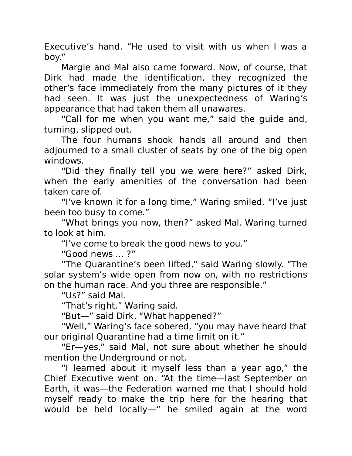Executive's hand. "He used to visit with us when I was a boy."

Margie and Mal also came forward. Now, of course, that Dirk had made the identification, they recognized the other's face immediately from the many pictures of it they had seen. It was just the unexpectedness of Waring's appearance that had taken them all unawares.

"Call for me when you want me," said the guide and, turning, slipped out.

The four humans shook hands all around and then adjourned to a small cluster of seats by one of the big open windows.

"Did they finally tell you we were here?" asked Dirk, when the early amenities of the conversation had been taken care of.

"I've known it for a long time," Waring smiled. "I've just been too busy to come."

"What brings you now, then?" asked Mal. Waring turned to look at him.

"I've come to break the good news to you."

"Good news … ?"

"The Quarantine's been lifted," said Waring slowly. "The solar system's wide open from now on, with no restrictions on the human race. And you three are responsible."

"Us?" said Mal.

"That's right." Waring said.

"But—" said Dirk. "What happened?"

"Well," Waring's face sobered, "you may have heard that our original Quarantine had a time limit on it."

"Er—yes," said Mal, not sure about whether he should mention the Underground or not.

"I learned about it myself less than a year ago," the Chief Executive went on. "At the time—last September on Earth, it was—the Federation warned me that I should hold myself ready to make the trip here for the hearing that would be held locally—" he smiled again at the word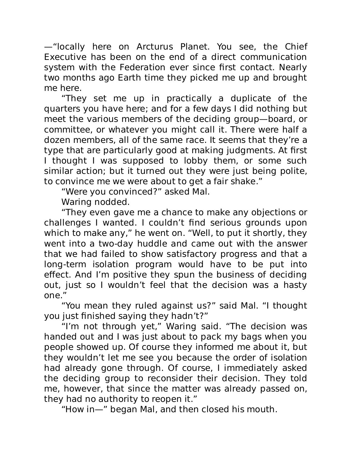—"locally here on Arcturus Planet. You see, the Chief Executive has been on the end of a direct communication system with the Federation ever since first contact. Nearly two months ago Earth time they picked me up and brought me here.

"They set me up in practically a duplicate of the quarters you have here; and for a few days I did nothing but meet the various members of the deciding group—board, or committee, or whatever you might call it. There were half a dozen members, all of the same race. It seems that they're a type that are particularly good at making judgments. At first I thought I was supposed to lobby them, or some such similar action; but it turned out they were just being polite, to convince me we were about to get a fair shake."

"Were you convinced?" asked Mal.

Waring nodded.

"They even gave me a chance to make any objections or challenges I wanted. I couldn't find serious grounds upon which to make any," he went on. "Well, to put it shortly, they went into a two-day huddle and came out with the answer that we had failed to show satisfactory progress and that a long-term isolation program would have to be put into effect. And I'm positive they spun the business of deciding out, just so I wouldn't feel that the decision was a hasty one."

"You mean they ruled against us?" said Mal. "I thought you just finished saying they hadn't?"

"I'm not through yet," Waring said. "The decision was handed out and I was just about to pack my bags when you people showed up. Of course they informed me about it, but they wouldn't let me see you because the order of isolation had already gone through. Of course, I immediately asked the deciding group to reconsider their decision. They told me, however, that since the matter was already passed on, they had no authority to reopen it."

"How in—" began Mal, and then closed his mouth.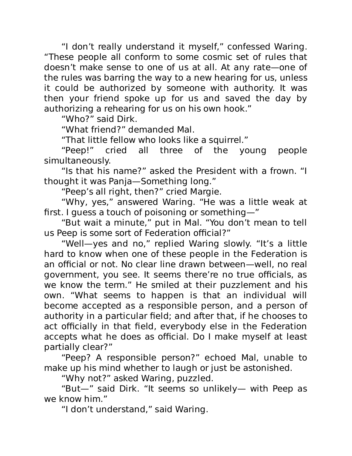"I don't really understand it myself," confessed Waring. "These people all conform to some cosmic set of rules that doesn't make sense to one of us at all. At any rate—one of the rules was barring the way to a new hearing for us, unless it could be authorized by someone with authority. It was then your friend spoke up for us and saved the day by authorizing a rehearing for us on his own hook."

"Who?" said Dirk.

"What friend?" demanded Mal.

"That little fellow who looks like a squirrel."

"Peep!" cried all three of the young people simultaneously.

"Is that his name?" asked the President with a frown. "I thought it was Panja—Something long."

"Peep's all right, then?" cried Margie.

"Why, yes," answered Waring. "He was a little weak at first. I guess a touch of poisoning or something—"

"But wait a minute," put in Mal. "You don't mean to tell us Peep is some sort of Federation official?"

"Well—yes and no," replied Waring slowly. "It's a little hard to know when one of these people in the Federation is an official or not. No clear line drawn between—well, no real government, you see. It seems there're no true officials, as we know the term." He smiled at their puzzlement and his own. "What seems to happen is that an individual will become accepted as a responsible person, and a person of authority in a particular field; and after that, if he chooses to act officially in that field, everybody else in the Federation accepts what he does as official. Do I make myself at least partially clear?"

"Peep? A responsible person?" echoed Mal, unable to make up his mind whether to laugh or just be astonished.

"Why not?" asked Waring, puzzled.

"But—" said Dirk. "It seems so unlikely— with Peep as we know him."

"I don't understand," said Waring.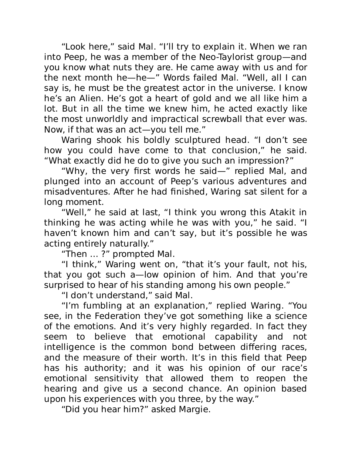"Look here," said Mal. "I'll try to explain it. When we ran into Peep, he was a member of the Neo-Taylorist group—and you know what nuts they are. He came away with us and for the next month he—he—" Words failed Mal. "Well, all I can say is, he must be the greatest actor in the universe. I know he's an Alien. He's got a heart of gold and we all like him a lot. But in all the time we knew him, he acted exactly like the most unworldly and impractical screwball that ever was. Now, if that was an act—you tell me."

Waring shook his boldly sculptured head. "I don't see how you could have come to that conclusion," he said. "What exactly did he do to give you such an impression?"

"Why, the very first words he said—" replied Mal, and plunged into an account of Peep's various adventures and misadventures. After he had finished, Waring sat silent for a long moment.

"Well," he said at last, "I think you wrong this Atakit in thinking he was acting while he was with you," he said. "I haven't known him and can't say, but it's possible he was acting entirely naturally."

"Then … ?" prompted Mal.

"I think," Waring went on, "that it's your fault, not his, that you got such a—low opinion of him. And that you're surprised to hear of his standing among his own people."

"I don't understand," said Mal.

"I'm fumbling at an explanation," replied Waring. "You see, in the Federation they've got something like a science of the emotions. And it's very highly regarded. In fact they seem to believe that emotional capability and not intelligence is the common bond between differing races, and the measure of their worth. It's in this field that Peep has his authority; and it was his opinion of our race's emotional sensitivity that allowed them to reopen the hearing and give us a second chance. An opinion based upon his experiences with you three, by the way."

"Did you hear him?" asked Margie.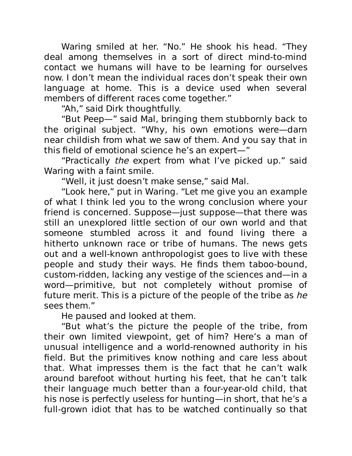Waring smiled at her. "No." He shook his head. "They deal among themselves in a sort of direct mind-to-mind contact we humans will have to be learning for ourselves now. I don't mean the individual races don't speak their own language at home. This is a device used when several members of different races come together."

"Ah," said Dirk thoughtfully.

"But Peep—" said Mal, bringing them stubbornly back to the original subject. "Why, his own emotions were—darn near childish from what we saw of them. And you say that in this field of emotional science he's an expert—"

"Practically the expert from what I've picked up." said Waring with a faint smile.

"Well, it just doesn't make sense," said Mal.

"Look here," put in Waring. "Let me give you an example of what I think led you to the wrong conclusion where your friend is concerned. Suppose—just suppose—that there was still an unexplored little section of our own world and that someone stumbled across it and found living there a hitherto unknown race or tribe of humans. The news gets out and a well-known anthropologist goes to live with these people and study their ways. He finds them taboo-bound, custom-ridden, lacking any vestige of the sciences and—in a word—primitive, but not completely without promise of future merit. This is a picture of the people of the tribe as he sees them."

He paused and looked at them.

"But what's the picture the people of the tribe, from their own limited viewpoint, get of him? Here's a man of unusual intelligence and a world-renowned authority in his field. But the primitives know nothing and care less about that. What impresses them is the fact that he can't walk around barefoot without hurting his feet, that he can't talk their language much better than a four-year-old child, that his nose is perfectly useless for hunting—in short, that he's a full-grown idiot that has to be watched continually so that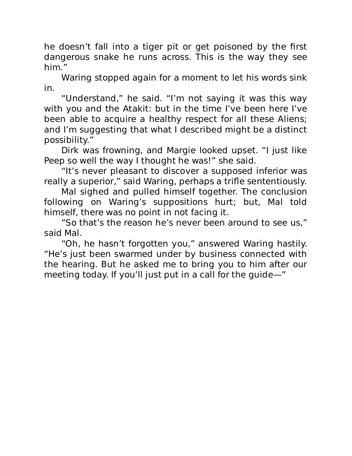he doesn't fall into a tiger pit or get poisoned by the first dangerous snake he runs across. This is the way they see him."

Waring stopped again for a moment to let his words sink in.

"Understand," he said. "I'm not saying it was this way with you and the Atakit: but in the time I've been here I've been able to acquire a healthy respect for all these Aliens; and I'm suggesting that what I described might be a distinct possibility."

Dirk was frowning, and Margie looked upset. "I just like Peep so well the way I thought he was!" she said.

"It's never pleasant to discover a supposed inferior was really a superior," said Waring, perhaps a trifle sententiously.

Mal sighed and pulled himself together. The conclusion following on Waring's suppositions hurt; but, Mal told himself, there was no point in not facing it.

"So that's the reason he's never been around to see us," said Mal.

"Oh, he hasn't forgotten you," answered Waring hastily. "He's just been swarmed under by business connected with the hearing. But he asked me to bring you to him after our meeting today. If you'll just put in a call for the guide—"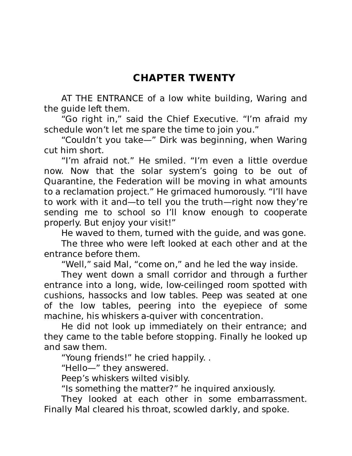## **CHAPTER TWENTY**

AT THE ENTRANCE of a low white building, Waring and the guide left them.

"Go right in," said the Chief Executive. "I'm afraid my schedule won't let me spare the time to join you."

"Couldn't you take—" Dirk was beginning, when Waring cut him short.

"I'm afraid not." He smiled. "I'm even a little overdue now. Now that the solar system's going to be out of Quarantine, the Federation will be moving in what amounts to a reclamation project." He grimaced humorously. "I'll have to work with it and—to tell you the truth—right now they're sending me to school so I'll know enough to cooperate properly. But enjoy your visit!"

He waved to them, turned with the guide, and was gone.

The three who were left looked at each other and at the entrance before them.

"Well," said Mal, "come on," and he led the way inside.

They went down a small corridor and through a further entrance into a long, wide, low-ceilinged room spotted with cushions, hassocks and low tables. Peep was seated at one of the low tables, peering into the eyepiece of some machine, his whiskers a-quiver with concentration.

He did not look up immediately on their entrance; and they came to the table before stopping. Finally he looked up and saw them.

"Young friends!" he cried happily. .

"Hello—" they answered.

Peep's whiskers wilted visibly.

"Is something the matter?" he inquired anxiously.

They looked at each other in some embarrassment. Finally Mal cleared his throat, scowled darkly, and spoke.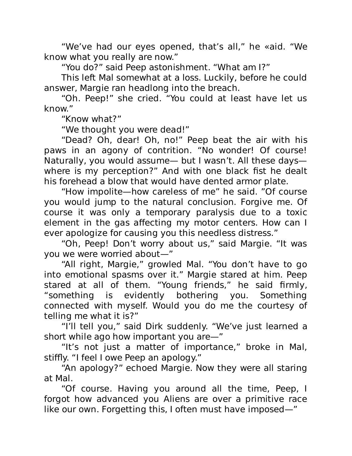"We've had our eyes opened, that's all," he «aid. "We know what you really are now."

"You do?" said Peep astonishment. "What am I?"

This left Mal somewhat at a loss. Luckily, before he could answer, Margie ran headlong into the breach.

"Oh. Peep!" she cried. "You could at least have let us know."

"Know what?"

"We thought you were dead!"

"Dead? Oh, dear! Oh, no!" Peep beat the air with his paws in an agony of contrition. "No wonder! Of course! Naturally, you would assume— but I wasn't. All these days where is my perception?" And with one black fist he dealt his forehead a blow that would have dented armor plate.

"How impolite—how careless of me" he said. "Of course you would jump to the natural conclusion. Forgive me. Of course it was only a temporary paralysis due to a toxic element in the gas affecting my motor centers. How can I ever apologize for causing you this needless distress."

"Oh, Peep! Don't worry about us," said Margie. "It was you we were worried about—"

"All right, Margie," growled Mal. "You don't have to go into emotional spasms over it." Margie stared at him. Peep stared at all of them. "Young friends," he said firmly, "something is evidently bothering you. Something connected with myself. Would you do me the courtesy of telling me what it is?"

"I'll tell you," said Dirk suddenly. "We've just learned a short while ago how important you are—"

"It's not just a matter of importance," broke in Mal, stiffly. "I feel I owe Peep an apology."

"An apology?" echoed Margie. Now they were all staring at Mal.

"Of course. Having you around all the time, Peep, I forgot how advanced you Aliens are over a primitive race like our own. Forgetting this, I often must have imposed—"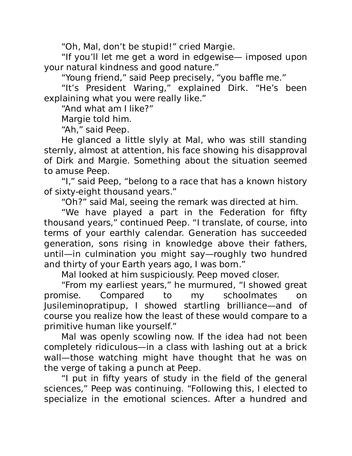"Oh, Mal, don't be stupid!" cried Margie.

"If you'll let me get a word in edgewise— imposed upon your natural kindness and good nature."

"Young friend," said Peep precisely, "you baffle me."

"It's President Waring," explained Dirk. "He's been explaining what you were really like."

"And what am I like?"

Margie told him.

"Ah," said Peep.

He glanced a little slyly at Mal, who was still standing sternly, almost at attention, his face showing his disapproval of Dirk and Margie. Something about the situation seemed to amuse Peep.

"I," said Peep, "belong to a race that has a known history of sixty-eight thousand years."

"Oh?" said Mal, seeing the remark was directed at him.

"We have played a part in the Federation for fifty thousand years," continued Peep. "I translate, of course, into terms of your earthly calendar. Generation has succeeded generation, sons rising in knowledge above their fathers, until—in culmination you might say—roughly two hundred and thirty of your Earth years ago, I was born."

Mal looked at him suspiciously. Peep moved closer.

"From my earliest years," he murmured, "I showed great promise. Compared to my schoolmates on Jusileminopratipup, I showed startling brilliance—and of course you realize how the least of these would compare to a primitive human like yourself."

Mal was openly scowling now. If the idea had not been completely ridiculous—in a class with lashing out at a brick wall—those watching might have thought that he was on the verge of taking a punch at Peep.

"I put in fifty years of study in the field of the general sciences," Peep was continuing. "Following this, I elected to specialize in the emotional sciences. After a hundred and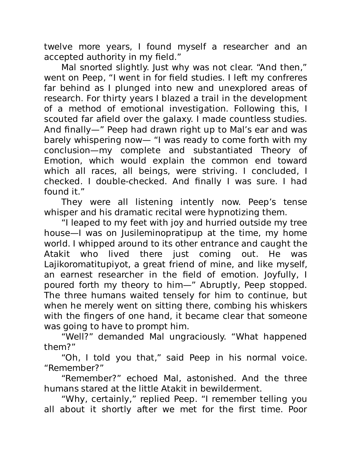twelve more years, I found myself a researcher and an accepted authority in my field."

Mal snorted slightly. Just why was not clear. "And then," went on Peep, "I went in for field studies. I left my confreres far behind as I plunged into new and unexplored areas of research. For thirty years I blazed a trail in the development of a method of emotional investigation. Following this, I scouted far afield over the galaxy. I made countless studies. And finally—" Peep had drawn right up to Mal's ear and was barely whispering now— "I was ready to come forth with my conclusion—my complete and substantiated Theory of Emotion, which would explain the common end toward which all races, all beings, were striving. I concluded, I checked. I double-checked. And finally I was sure. I had found it."

They were all listening intently now. Peep's tense whisper and his dramatic recital were hypnotizing them.

"I leaped to my feet with joy and hurried outside my tree house—I was on Jusileminopratipup at the time, my home world. I whipped around to its other entrance and caught the Atakit who lived there just coming out. He was Lajikoromatitupiyot, a great friend of mine, and like myself, an earnest researcher in the field of emotion. Joyfully, I poured forth my theory to him—" Abruptly, Peep stopped. The three humans waited tensely for him to continue, but when he merely went on sitting there, combing his whiskers with the fingers of one hand, it became clear that someone was going to have to prompt him.

"Well?" demanded Mal ungraciously. "What happened them?"

"Oh, I told you that," said Peep in his normal voice. "Remember?"

"Remember?" echoed Mal, astonished. And the three humans stared at the little Atakit in bewilderment.

"Why, certainly," replied Peep. "I remember telling you all about it shortly after we met for the first time. Poor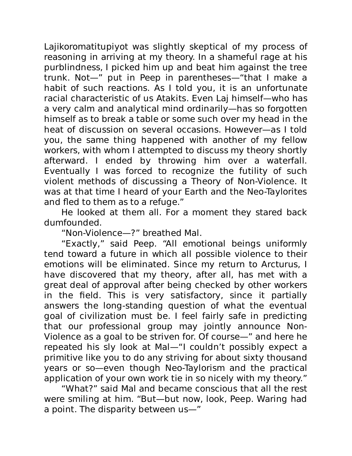Lajikoromatitupiyot was slightly skeptical of my process of reasoning in arriving at my theory. In a shameful rage at his purblindness, I picked him up and beat him against the tree trunk. Not—" put in Peep in parentheses—"that I make a habit of such reactions. As I told you, it is an unfortunate racial characteristic of us Atakits. Even Laj himself—who has a very calm and analytical mind ordinarily—has so forgotten himself as to break a table or some such over my head in the heat of discussion on several occasions. However—as I told you, the same thing happened with another of my fellow workers, with whom I attempted to discuss my theory shortly afterward. I ended by throwing him over a waterfall. Eventually I was forced to recognize the futility of such violent methods of discussing a Theory of Non-Violence. It was at that time I heard of your Earth and the Neo-Taylorites and fled to them as to a refuge."

He looked at them all. For a moment they stared back dumfounded.

"Non-Violence—?" breathed Mal.

"Exactly," said Peep. "All emotional beings uniformly tend toward a future in which all possible violence to their emotions will be eliminated. Since my return to Arcturus, I have discovered that my theory, after all, has met with a great deal of approval after being checked by other workers in the field. This is very satisfactory, since it partially answers the long-standing question of what the eventual goal of civilization must be. I feel fairly safe in predicting that our professional group may jointly announce Non-Violence as a goal to be striven for. Of course—" and here he repeated his sly look at Mal—"I couldn't possibly expect a primitive like you to do any striving for about sixty thousand years or so—even though Neo-Taylorism and the practical application of your own work tie in so nicely with my theory."

"What?" said Mal and became conscious that all the rest were smiling at him. "But—but now, look, Peep. Waring had a point. The disparity between us—"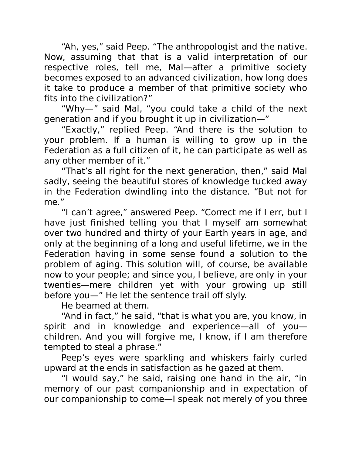"Ah, yes," said Peep. "The anthropologist and the native. Now, assuming that that is a valid interpretation of our respective roles, tell me, Mal—after a primitive society becomes exposed to an advanced civilization, how long does it take to produce a member of that primitive society who fits into the civilization?"

"Why—" said Mal, "you could take a child of the next generation and if you brought it up in civilization—"

"Exactly," replied Peep. "And there is the solution to your problem. If a human is willing to grow up in the Federation as a full citizen of it, he can participate as well as any other member of it."

"That's all right for the next generation, then," said Mal sadly, seeing the beautiful stores of knowledge tucked away in the Federation dwindling into the distance. "But not for me."

"I can't agree," answered Peep. "Correct me if I err, but I have just finished telling you that I myself am somewhat over two hundred and thirty of your Earth years in age, and only at the beginning of a long and useful lifetime, we in the Federation having in some sense found a solution to the problem of aging. This solution will, of course, be available now to your people; and since you, I believe, are only in your twenties—mere children yet with your growing up still before you—" He let the sentence trail off slyly.

He beamed at them.

"And in fact," he said, "that is what you are, you know, in spirit and in knowledge and experience—all of you children. And you will forgive me, I know, if I am therefore tempted to steal a phrase."

Peep's eyes were sparkling and whiskers fairly curled upward at the ends in satisfaction as he gazed at them.

"I would say," he said, raising one hand in the air, "in memory of our past companionship and in expectation of our companionship to come—I speak not merely of you three